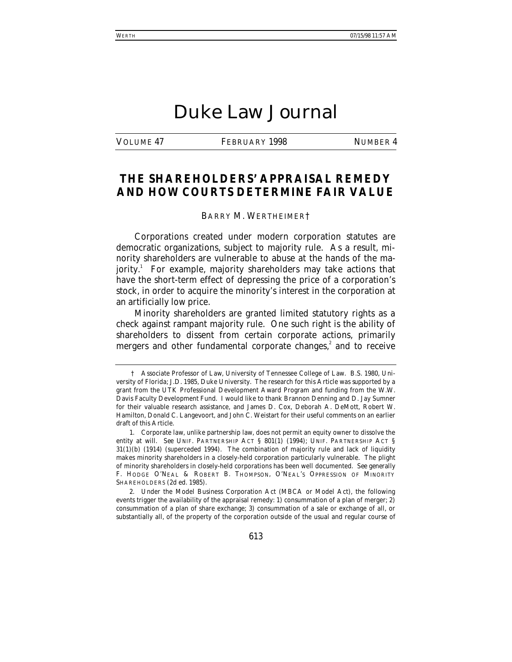# Duke Law Journal

VOLUME 47 FEBRUARY 1998 NUMBER 4

## **THE SHAREHOLDERS' APPRAISAL REMEDY AND HOW COURTS DETERMINE FAIR VALUE**

#### BARRY M. WERTHEIMER†

Corporations created under modern corporation statutes are democratic organizations, subject to majority rule. As a result, minority shareholders are vulnerable to abuse at the hands of the majority.<sup>1</sup> For example, majority shareholders may take actions that have the short-term effect of depressing the price of a corporation's stock, in order to acquire the minority's interest in the corporation at an artificially low price.

Minority shareholders are granted limited statutory rights as a check against rampant majority rule. One such right is the ability of shareholders to dissent from certain corporate actions, primarily mergers and other fundamental corporate changes, $2$  and to receive

2. Under the Model Business Corporation Act (MBCA or Model Act), the following events trigger the availability of the appraisal remedy: 1) consummation of a plan of merger; 2) consummation of a plan of share exchange; 3) consummation of a sale or exchange of all, or substantially all, of the property of the corporation outside of the usual and regular course of

<sup>†</sup> Associate Professor of Law, University of Tennessee College of Law. B.S. 1980, University of Florida; J.D. 1985, Duke University. The research for this Article was supported by a grant from the UTK Professional Development Award Program and funding from the W.W. Davis Faculty Development Fund. I would like to thank Brannon Denning and D. Jay Sumner for their valuable research assistance, and James D. Cox, Deborah A. DeMott, Robert W. Hamilton, Donald C. Langevoort, and John C. Weistart for their useful comments on an earlier draft of this Article.

<sup>1.</sup> Corporate law, unlike partnership law, does not permit an equity owner to dissolve the entity at will. *See* UNIF. PARTNERSHIP ACT § 801(1) (1994); UNIF. PARTNERSHIP ACT § 31(1)(b) (1914) (superceded 1994). The combination of majority rule and lack of liquidity makes minority shareholders in a closely-held corporation particularly vulnerable. The plight of minority shareholders in closely-held corporations has been well documented. *See generally* F. HODGE O'NEAL & ROBERT B. THOMPSON, O'NEAL'S OPPRESSION OF MINORITY SHAREHOLDERS (2d ed. 1985).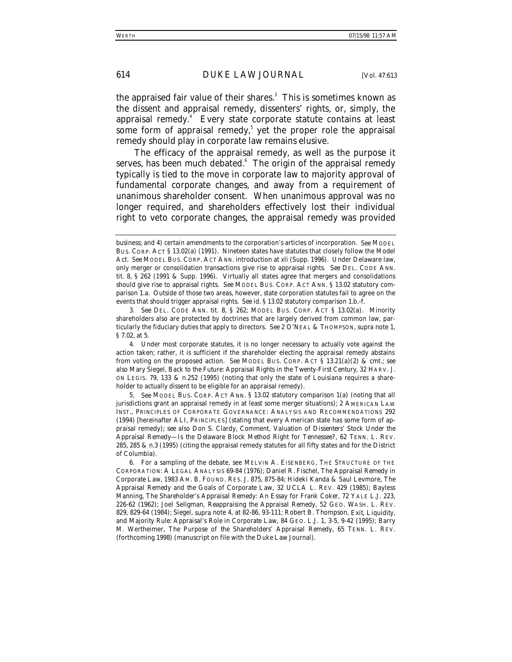the appraised fair value of their shares. $^3$  This is sometimes known as the dissent and appraisal remedy, dissenters' rights, or, simply, the appraisal remedy.<sup>4</sup> Every state corporate statute contains at least some form of appraisal remedy,<sup>5</sup> yet the proper role the appraisal remedy should play in corporate law remains elusive.

The efficacy of the appraisal remedy, as well as the purpose it serves, has been much debated. $^{\rm 6}\,$  The origin of the appraisal remedy typically is tied to the move in corporate law to majority approval of fundamental corporate changes, and away from a requirement of unanimous shareholder consent. When unanimous approval was no longer required, and shareholders effectively lost their individual right to veto corporate changes, the appraisal remedy was provided

4. Under most corporate statutes, it is no longer necessary to actually vote against the action taken; rather, it is sufficient if the shareholder electing the appraisal remedy abstains from voting on the proposed action. *See* MODEL BUS. CORP. ACT § 13.21(a)(2) & cmt.; *see also* Mary Siegel, *Back to the Future: Appraisal Rights in the Twenty-First Century*, 32 HARV. J. ON LEGIS. 79, 133 & n.252 (1995) (noting that only the state of Louisiana requires a shareholder to actually dissent to be eligible for an appraisal remedy).

5*. See* MODEL BUS. CORP. ACT ANN. § 13.02 statutory comparison 1(a) (noting that all jurisdictions grant an appraisal remedy in at least some merger situations); 2 AMERICAN LAW INST., PRINCIPLES OF CORPORATE GOVERNANCE: ANALYSIS AND RECOMMENDATIONS 292 (1994) [hereinafter ALI, PRINCIPLES] (stating that every American state has some form of appraisal remedy); *see also* Don S. Clardy, Comment, *Valuation of Dissenters' Stock Under the Appraisal Remedy—Is the Delaware Block Method Right for Tennessee?*, 62 TENN. L. REV. 285, 285 & n.3 (1995) (citing the appraisal remedy statutes for all fifty states and for the District of Columbia).

business; and 4) certain amendments to the corporation's articles of incorporation. *See* MODEL BUS. CORP. ACT § 13.02(a) (1991). Nineteen states have statutes that closely follow the Model Act. *See* MODEL BUS. CORP. ACT ANN. introduction at xli (Supp. 1996). Under Delaware law, only merger or consolidation transactions give rise to appraisal rights. *See* DEL. CODE ANN. tit. 8, § 262 (1991 & Supp. 1996). Virtually all states agree that mergers and consolidations should give rise to appraisal rights. *See* MODEL BUS. CORP. ACT ANN. § 13.02 statutory comparison 1.a. Outside of those two areas, however, state corporation statutes fail to agree on the events that should trigger appraisal rights. *See id.* § 13.02 statutory comparison 1.b.-f.

<sup>3</sup>*. See* DEL. CODE ANN. tit. 8, § 262; MODEL BUS. CORP. ACT § 13.02(a). Minority shareholders also are protected by doctrines that are largely derived from common law, particularly the fiduciary duties that apply to directors. *See* 2 O'NEAL & THOMPSON, *supra* note 1, § 7.02, at 5.

<sup>6.</sup> For a sampling of the debate, see MELVIN A. EISENBERG, THE STRUCTURE OF THE CORPORATION: A LEGAL ANALYSIS 69-84 (1976); Daniel R. Fischel, *The Appraisal Remedy in Corporate Law*, 1983 AM. B. FOUND. RES. J. 875, 875-84; Hideki Kanda & Saul Levmore, *The Appraisal Remedy and the Goals of Corporate Law*, 32 UCLA L. REV. 429 (1985); Bayless Manning, *The Shareholder's Appraisal Remedy: An Essay for Frank Coker*, 72 YALE L.J. 223, 226-62 (1962); Joel Seligman, *Reappraising the Appraisal Remedy*, 52 GEO. WASH. L. REV. 829, 829-64 (1984); Siegel, *supra* note 4, at 82-86, 93-111; Robert B. Thompson, *Exit, Liquidity, and Majority Rule: Appraisal's Role in Corporate Law*, 84 GEO. L.J. 1, 3-5, 9-42 (1995); Barry M. Wertheimer, *The Purpose of the Shareholders' Appraisal Remedy*, 65 TENN. L. REV. (forthcoming 1998) (manuscript on file with the *Duke Law Journal*).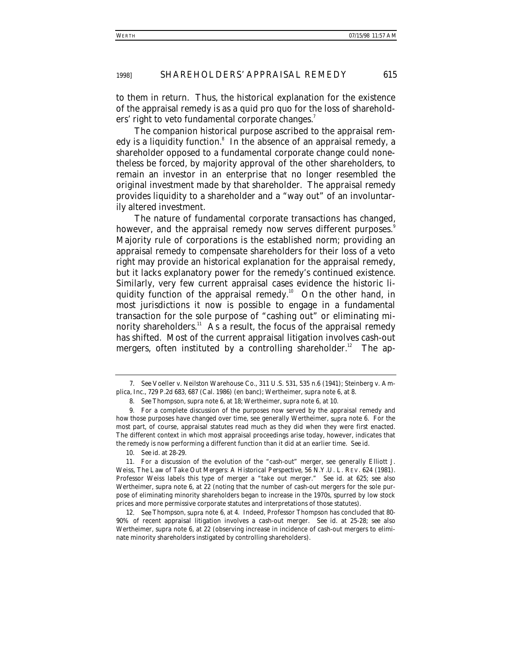to them in return. Thus, the historical explanation for the existence of the appraisal remedy is as a quid pro quo for the loss of shareholders' right to veto fundamental corporate changes.<sup>7</sup>

The companion historical purpose ascribed to the appraisal remedy is a liquidity function.<sup>8</sup> In the absence of an appraisal remedy, a shareholder opposed to a fundamental corporate change could nonetheless be forced, by majority approval of the other shareholders, to remain an investor in an enterprise that no longer resembled the original investment made by that shareholder. The appraisal remedy provides liquidity to a shareholder and a "way out" of an involuntarily altered investment.

The nature of fundamental corporate transactions has changed, however, and the appraisal remedy now serves different purposes.<sup>9</sup> Majority rule of corporations is the established norm; providing an appraisal remedy to compensate shareholders for their loss of a veto right may provide an historical explanation for the appraisal remedy, but it lacks explanatory power for the remedy's continued existence. Similarly, very few current appraisal cases evidence the historic liquidity function of the appraisal remedy.<sup>10</sup> On the other hand, in most jurisdictions it now is possible to engage in a fundamental transaction for the sole purpose of "cashing out" or eliminating minority shareholders.<sup>11</sup> As a result, the focus of the appraisal remedy has shifted. Most of the current appraisal litigation involves cash-out mergers, often instituted by a controlling shareholder.<sup>12</sup> The ap-

10*. See id.* at 28-29.

<sup>7</sup>*. See* Voeller v. Neilston Warehouse Co., 311 U.S. 531, 535 n.6 (1941); Steinberg v. Amplica, Inc., 729 P.2d 683, 687 (Cal. 1986) (en banc); Wertheimer, *supra* note 6, at 8.

<sup>8</sup>*. See* Thompson, *supra* note 6, at 18; Wertheimer, *supra* note 6, at 10.

<sup>9.</sup> For a complete discussion of the purposes now served by the appraisal remedy and how those purposes have changed over time, see generally Wertheimer, *supra* note 6. For the most part, of course, appraisal statutes read much as they did when they were first enacted. The different context in which most appraisal proceedings arise today, however, indicates that the remedy is now performing a different function than it did at an earlier time. *See id.*

<sup>11.</sup> For a discussion of the evolution of the "cash-out" merger, see generally Elliott J. Weiss, *The Law of Take Out Mergers: A Historical Perspective*, 56 N.Y.U. L. REV. 624 (1981). Professor Weiss labels this type of merger a "take out merger." *See id.* at 625; *see also* Wertheimer, *supra* note 6, at 22 (noting that the number of cash-out mergers for the sole purpose of eliminating minority shareholders began to increase in the 1970s, spurred by low stock prices and more permissive corporate statutes and interpretations of those statutes).

<sup>12</sup>*. See* Thompson, *supra* note 6, at 4. Indeed, Professor Thompson has concluded that 80- 90% of recent appraisal litigation involves a cash-out merger. *See id*. at 25-28; *see also* Wertheimer, *supra* note 6, at 22 (observing increase in incidence of cash-out mergers to eliminate minority shareholders instigated by controlling shareholders).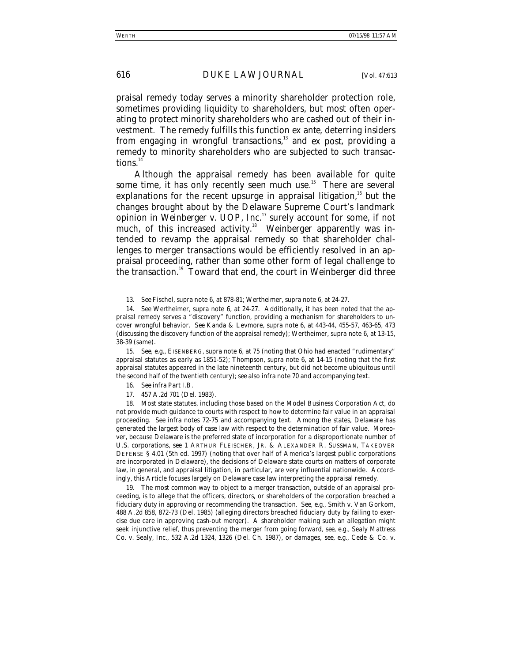praisal remedy today serves a minority shareholder protection role, sometimes providing liquidity to shareholders, but most often operating to protect minority shareholders who are cashed out of their investment. The remedy fulfills this function *ex ante*, deterring insiders from engaging in wrongful transactions,<sup>13</sup> and *ex post*, providing a remedy to minority shareholders who are subjected to such transactions. $14$ 

Although the appraisal remedy has been available for quite some time, it has only recently seen much use.<sup>15</sup> There are several explanations for the recent upsurge in appraisal litigation, $16$  but the changes brought about by the Delaware Supreme Court's landmark opinion in *Weinberger v. UOP, Inc.*17 surely account for some, if not much, of this increased activity.<sup>18</sup> *Weinberger* apparently was intended to revamp the appraisal remedy so that shareholder challenges to merger transactions would be efficiently resolved in an appraisal proceeding, rather than some other form of legal challenge to the transaction.19 Toward that end, the court in *Weinberger* did three

17. 457 A.2d 701 (Del. 1983).

18. Most state statutes, including those based on the Model Business Corporation Act, do not provide much guidance to courts with respect to how to determine fair value in an appraisal proceeding. *See infra* notes 72-75 and accompanying text. Among the states, Delaware has generated the largest body of case law with respect to the determination of fair value. Moreover, because Delaware is the preferred state of incorporation for a disproportionate number of U.S. corporations, *see* 1 ARTHUR FLEISCHER, JR. & ALEXANDER R. SUSSMAN, TAKEOVER DEFENSE § 4.01 (5th ed. 1997) (noting that over half of America's largest public corporations are incorporated in Delaware), the decisions of Delaware state courts on matters of corporate law, in general, and appraisal litigation, in particular, are very influential nationwide. Accordingly, this Article focuses largely on Delaware case law interpreting the appraisal remedy.

19. The most common way to object to a merger transaction, outside of an appraisal proceeding, is to allege that the officers, directors, or shareholders of the corporation breached a fiduciary duty in approving or recommending the transaction. *See, e.g.*, Smith v. Van Gorkom, 488 A.2d 858, 872-73 (Del. 1985) (alleging directors breached fiduciary duty by failing to exercise due care in approving cash-out merger). A shareholder making such an allegation might seek injunctive relief, thus preventing the merger from going forward, *see, e.g.*, Sealy Mattress Co. v. Sealy, Inc., 532 A.2d 1324, 1326 (Del. Ch. 1987), or damages, *see, e.g.*, Cede & Co. v.

<sup>13</sup>*. See* Fischel, *supra* note 6, at 878-81; Wertheimer, *supra* note 6, at 24-27.

<sup>14</sup>*. See* Wertheimer, *supra* note 6, at 24-27. Additionally, it has been noted that the appraisal remedy serves a "discovery" function, providing a mechanism for shareholders to uncover wrongful behavior. *See* Kanda & Levmore, *supra* note 6, at 443-44, 455-57, 463-65, 473 (discussing the discovery function of the appraisal remedy); Wertheimer, *supra* note 6, at 13-15, 38-39 (same).

<sup>15</sup>*. See, e.g.*, EISENBERG, *supra* note 6, at 75 (noting that Ohio had enacted "rudimentary" appraisal statutes as early as 1851-52); Thompson, *supra* note 6, at 14-15 (noting that the first appraisal statutes appeared in the late nineteenth century, but did not become ubiquitous until the second half of the twentieth century); *see also infra* note 70 and accompanying text.

<sup>16</sup>*. See infra* Part I.B.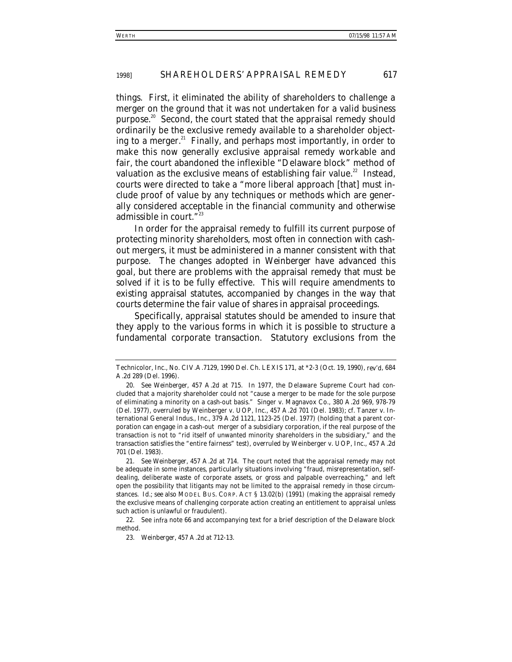things. First, it eliminated the ability of shareholders to challenge a merger on the ground that it was not undertaken for a valid business purpose.<sup>20</sup> Second, the court stated that the appraisal remedy should ordinarily be the exclusive remedy available to a shareholder objecting to a merger. $^{21}$  Finally, and perhaps most importantly, in order to make this now generally exclusive appraisal remedy workable and fair, the court abandoned the inflexible "Delaware block" method of valuation as the exclusive means of establishing fair value.<sup>22</sup> Instead, courts were directed to take a "more liberal approach [that] must include proof of value by any techniques or methods which are generally considered acceptable in the financial community and otherwise admissible in court."<sup>23</sup>

In order for the appraisal remedy to fulfill its current purpose of protecting minority shareholders, most often in connection with cashout mergers, it must be administered in a manner consistent with that purpose. The changes adopted in *Weinberger* have advanced this goal, but there are problems with the appraisal remedy that must be solved if it is to be fully effective. This will require amendments to existing appraisal statutes, accompanied by changes in the way that courts determine the fair value of shares in appraisal proceedings.

Specifically, appraisal statutes should be amended to insure that they apply to the various forms in which it is possible to structure a fundamental corporate transaction. Statutory exclusions from the

Technicolor, Inc., No. CIV.A.7129, 1990 Del. Ch. LEXIS 171, at \*2-3 (Oct. 19, 1990), *rev'd*, 684 A.2d 289 (Del. 1996).

<sup>20</sup>*. See Weinberger*, 457 A.2d at 715. In 1977, the Delaware Supreme Court had concluded that a majority shareholder could not "cause a merger to be made for the sole purpose of eliminating a minority on a cash-out basis." Singer v. Magnavox Co., 380 A.2d 969, 978-79 (Del. 1977), *overruled by* Weinberger v. UOP, Inc., 457 A.2d 701 (Del. 1983); *cf.* Tanzer v. International General Indus., Inc., 379 A.2d 1121, 1123-25 (Del. 1977) (holding that a parent corporation can engage in a cash-out merger of a subsidiary corporation, if the real purpose of the transaction is not to "rid itself of unwanted minority shareholders in the subsidiary," and the transaction satisfies the "entire fairness" test), *overruled by* Weinberger v. UOP, Inc., 457 A.2d 701 (Del. 1983).

<sup>21</sup>*. See Weinberger*, 457 A.2d at 714. The court noted that the appraisal remedy may not be adequate in some instances, particularly situations involving "fraud, misrepresentation, selfdealing, deliberate waste of corporate assets, or gross and palpable overreaching," and left open the possibility that litigants may not be limited to the appraisal remedy in those circumstances. *Id.*; *see also* MODEL BUS. CORP. ACT § 13.02(b) (1991) (making the appraisal remedy the exclusive means of challenging corporate action creating an entitlement to appraisal *unless* such action is unlawful or fraudulent).

<sup>22.</sup> See *infra* note 66 and accompanying text for a brief description of the Delaware block method.

<sup>23</sup>*. Weinberger*, 457 A.2d at 712-13.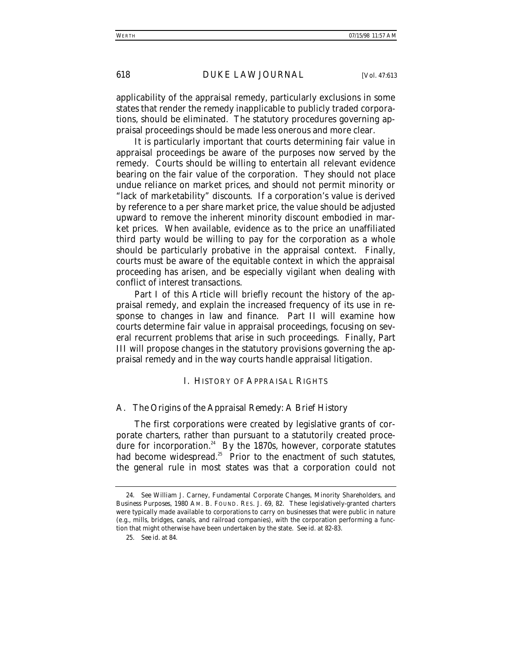applicability of the appraisal remedy, particularly exclusions in some states that render the remedy inapplicable to publicly traded corporations, should be eliminated. The statutory procedures governing appraisal proceedings should be made less onerous and more clear.

It is particularly important that courts determining fair value in appraisal proceedings be aware of the purposes now served by the remedy. Courts should be willing to entertain all relevant evidence bearing on the fair value of the corporation. They should not place undue reliance on market prices, and should not permit minority or "lack of marketability" discounts. If a corporation's value is derived by reference to a per share market price, the value should be adjusted upward to remove the inherent minority discount embodied in market prices. When available, evidence as to the price an unaffiliated third party would be willing to pay for the corporation as a whole should be particularly probative in the appraisal context. Finally, courts must be aware of the equitable context in which the appraisal proceeding has arisen, and be especially vigilant when dealing with conflict of interest transactions.

Part I of this Article will briefly recount the history of the appraisal remedy, and explain the increased frequency of its use in response to changes in law and finance. Part II will examine how courts determine fair value in appraisal proceedings, focusing on several recurrent problems that arise in such proceedings. Finally, Part III will propose changes in the statutory provisions governing the appraisal remedy and in the way courts handle appraisal litigation.

#### I. HISTORY OF APPRAISAL RIGHTS

#### *A. The Origins of the Appraisal Remedy: A Brief History*

The first corporations were created by legislative grants of corporate charters, rather than pursuant to a statutorily created procedure for incorporation. $24$  By the 1870s, however, corporate statutes had become widespread.<sup>25</sup> Prior to the enactment of such statutes, the general rule in most states was that a corporation could not

<sup>24</sup>*. See* William J. Carney, *Fundamental Corporate Changes, Minority Shareholders, and Business Purposes*, 1980 AM. B. FOUND. RES. J. 69, 82. These legislatively-granted charters were typically made available to corporations to carry on businesses that were public in nature (e.g., mills, bridges, canals, and railroad companies), with the corporation performing a function that might otherwise have been undertaken by the state. *See id.* at 82-83.

<sup>25</sup>*. See id.* at 84.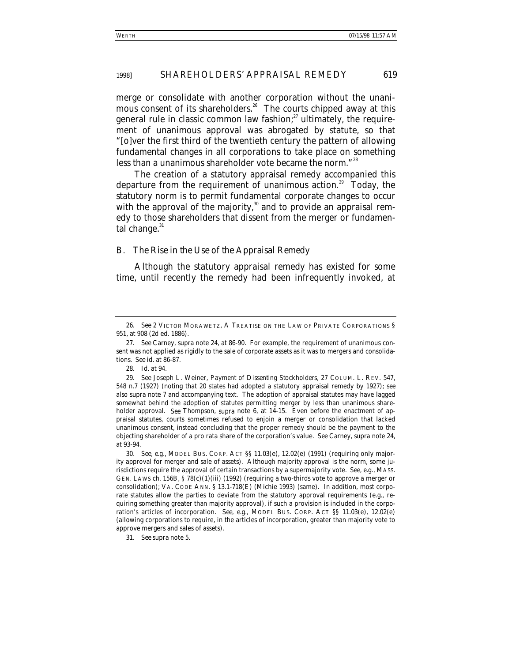merge or consolidate with another corporation without the unanimous consent of its shareholders.<sup>26</sup> The courts chipped away at this general rule in classic common law fashion; $^{27}$  ultimately, the requirement of unanimous approval was abrogated by statute, so that "[o]ver the first third of the twentieth century the pattern of allowing fundamental changes in all corporations to take place on something less than a unanimous shareholder vote became the norm."<sup>28</sup>

The creation of a statutory appraisal remedy accompanied this departure from the requirement of unanimous action.<sup>29</sup> Today, the statutory norm is to permit fundamental corporate changes to occur with the approval of the majority, $30$  and to provide an appraisal remedy to those shareholders that dissent from the merger or fundamental change. $31$ 

#### *B. The Rise in the Use of the Appraisal Remedy*

Although the statutory appraisal remedy has existed for some time, until recently the remedy had been infrequently invoked, at

31*. See supra* note 5.

<sup>26</sup>*. See* 2 VICTOR MORAWETZ, A TREATISE ON THE LAW OF PRIVATE CORPORATIONS § 951, at 908 (2d ed. 1886).

<sup>27</sup>*. See* Carney, *supra* note 24, at 86-90. For example, the requirement of unanimous consent was not applied as rigidly to the sale of corporate assets as it was to mergers and consolidations. *See id.* at 86-87.

<sup>28</sup>*. Id.* at 94.

<sup>29</sup>*. See* Joseph L. Weiner, *Payment of Dissenting Stockholders*, 27 COLUM. L. REV. 547, 548 n.7 (1927) (noting that 20 states had adopted a statutory appraisal remedy by 1927); *see also supra* note 7 and accompanying text. The adoption of appraisal statutes may have lagged somewhat behind the adoption of statutes permitting merger by less than unanimous shareholder approval. *See* Thompson, *supra* note 6, at 14-15. Even before the enactment of appraisal statutes, courts sometimes refused to enjoin a merger or consolidation that lacked unanimous consent, instead concluding that the proper remedy should be the payment to the objecting shareholder of a pro rata share of the corporation's value. *See* Carney, *supra* note 24, at 93-94.

<sup>30</sup>*. See, e.g.*, MODEL BUS. CORP. ACT §§ 11.03(e), 12.02(e) (1991) (requiring only majority approval for merger and sale of assets). Although majority approval is the norm, some jurisdictions require the approval of certain transactions by a supermajority vote. *See, e.g.*, MASS. GEN. LAWS ch.  $156B, \frac{6}{5}78(c)(1)(iii)$  (1992) (requiring a two-thirds vote to approve a merger or consolidation); VA. CODE ANN. § 13.1-718(E) (Michie 1993) (same). In addition, most corporate statutes allow the parties to deviate from the statutory approval requirements (e.g., requiring something greater than majority approval), if such a provision is included in the corporation's articles of incorporation. *See, e.g.*, MODEL BUS. CORP. ACT §§ 11.03(e), 12.02(e) (allowing corporations to require, in the articles of incorporation, greater than majority vote to approve mergers and sales of assets).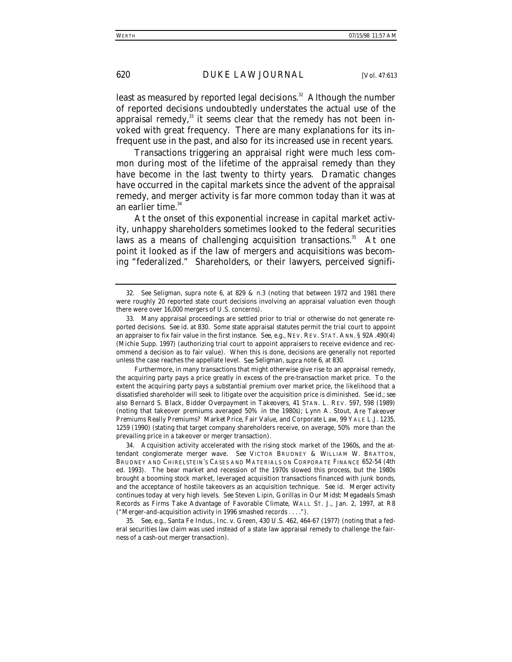least as measured by reported legal decisions.<sup>32</sup> Although the number of reported decisions undoubtedly understates the actual use of the appraisal remedy, $33$  it seems clear that the remedy has not been invoked with great frequency. There are many explanations for its infrequent use in the past, and also for its increased use in recent years.

Transactions triggering an appraisal right were much less common during most of the lifetime of the appraisal remedy than they have become in the last twenty to thirty years. Dramatic changes have occurred in the capital markets since the advent of the appraisal remedy, and merger activity is far more common today than it was at an earlier time.<sup>34</sup>

At the onset of this exponential increase in capital market activity, unhappy shareholders sometimes looked to the federal securities laws as a means of challenging acquisition transactions.<sup>35</sup> At one point it looked as if the law of mergers and acquisitions was becoming "federalized." Shareholders, or their lawyers, perceived signifi-

<sup>32</sup>*. See* Seligman, *supra* note 6, at 829 & n.3 (noting that between 1972 and 1981 there were roughly 20 reported state court decisions involving an appraisal valuation even though there were over 16,000 mergers of U.S. concerns).

<sup>33.</sup> Many appraisal proceedings are settled prior to trial or otherwise do not generate reported decisions. *See id.* at 830. Some state appraisal statutes permit the trial court to appoint an appraiser to fix fair value in the first instance. *See*, *e.g*., NEV. REV. STAT. ANN. § 92A.490(4) (Michie Supp. 1997) (authorizing trial court to appoint appraisers to receive evidence and recommend a decision as to fair value). When this is done, decisions are generally not reported unless the case reaches the appellate level. *See* Seligman, *supra* note 6, at 830.

Furthermore, in many transactions that might otherwise give rise to an appraisal remedy, the acquiring party pays a price greatly in excess of the pre-transaction market price. To the extent the acquiring party pays a substantial premium over market price, the likelihood that a dissatisfied shareholder will seek to litigate over the acquisition price is diminished. *See id.*; *see also* Bernard S. Black, *Bidder Overpayment in Takeovers*, 41 STAN. L. REV. 597, 598 (1989) (noting that takeover premiums averaged 50% in the 1980s); Lynn A. Stout, *Are Takeover Premiums Really Premiums? Market Price, Fair Value, and Corporate Law*, 99 YALE L.J. 1235, 1259 (1990) (stating that target company shareholders receive, on average, 50% more than the prevailing price in a takeover or merger transaction).

<sup>34.</sup> Acquisition activity accelerated with the rising stock market of the 1960s, and the attendant conglomerate merger wave. *See* VICTOR BRUDNEY & WILLIAM W. BRATTON, BRUDNEY AND CHIRELSTEIN'S CASES AND MATERIALS ON CORPORATE FINANCE 652-54 (4th ed. 1993). The bear market and recession of the 1970s slowed this process, but the 1980s brought a booming stock market, leveraged acquisition transactions financed with junk bonds, and the acceptance of hostile takeovers as an acquisition technique. *See id*. Merger activity continues today at very high levels. *See* Steven Lipin, *Gorillas in Our Midst: Megadeals Smash Records as Firms Take Advantage of Favorable Climate*, WALL ST. J., Jan. 2, 1997, at R8 ("Merger-and-acquisition activity in 1996 smashed records . . . .").

<sup>35</sup>*. See, e.g.*, Santa Fe Indus., Inc. v. Green, 430 U.S. 462, 464-67 (1977) (noting that a federal securities law claim was used instead of a state law appraisal remedy to challenge the fairness of a cash-out merger transaction).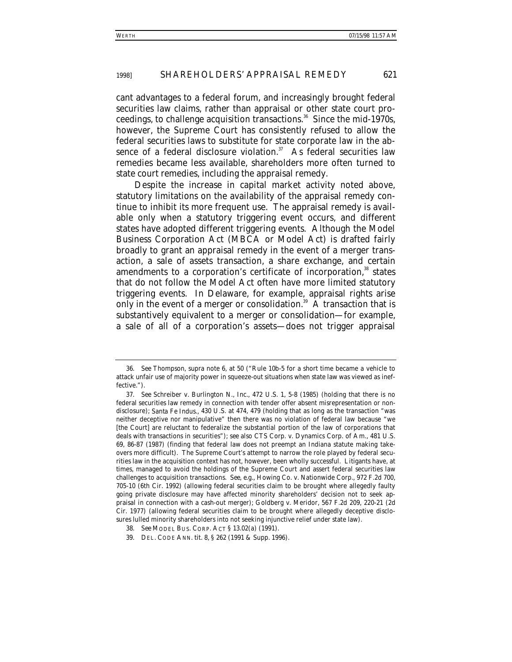cant advantages to a federal forum, and increasingly brought federal securities law claims, rather than appraisal or other state court proceedings, to challenge acquisition transactions.<sup>36</sup> Since the mid-1970s, however, the Supreme Court has consistently refused to allow the federal securities laws to substitute for state corporate law in the absence of a federal disclosure violation. $37$  As federal securities law remedies became less available, shareholders more often turned to state court remedies, including the appraisal remedy.

Despite the increase in capital market activity noted above, statutory limitations on the availability of the appraisal remedy continue to inhibit its more frequent use. The appraisal remedy is available only when a statutory triggering event occurs, and different states have adopted different triggering events. Although the Model Business Corporation Act (MBCA or Model Act) is drafted fairly broadly to grant an appraisal remedy in the event of a merger transaction, a sale of assets transaction, a share exchange, and certain amendments to a corporation's certificate of incorporation,<sup>38</sup> states that do not follow the Model Act often have more limited statutory triggering events. In Delaware, for example, appraisal rights arise only in the event of a merger or consolidation.<sup>39</sup> A transaction that is substantively equivalent to a merger or consolidation—for example, a sale of all of a corporation's assets—does not trigger appraisal

<sup>36</sup>*. See* Thompson, *supra* note 6, at 50 ("Rule 10b-5 for a short time became a vehicle to attack unfair use of majority power in squeeze-out situations when state law was viewed as ineffective.").

<sup>37</sup>*. See* Schreiber v. Burlington N., Inc., 472 U.S. 1, 5-8 (1985) (holding that there is no federal securities law remedy in connection with tender offer absent misrepresentation or nondisclosure); *Santa Fe Indus.,* 430 U.S. at 474, 479 (holding that as long as the transaction "was neither deceptive nor manipulative" then there was no violation of federal law because "we [the Court] are reluctant to federalize the substantial portion of the law of corporations that deals with transactions in securities"); *see also* CTS Corp. v. Dynamics Corp. of Am., 481 U.S. 69, 86-87 (1987) (finding that federal law does not preempt an Indiana statute making takeovers more difficult). The Supreme Court's attempt to narrow the role played by federal securities law in the acquisition context has not, however, been wholly successful. Litigants have, at times, managed to avoid the holdings of the Supreme Court and assert federal securities law challenges to acquisition transactions. *See, e.g.*, Howing Co. v. Nationwide Corp., 972 F.2d 700, 705-10 (6th Cir. 1992) (allowing federal securities claim to be brought where allegedly faulty going private disclosure may have affected minority shareholders' decision not to seek appraisal in connection with a cash-out merger); Goldberg v. Meridor, 567 F.2d 209, 220-21 (2d Cir. 1977) (allowing federal securities claim to be brought where allegedly deceptive disclosures lulled minority shareholders into not seeking injunctive relief under state law).

<sup>38</sup>*. See* MODEL BUS. CORP. ACT § 13.02(a) (1991).

<sup>39.</sup> DEL. CODE ANN. tit. 8, § 262 (1991 & Supp. 1996).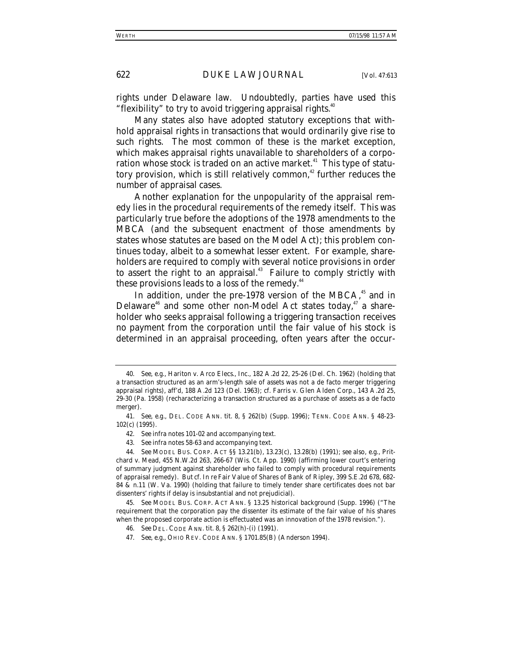rights under Delaware law. Undoubtedly, parties have used this "flexibility" to try to avoid triggering appraisal rights. $40^{\circ}$ 

Many states also have adopted statutory exceptions that withhold appraisal rights in transactions that would ordinarily give rise to such rights. The most common of these is the market exception, which makes appraisal rights unavailable to shareholders of a corporation whose stock is traded on an active market.<sup>41</sup> This type of statutory provision, which is still relatively common,<sup>42</sup> further reduces the number of appraisal cases.

Another explanation for the unpopularity of the appraisal remedy lies in the procedural requirements of the remedy itself. This was particularly true before the adoptions of the 1978 amendments to the MBCA (and the subsequent enactment of those amendments by states whose statutes are based on the Model Act); this problem continues today, albeit to a somewhat lesser extent. For example, shareholders are required to comply with several notice provisions in order to assert the right to an appraisal.<sup>43</sup> Failure to comply strictly with these provisions leads to a loss of the remedy.<sup>44</sup>

In addition, under the pre-1978 version of the MBCA, $45$  and in Delaware<sup>46</sup> and some other non-Model Act states today,<sup>47</sup> a shareholder who seeks appraisal following a triggering transaction receives no payment from the corporation until the fair value of his stock is determined in an appraisal proceeding, often years after the occur-

<sup>40</sup>*. See, e.g.*, Hariton v. Arco Elecs., Inc., 182 A.2d 22, 25-26 (Del. Ch. 1962) (holding that a transaction structured as an arm's-length sale of assets was not a de facto merger triggering appraisal rights), *aff'd*, 188 A.2d 123 (Del. 1963); *cf.* Farris v. Glen Alden Corp., 143 A.2d 25, 29-30 (Pa. 1958) (recharacterizing a transaction structured as a purchase of assets as a de facto merger).

<sup>41</sup>*. See, e.g.*, DEL. CODE ANN. tit. 8, § 262(b) (Supp. 1996); TENN. CODE ANN. § 48-23- 102(c) (1995).

<sup>42</sup>*. See infra* notes 101-02 and accompanying text.

<sup>43</sup>*. See infra* notes 58-63 and accompanying text.

<sup>44</sup>*. See* MODEL BUS. CORP. ACT §§ 13.21(b), 13.23(c), 13.28(b) (1991); *see also, e.g.*, Pritchard v. Mead, 455 N.W.2d 263, 266-67 (Wis. Ct. App. 1990) (affirming lower court's entering of summary judgment against shareholder who failed to comply with procedural requirements of appraisal remedy). *But cf. In re* Fair Value of Shares of Bank of Ripley, 399 S.E.2d 678, 682- 84 & n.11 (W. Va. 1990) (holding that failure to timely tender share certificates does not bar dissenters' rights if delay is insubstantial and not prejudicial).

<sup>45</sup>*. See* MODEL BUS. CORP. ACT ANN. § 13.25 historical background (Supp. 1996) ("The requirement that the corporation pay the dissenter its estimate of the fair value of his shares when the proposed corporate action is effectuated was an innovation of the 1978 revision.").

<sup>46</sup>*. See* DEL. CODE ANN. tit. 8, § 262(h)-(i) (1991).

<sup>47</sup>*. See, e.g*., OHIO REV. CODE ANN. § 1701.85(B) (Anderson 1994).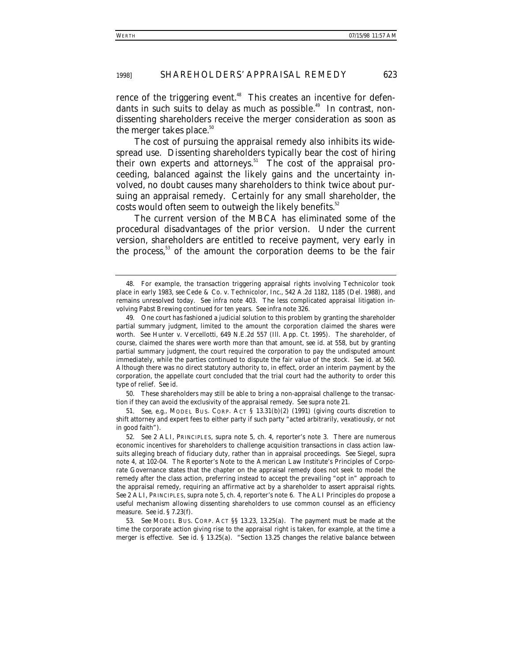rence of the triggering event.<sup>48</sup> This creates an incentive for defendants in such suits to delay as much as possible.<sup>49</sup> In contrast, nondissenting shareholders receive the merger consideration as soon as the merger takes place.<sup>50</sup>

The cost of pursuing the appraisal remedy also inhibits its widespread use. Dissenting shareholders typically bear the cost of hiring their own experts and attorneys.<sup>51</sup> The cost of the appraisal proceeding, balanced against the likely gains and the uncertainty involved, no doubt causes many shareholders to think twice about pursuing an appraisal remedy. Certainly for any small shareholder, the costs would often seem to outweigh the likely benefits.<sup>52</sup>

The current version of the MBCA has eliminated some of the procedural disadvantages of the prior version. Under the current version, shareholders are entitled to receive payment, very early in the process,<sup>53</sup> of the amount the corporation deems to be the fair

50. These shareholders may still be able to bring a non-appraisal challenge to the transaction if they can avoid the exclusivity of the appraisal remedy. *See supra* note 21.

51*. See, e.g.*, MODEL BUS. CORP. ACT § 13.31(b)(2) (1991) (giving courts discretion to shift attorney and expert fees to either party if such party "acted arbitrarily, vexatiously, or not in good faith").

52*. See* 2 ALI, PRINCIPLES, *supra* note 5, ch. 4, reporter's note 3. There are numerous economic incentives for shareholders to challenge acquisition transactions in class action lawsuits alleging breach of fiduciary duty, rather than in appraisal proceedings. *See* Siegel, *supra* note 4, at 102-04. The Reporter's Note to the American Law Institute's Principles of Corporate Governance states that the chapter on the appraisal remedy does not seek to model the remedy after the class action, preferring instead to accept the prevailing "opt in" approach to the appraisal remedy, requiring an affirmative act by a shareholder to assert appraisal rights. *See* 2 ALI, PRINCIPLES, *supra* note 5, ch. 4, reporter's note 6. The ALI Principles do propose a useful mechanism allowing dissenting shareholders to use common counsel as an efficiency measure. *See id.* § 7.23(f).

53*. See* MODEL BUS. CORP. ACT §§ 13.23, 13.25(a). The payment must be made at the time the corporate action giving rise to the appraisal right is taken, for example, at the time a merger is effective. *See id.* § 13.25(a). "Section 13.25 changes the relative balance between

<sup>48.</sup> For example, the transaction triggering appraisal rights involving Technicolor took place in early 1983, *see* Cede & Co. v. Technicolor, Inc., 542 A.2d 1182, 1185 (Del. 1988), and remains unresolved today. *See infra* note 403. The less complicated appraisal litigation involving Pabst Brewing continued for ten years. *See infra* note 326.

<sup>49.</sup> One court has fashioned a judicial solution to this problem by granting the shareholder partial summary judgment, limited to the amount the corporation claimed the shares were worth. *See* Hunter v. Vercellotti, 649 N.E.2d 557 (Ill. App. Ct. 1995). The shareholder, of course, claimed the shares were worth more than that amount, *see id.* at 558, but by granting partial summary judgment, the court required the corporation to pay the undisputed amount immediately, while the parties continued to dispute the fair value of the stock. *See id.* at 560. Although there was no direct statutory authority to, in effect, order an interim payment by the corporation, the appellate court concluded that the trial court had the authority to order this type of relief. *See id.*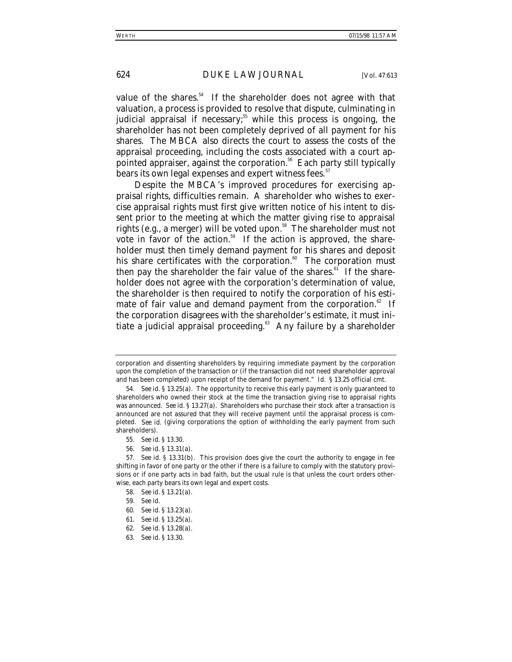value of the shares.<sup>54</sup> If the shareholder does not agree with that valuation, a process is provided to resolve that dispute, culminating in judicial appraisal if necessary;<sup>55</sup> while this process is ongoing, the shareholder has not been completely deprived of all payment for his shares. The MBCA also directs the court to assess the costs of the appraisal proceeding, including the costs associated with a court appointed appraiser, against the corporation.<sup>56</sup> Each party still typically bears its own legal expenses and expert witness fees.<sup>57</sup>

Despite the MBCA's improved procedures for exercising appraisal rights, difficulties remain. A shareholder who wishes to exercise appraisal rights must first give written notice of his intent to dissent prior to the meeting at which the matter giving rise to appraisal rights (e.g., a merger) will be voted upon.<sup>58</sup> The shareholder must not vote in favor of the action. $59$  If the action is approved, the shareholder must then timely demand payment for his shares and deposit his share certificates with the corporation.<sup>60</sup> The corporation must then pay the shareholder the fair value of the shares.<sup>61</sup> If the shareholder does not agree with the corporation's determination of value, the shareholder is then required to notify the corporation of his estimate of fair value and demand payment from the corporation.<sup>62</sup> If the corporation disagrees with the shareholder's estimate, it must initiate a judicial appraisal proceeding. $63$  Any failure by a shareholder

63*. See id*. § 13.30.

corporation and dissenting shareholders by requiring immediate payment by the corporation upon the completion of the transaction or (if the transaction did not need shareholder approval and has been completed) upon receipt of the demand for payment." *Id*. § 13.25 official cmt.

<sup>54</sup>*. See id.* § 13.25(a). The opportunity to receive this early payment is only guaranteed to shareholders who owned their stock at the time the transaction giving rise to appraisal rights was announced. *See id.* § 13.27(a). Shareholders who purchase their stock after a transaction is announced are not assured that they will receive payment until the appraisal process is completed. *See id.* (giving corporations the option of withholding the early payment from such shareholders).

<sup>55</sup>*. See id*. § 13.30.

<sup>56</sup>*. See id*. § 13.31(a).

<sup>57</sup>*. See id*. § 13.31(b). This provision does give the court the authority to engage in fee shifting in favor of one party or the other if there is a failure to comply with the statutory provisions or if one party acts in bad faith, but the usual rule is that unless the court orders otherwise, each party bears its own legal and expert costs.

<sup>58</sup>*. See id.* § 13.21(a).

<sup>59</sup>*. See id.*

<sup>60</sup>*. See id*. § 13.23(a).

<sup>61</sup>*. See id*. § 13.25(a).

<sup>62</sup>*. See id*. § 13.28(a).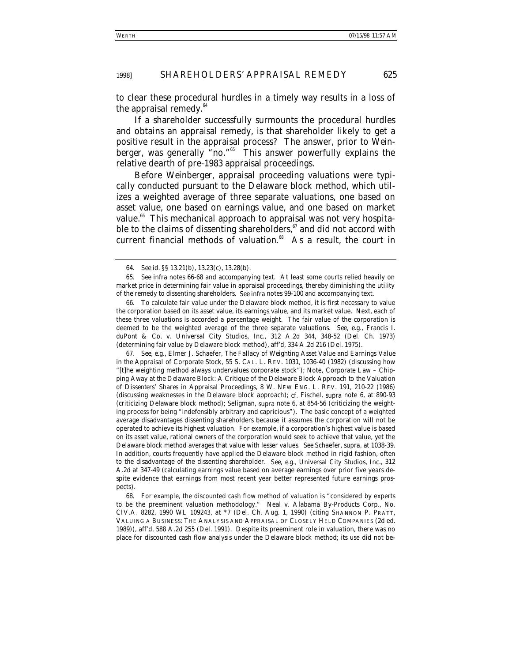to clear these procedural hurdles in a timely way results in a loss of the appraisal remedy. $64$ 

If a shareholder successfully surmounts the procedural hurdles and obtains an appraisal remedy, is that shareholder likely to get a positive result in the appraisal process? The answer, prior to *Weinberger*, was generally "no."65 This answer powerfully explains the relative dearth of pre-1983 appraisal proceedings.

Before *Weinberger*, appraisal proceeding valuations were typically conducted pursuant to the Delaware block method, which utilizes a weighted average of three separate valuations, one based on asset value, one based on earnings value, and one based on market value.<sup>66</sup> This mechanical approach to appraisal was not very hospitable to the claims of dissenting shareholders, $\frac{67}{1}$  and did not accord with current financial methods of valuation. $68$  As a result, the court in

67*. See, e.g.*, Elmer J. Schaefer, *The Fallacy of Weighting Asset Value and Earnings Value in the Appraisal of Corporate Stock*, 55 S. CAL. L. REV. 1031, 1036-40 (1982) (discussing how "[t]he weighting method always undervalues corporate stock"); Note, *Corporate Law – Chipping Away at the Delaware Block: A Critique of the Delaware Block Approach to the Valuation of Dissenters' Shares in Appraisal Proceedings*, 8 W. NEW ENG. L. REV. 191, 210-22 (1986) (discussing weaknesses in the Delaware block approach); *cf.* Fischel, *supra* note 6, at 890-93 (criticizing Delaware block method); Seligman, *supra* note 6, at 854-56 (criticizing the weighting process for being "indefensibly arbitrary and capricious"). The basic concept of a weighted average disadvantages dissenting shareholders because it assumes the corporation will not be operated to achieve its highest valuation. For example, if a corporation's highest value is based on its asset value, rational owners of the corporation would seek to achieve that value, yet the Delaware block method averages that value with lesser values. *See* Schaefer, *supra*, at 1038-39. In addition, courts frequently have applied the Delaware block method in rigid fashion, often to the disadvantage of the dissenting shareholder. *See, e.g.*, *Universal City Studios, Inc*., 312 A.2d at 347-49 (calculating earnings value based on average earnings over prior five years despite evidence that earnings from most recent year better represented future earnings prospects).

68. For example, the discounted cash flow method of valuation is "considered by experts to be the preeminent valuation methodology." Neal v. Alabama By-Products Corp., No. CIV.A. 8282, 1990 WL 109243, at \*7 (Del. Ch. Aug. 1, 1990) (citing SHANNON P. PRATT, VALUING A BUSINESS: THE ANALYSIS AND APPRAISAL OF CLOSELY HELD COMPANIES (2d ed. 1989)), *aff'd*, 588 A.2d 255 (Del. 1991). Despite its preeminent role in valuation, there was no place for discounted cash flow analysis under the Delaware block method; its use did not be-

<sup>64</sup>*. See id*. §§ 13.21(b), 13.23(c), 13.28(b).

<sup>65</sup>*. See infra* notes 66-68 and accompanying text. At least some courts relied heavily on market price in determining fair value in appraisal proceedings, thereby diminishing the utility of the remedy to dissenting shareholders. *See infra* notes 99-100 and accompanying text.

<sup>66.</sup> To calculate fair value under the Delaware block method, it is first necessary to value the corporation based on its asset value, its earnings value, and its market value. Next, each of these three valuations is accorded a percentage weight. The fair value of the corporation is deemed to be the weighted average of the three separate valuations. *See, e.g.*, Francis I. duPont & Co. v. Universal City Studios, Inc., 312 A.2d 344, 348-52 (Del. Ch. 1973) (determining fair value by Delaware block method), *aff'd*, 334 A.2d 216 (Del. 1975).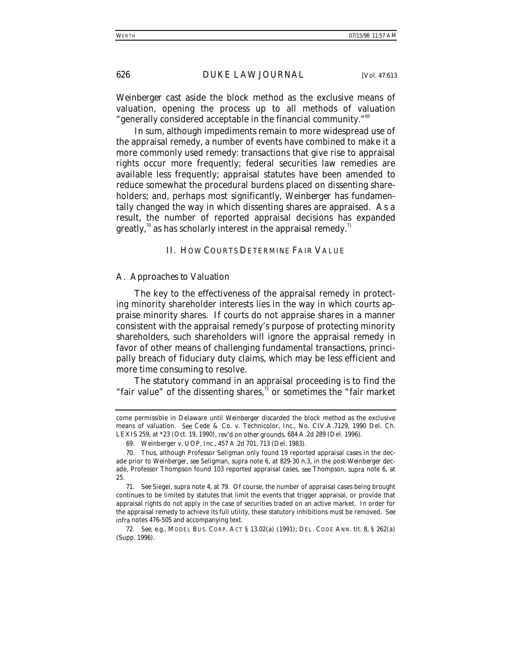*Weinberger* cast aside the block method as the exclusive means of valuation, opening the process up to all methods of valuation "generally considered acceptable in the financial community."69

In sum, although impediments remain to more widespread use of the appraisal remedy, a number of events have combined to make it a more commonly used remedy: transactions that give rise to appraisal rights occur more frequently; federal securities law remedies are available less frequently; appraisal statutes have been amended to reduce somewhat the procedural burdens placed on dissenting shareholders; and, perhaps most significantly, *Weinberger* has fundamentally changed the way in which dissenting shares are appraised. As a result, the number of reported appraisal decisions has expanded greatly,<sup>70</sup> as has scholarly interest in the appraisal remedy.<sup>71</sup>

#### II. HOW COURTS DETERMINE FAIR VALUE

#### *A. Approaches to Valuation*

The key to the effectiveness of the appraisal remedy in protecting minority shareholder interests lies in the way in which courts appraise minority shares. If courts do not appraise shares in a manner consistent with the appraisal remedy's purpose of protecting minority shareholders, such shareholders will ignore the appraisal remedy in favor of other means of challenging fundamental transactions, principally breach of fiduciary duty claims, which may be less efficient and more time consuming to resolve.

The statutory command in an appraisal proceeding is to find the "fair value" of the dissenting shares, $\alpha$ " or sometimes the "fair market"

come permissible in Delaware until *Weinberger* discarded the block method as the exclusive means of valuation. *See* Cede & Co. v. Technicolor, Inc., No. CIV.A.7129, 1990 Del. Ch. LEXIS 259, at \*23 (Oct. 19, 1990), *rev'd on other grounds*, 684 A.2d 289 (Del. 1996).

<sup>69.</sup> Weinberger v. UOP, Inc., 457 A.2d 701, 713 (Del. 1983).

<sup>70.</sup> Thus, although Professor Seligman only found 19 reported appraisal cases in the decade prior to *Weinberger*, *see* Seligman, *supra* note 6, at 829-30 n.3, in the post-*Weinberger* decade, Professor Thompson found 103 reported appraisal cases, *see* Thompson, *supra* note 6, at 25.

<sup>71</sup>*. See* Siegel, *supra* note 4, at 79. Of course, the number of appraisal cases being brought continues to be limited by statutes that limit the events that trigger appraisal, or provide that appraisal rights do not apply in the case of securities traded on an active market. In order for the appraisal remedy to achieve its full utility, these statutory inhibitions must be removed. *See infra* notes 476-505 and accompanying text.

<sup>72</sup>*. See, e.g.*, MODEL BUS. CORP. ACT § 13.02(a) (1991); DEL. CODE ANN. tit. 8, § 262(a) (Supp. 1996).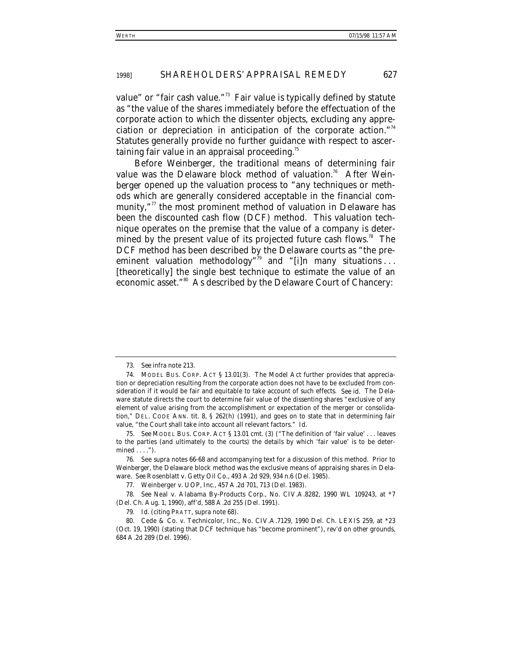value" or "fair cash value."<sup>73</sup> Fair value is typically defined by statute as "the value of the shares immediately before the effectuation of the corporate action to which the dissenter objects, excluding any appreciation or depreciation in anticipation of the corporate action."<sup>4</sup> Statutes generally provide no further guidance with respect to ascertaining fair value in an appraisal proceeding.<sup>75</sup>

Before *Weinberger*, the traditional means of determining fair value was the Delaware block method of valuation.<sup>76</sup> After *Weinberger* opened up the valuation process to "any techniques or methods which are generally considered acceptable in the financial community,"<sup>77</sup> the most prominent method of valuation in Delaware has been the discounted cash flow (DCF) method. This valuation technique operates on the premise that the value of a company is determined by the present value of its projected future cash flows.<sup>78</sup> The DCF method has been described by the Delaware courts as "the preeminent valuation methodology<sup>"79</sup> and "[i]n many situations... [theoretically] the single best technique to estimate the value of an economic asset."<sup>80</sup> As described by the Delaware Court of Chancery:

<sup>73</sup>*. See infra* note 213.

<sup>74.</sup> MODEL BUS. CORP. ACT § 13.01(3). The Model Act further provides that appreciation or depreciation resulting from the corporate action does not have to be excluded from consideration if it would be fair and equitable to take account of such effects. *See id.* The Delaware statute directs the court to determine fair value of the dissenting shares "exclusive of any element of value arising from the accomplishment or expectation of the merger or consolidation," DEL. CODE ANN. tit. 8, § 262(h) (1991), and goes on to state that in determining fair value, "the Court shall take into account all relevant factors." *Id.*

<sup>75</sup>*. See* MODEL BUS. CORP. ACT § 13.01 cmt. (3) ("The definition of 'fair value' . . . leaves to the parties (and ultimately to the courts) the details by which 'fair value' is to be determined . . . .").

<sup>76.</sup> See *supra* notes 66-68 and accompanying text for a discussion of this method. Prior to *Weinberger*, the Delaware block method was the exclusive means of appraising shares in Delaware. *See* Rosenblatt v. Getty Oil Co., 493 A.2d 929, 934 n.6 (Del. 1985).

<sup>77.</sup> Weinberger v. UOP, Inc., 457 A.2d 701, 713 (Del. 1983).

<sup>78</sup>*. See* Neal v. Alabama By-Products Corp., No. CIV.A.8282, 1990 WL 109243, at \*7 (Del. Ch. Aug. 1, 1990), *aff'd*, 588 A.2d 255 (Del. 1991).

<sup>79</sup>*. Id.* (citing PRATT, *supra* note 68).

<sup>80.</sup> Cede & Co. v. Technicolor, Inc., No. CIV.A.7129, 1990 Del. Ch. LEXIS 259, at \*23 (Oct. 19, 1990) (stating that DCF technique has "become prominent"), *rev'd on other grounds*, 684 A.2d 289 (Del. 1996).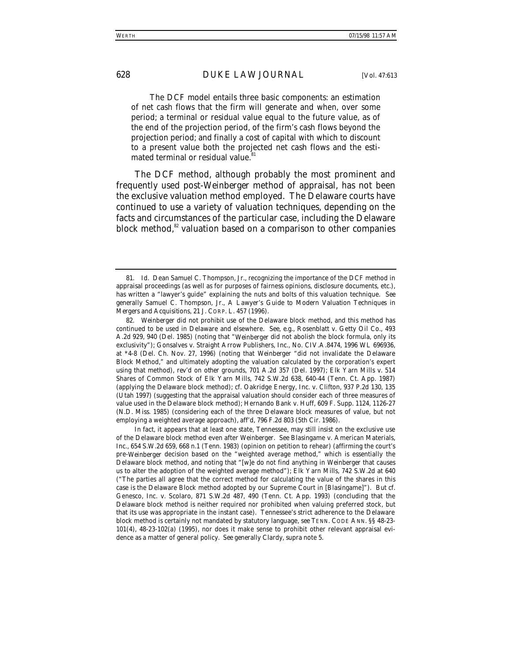The DCF model entails three basic components: an estimation of net cash flows that the firm will generate and when, over some period; a terminal or residual value equal to the future value, as of the end of the projection period, of the firm's cash flows beyond the projection period; and finally a cost of capital with which to discount to a present value both the projected net cash flows and the estimated terminal or residual value.

The DCF method, although probably the most prominent and frequently used post-*Weinberger* method of appraisal, has not been the exclusive valuation method employed. The Delaware courts have continued to use a variety of valuation techniques, depending on the facts and circumstances of the particular case, including the Delaware block method,<sup>82</sup> valuation based on a comparison to other companies

<sup>81</sup>*. Id.* Dean Samuel C. Thompson, Jr., recognizing the importance of the DCF method in appraisal proceedings (as well as for purposes of fairness opinions, disclosure documents, etc.), has written a "lawyer's guide" explaining the nuts and bolts of this valuation technique. *See generally* Samuel C. Thompson, Jr., *A Lawyer's Guide to Modern Valuation Techniques in Mergers and Acquisitions*, 21 J. CORP. L. 457 (1996).

<sup>82</sup>*. Weinberger* did not prohibit use of the Delaware block method, and this method has continued to be used in Delaware and elsewhere. *See, e.g.*, Rosenblatt v. Getty Oil Co., 493 A.2d 929, 940 (Del. 1985) (noting that "*Weinberger* did not abolish the block formula, only its exclusivity"); Gonsalves v. Straight Arrow Publishers, Inc., No. CIV.A.8474, 1996 WL 696936, at \*4-8 (Del. Ch. Nov. 27, 1996) (noting that *Weinberger* "did not invalidate the Delaware Block Method," and ultimately adopting the valuation calculated by the corporation's expert using that method), *rev'd on other grounds*, 701 A.2d 357 (Del. 1997); Elk Yarn Mills v. 514 Shares of Common Stock of Elk Yarn Mills, 742 S.W.2d 638, 640-44 (Tenn. Ct. App. 1987) (applying the Delaware block method); *cf.* Oakridge Energy, Inc. v. Clifton, 937 P.2d 130, 135 (Utah 1997) (suggesting that the appraisal valuation should consider each of three measures of value used in the Delaware block method); Hernando Bank v. Huff, 609 F. Supp. 1124, 1126-27 (N.D. Miss. 1985) (considering each of the three Delaware block measures of value, but not employing a weighted average approach), *aff'd*, 796 F.2d 803 (5th Cir. 1986).

In fact, it appears that at least one state, Tennessee, may still insist on the exclusive use of the Delaware block method even after *Weinberger*. *See* Blasingame v. American Materials, Inc., 654 S.W.2d 659, 668 n.1 (Tenn. 1983) (opinion on petition to rehear) (affirming the court's pre-*Weinberger* decision based on the "weighted average method," which is essentially the Delaware block method, and noting that "[w]e do not find anything in *Weinberger* that causes us to alter the adoption of the weighted average method"); Elk Yarn Mills, 742 S.W.2d at 640 ("The parties all agree that the correct method for calculating the value of the shares in this case is the Delaware Block method adopted by our Supreme Court in [Blasingame]"). *But cf.* Genesco, Inc. v. Scolaro, 871 S.W.2d 487, 490 (Tenn. Ct. App. 1993) (concluding that the Delaware block method is neither required nor prohibited when valuing preferred stock, but that its use was appropriate in the instant case). Tennessee's strict adherence to the Delaware block method is certainly not mandated by statutory language, *see* TENN. CODE ANN. §§ 48-23- 101(4), 48-23-102(a) (1995), nor does it make sense to prohibit other relevant appraisal evidence as a matter of general policy. *See generally* Clardy, *supra* note 5.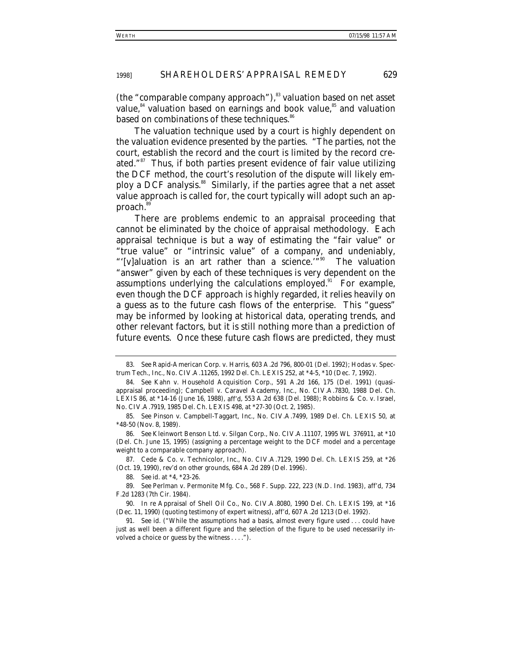(the "comparable company approach"), $\frac{83}{3}$  valuation based on net asset value, $^{84}$  valuation based on earnings and book value, $^{85}$  and valuation based on combinations of these techniques.<sup>86</sup>

The valuation technique used by a court is highly dependent on the valuation evidence presented by the parties. "The parties, not the court, establish the record and the court is limited by the record created."<sup>87</sup> Thus, if both parties present evidence of fair value utilizing the DCF method, the court's resolution of the dispute will likely employ a DCF analysis.<sup>88</sup> Similarly, if the parties agree that a net asset value approach is called for, the court typically will adopt such an approach.<sup>8</sup>

There are problems endemic to an appraisal proceeding that cannot be eliminated by the choice of appraisal methodology. Each appraisal technique is but a way of estimating the "fair value" or "true value" or "intrinsic value" of a company, and undeniably, "'[v]aluation is an art rather than a science.'"90 The valuation "answer" given by each of these techniques is very dependent on the assumptions underlying the calculations employed. $91$  For example, even though the DCF approach is highly regarded, it relies heavily on a guess as to the future cash flows of the enterprise. This "guess" may be informed by looking at historical data, operating trends, and other relevant factors, but it is still nothing more than a prediction of future events. Once these future cash flows are predicted, they must

88*. See id.* at \*4, \*23-26.

<sup>83</sup>*. See* Rapid-American Corp. v. Harris, 603 A.2d 796, 800-01 (Del. 1992); Hodas v. Spectrum Tech., Inc., No. CIV.A.11265, 1992 Del. Ch. LEXIS 252, at \*4-5, \*10 (Dec. 7, 1992).

<sup>84</sup>*. See* Kahn v. Household Acquisition Corp., 591 A.2d 166, 175 (Del. 1991) (quasiappraisal proceeding); Campbell v. Caravel Academy, Inc., No. CIV.A.7830, 1988 Del. Ch. LEXIS 86, at \*14-16 (June 16, 1988), *aff'd*, 553 A.2d 638 (Del. 1988); Robbins & Co. v. Israel, No. CIV.A.7919, 1985 Del. Ch. LEXIS 498, at \*27-30 (Oct. 2, 1985).

<sup>85</sup>*. See* Pinson v. Campbell-Taggart, Inc., No. CIV.A.7499, 1989 Del. Ch. LEXIS 50, at \*48-50 (Nov. 8, 1989).

<sup>86</sup>*. See* Kleinwort Benson Ltd. v. Silgan Corp., No. CIV.A.11107, 1995 WL 376911, at \*10 (Del. Ch. June 15, 1995) (assigning a percentage weight to the DCF model and a percentage weight to a comparable company approach).

<sup>87.</sup> Cede & Co. v. Technicolor, Inc., No. CIV.A.7129, 1990 Del. Ch. LEXIS 259, at \*26 (Oct. 19, 1990), *rev'd on other grounds*, 684 A.2d 289 (Del. 1996).

<sup>89</sup>*. See* Perlman v. Permonite Mfg. Co., 568 F. Supp. 222, 223 (N.D. Ind. 1983), *aff'd*, 734 F.2d 1283 (7th Cir. 1984).

<sup>90</sup>*. In re* Appraisal of Shell Oil Co., No. CIV.A.8080, 1990 Del. Ch. LEXIS 199, at \*16 (Dec. 11, 1990) (quoting testimony of expert witness), *aff'd*, 607 A.2d 1213 (Del. 1992).

<sup>91</sup>*. See id.* ("While the assumptions had a basis, almost every figure used . . . could have just as well been a different figure and the selection of the figure to be used necessarily involved a choice or guess by the witness . . . .").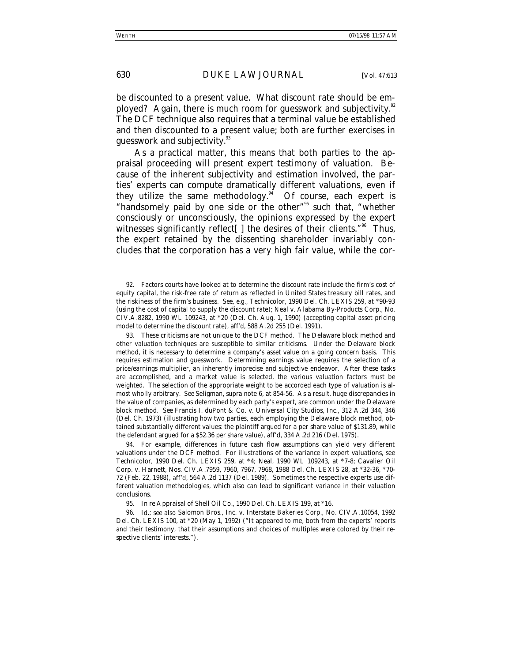be discounted to a present value. What discount rate should be employed? Again, there is much room for guesswork and subjectivity.<sup>92</sup> The DCF technique also requires that a terminal value be established and then discounted to a present value; both are further exercises in guesswork and subjectivity.<sup>93</sup>

As a practical matter, this means that both parties to the appraisal proceeding will present expert testimony of valuation. Because of the inherent subjectivity and estimation involved, the parties' experts can compute dramatically different valuations, even if they utilize the same methodology.<sup>94</sup> Of course, each expert is "handsomely paid by one side or the other"<sup>95</sup> such that, "whether consciously or unconsciously, the opinions expressed by the expert witnesses significantly reflect[] the desires of their clients."<sup>96</sup> Thus, the expert retained by the dissenting shareholder invariably concludes that the corporation has a very high fair value, while the cor-

<sup>92.</sup> Factors courts have looked at to determine the discount rate include the firm's cost of equity capital, the risk-free rate of return as reflected in United States treasury bill rates, and the riskiness of the firm's business. *See, e.g.*, *Technicolor*, 1990 Del. Ch. LEXIS 259, at \*90-93 (using the cost of capital to supply the discount rate); Neal v. Alabama By-Products Corp., No. CIV.A.8282, 1990 WL 109243, at \*20 (Del. Ch. Aug. 1, 1990) (accepting capital asset pricing model to determine the discount rate), *aff'd*, 588 A.2d 255 (Del. 1991).

<sup>93.</sup> These criticisms are not unique to the DCF method. The Delaware block method and other valuation techniques are susceptible to similar criticisms. Under the Delaware block method, it is necessary to determine a company's asset value on a going concern basis. This requires estimation and guesswork. Determining earnings value requires the selection of a price/earnings multiplier, an inherently imprecise and subjective endeavor. After these tasks are accomplished, and a market value is selected, the various valuation factors must be weighted. The selection of the appropriate weight to be accorded each type of valuation is almost wholly arbitrary. *See* Seligman, *supra* note 6, at 854-56. As a result, huge discrepancies in the value of companies, as determined by each party's expert, are common under the Delaware block method. *See* Francis I. duPont & Co. v. Universal City Studios, Inc., 312 A.2d 344, 346 (Del. Ch. 1973) (illustrating how two parties, each employing the Delaware block method, obtained substantially different values: the plaintiff argued for a per share value of \$131.89, while the defendant argued for a \$52.36 per share value), *aff'd*, 334 A.2d 216 (Del. 1975).

<sup>94.</sup> For example, differences in future cash flow assumptions can yield very different valuations under the DCF method. For illustrations of the variance in expert valuations, see *Technicolor*, 1990 Del. Ch. LEXIS 259, at \*4; *Neal*, 1990 WL 109243, at \*7-8; Cavalier Oil Corp. v. Harnett, Nos. CIV.A.7959, 7960, 7967, 7968, 1988 Del. Ch. LEXIS 28, at \*32-36, \*70- 72 (Feb. 22, 1988), *aff'd*, 564 A.2d 1137 (Del. 1989). Sometimes the respective experts use different valuation methodologies, which also can lead to significant variance in their valuation conclusions.

<sup>95</sup>*. In re* Appraisal of Shell Oil Co., 1990 Del. Ch. LEXIS 199, at \*16.

<sup>96</sup>*. Id.*; *see also* Salomon Bros., Inc. v. Interstate Bakeries Corp., No. CIV.A.10054, 1992 Del. Ch. LEXIS 100, at \*20 (May 1, 1992) ("It appeared to me, both from the experts' reports and their testimony, that their assumptions and choices of multiples were colored by their respective clients' interests.").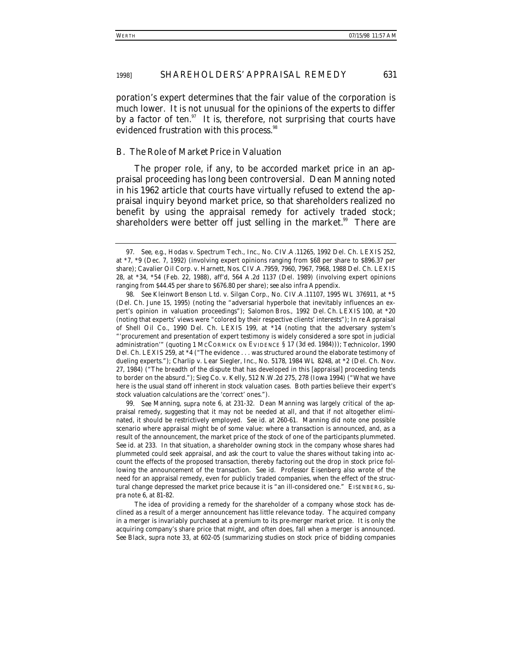poration's expert determines that the fair value of the corporation is much lower. It is not unusual for the opinions of the experts to differ by a factor of ten. $97$  It is, therefore, not surprising that courts have evidenced frustration with this process.<sup>38</sup>

#### *B. The Role of Market Price in Valuation*

The proper role, if any, to be accorded market price in an appraisal proceeding has long been controversial. Dean Manning noted in his 1962 article that courts have virtually refused to extend the appraisal inquiry beyond market price, so that shareholders realized no benefit by using the appraisal remedy for actively traded stock; shareholders were better off just selling in the market.<sup>99</sup> There are

99*. See* Manning, *supra* note 6, at 231-32. Dean Manning was largely critical of the appraisal remedy, suggesting that it may not be needed at all, and that if not altogether eliminated, it should be restrictively employed. *See id.* at 260-61. Manning did note one possible scenario where appraisal might be of some value: where a transaction is announced, and, as a result of the announcement, the market price of the stock of one of the participants plummeted. *See id.* at 233. In that situation, a shareholder owning stock in the company whose shares had plummeted could seek appraisal, and ask the court to value the shares without taking into account the effects of the proposed transaction, thereby factoring out the drop in stock price following the announcement of the transaction. *See id.* Professor Eisenberg also wrote of the need for an appraisal remedy, even for publicly traded companies, when the effect of the structural change depressed the market price because it is "an ill-considered one." EISENBERG, *supra* note 6, at 81-82.

<sup>97</sup>*. See, e.g.*, Hodas v. Spectrum Tech., Inc., No. CIV.A.11265, 1992 Del. Ch. LEXIS 252, at \*7, \*9 (Dec. 7, 1992) (involving expert opinions ranging from \$68 per share to \$896.37 per share); Cavalier Oil Corp. v. Harnett, Nos. CIV.A.7959, 7960, 7967, 7968, 1988 Del. Ch. LEXIS 28, at \*34, \*54 (Feb. 22, 1988), *aff'd*, 564 A.2d 1137 (Del. 1989) (involving expert opinions ranging from \$44.45 per share to \$676.80 per share); *see also infra* Appendix.

<sup>98</sup>*. See* Kleinwort Benson Ltd. v. Silgan Corp., No. CIV.A.11107, 1995 WL 376911, at \*5 (Del. Ch. June 15, 1995) (noting the "adversarial hyperbole that inevitably influences an expert's opinion in valuation proceedings"); *Salomon Bros.*, 1992 Del. Ch. LEXIS 100, at \*20 (noting that experts' views were "colored by their respective clients' interests"); *In re* Appraisal of Shell Oil Co., 1990 Del. Ch. LEXIS 199, at \*14 (noting that the adversary system's "'procurement and presentation of expert testimony is widely considered a sore spot in judicial administration'" (quoting 1 MCCORMICK ON EVIDENCE § 17 (3d ed. 1984))); *Technicolor*, 1990 Del. Ch. LEXIS 259, at \*4 ("The evidence . . . was structured around the elaborate testimony of dueling experts."); Charlip v. Lear Siegler, Inc., No. 5178, 1984 WL 8248, at \*2 (Del. Ch. Nov. 27, 1984) ("The breadth of the dispute that has developed in this [appraisal] proceeding tends to border on the absurd."); Sieg Co. v. Kelly, 512 N.W.2d 275, 278 (Iowa 1994) ("What we have here is the usual stand off inherent in stock valuation cases. Both parties believe their expert's stock valuation calculations are the 'correct' ones.").

The idea of providing a remedy for the shareholder of a company whose stock has declined as a result of a merger announcement has little relevance today. The acquired company in a merger is invariably purchased at a premium to its pre-merger market price. It is only the acquiring company's share price that might, and often does, fall when a merger is announced. *See* Black, *supra* note 33, at 602-05 (summarizing studies on stock price of bidding companies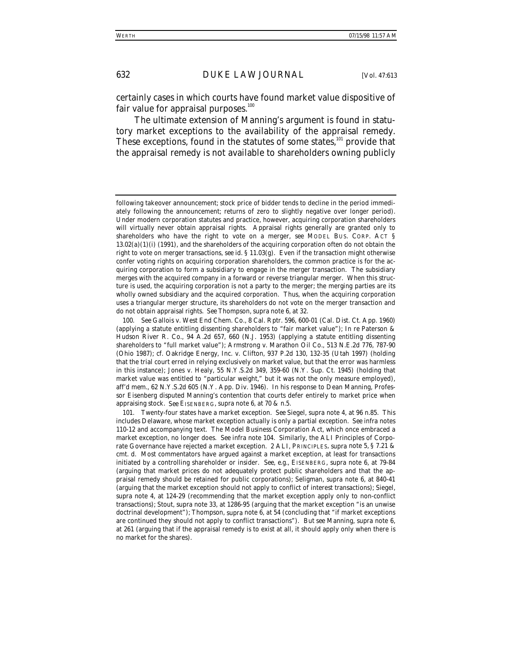certainly cases in which courts have found market value dispositive of fair value for appraisal purposes. $100$ 

The ultimate extension of Manning's argument is found in statutory market exceptions to the availability of the appraisal remedy. These exceptions, found in the statutes of some states,<sup>101</sup> provide that the appraisal remedy is not available to shareholders owning publicly

following takeover announcement; stock price of bidder tends to decline in the period immediately following the announcement; returns of zero to slightly negative over longer period). Under modern corporation statutes and practice, however, acquiring corporation shareholders will virtually never obtain appraisal rights. Appraisal rights generally are granted only to shareholders who have the right to vote on a merger, *see* MODEL BUS. CORP. ACT § 13.02(a)(1)(i) (1991), and the shareholders of the acquiring corporation often do not obtain the right to vote on merger transactions, *see id.* § 11.03(g). Even if the transaction might otherwise confer voting rights on acquiring corporation shareholders, the common practice is for the acquiring corporation to form a subsidiary to engage in the merger transaction. The subsidiary merges with the acquired company in a forward or reverse triangular merger. When this structure is used, the acquiring corporation is not a party to the merger; the merging parties are its wholly owned subsidiary and the acquired corporation. Thus, when the acquiring corporation uses a triangular merger structure, its shareholders do not vote on the merger transaction and do not obtain appraisal rights. *See* Thompson, *supra* note 6, at 32.

<sup>100</sup>*. See* Gallois v. West End Chem. Co., 8 Cal. Rptr. 596, 600-01 (Cal. Dist. Ct. App. 1960) (applying a statute entitling dissenting shareholders to "fair market value"); *In re* Paterson & Hudson River R. Co., 94 A.2d 657, 660 (N.J. 1953) (applying a statute entitling dissenting shareholders to "full market value"); Armstrong v. Marathon Oil Co., 513 N.E.2d 776, 787-90 (Ohio 1987); *cf.* Oakridge Energy, Inc. v. Clifton, 937 P.2d 130, 132-35 (Utah 1997) (holding that the trial court erred in relying exclusively on market value, but that the error was harmless in this instance); Jones v. Healy, 55 N.Y.S.2d 349, 359-60 (N.Y. Sup. Ct. 1945) (holding that market value was entitled to "particular weight," but it was not the only measure employed), *aff'd mem.*, 62 N.Y.S.2d 605 (N.Y. App. Div. 1946). In his response to Dean Manning, Professor Eisenberg disputed Manning's contention that courts defer entirely to market price when appraising stock. *See* EISENBERG, *supra* note 6, at 70 & n.5.

<sup>101.</sup> Twenty-four states have a market exception. *See* Siegel, *supra* note 4, at 96 n.85. This includes Delaware, whose market exception actually is only a partial exception. *See infra* notes 110-12 and accompanying text. The Model Business Corporation Act, which once embraced a market exception, no longer does. *See infra* note 104. Similarly, the ALI Principles of Corporate Governance have rejected a market exception. 2 ALI, PRINCIPLES, *supra* note 5, § 7.21 & cmt. d. Most commentators have argued against a market exception, at least for transactions initiated by a controlling shareholder or insider. *See, e.g.*, EISENBERG, *supra* note 6, at 79-84 (arguing that market prices do not adequately protect public shareholders and that the appraisal remedy should be retained for public corporations); Seligman, *supra* note 6, at 840-41 (arguing that the market exception should not apply to conflict of interest transactions); Siegel, *supra* note 4, at 124-29 (recommending that the market exception apply only to non-conflict transactions); Stout, *supra* note 33, at 1286-95 (arguing that the market exception "is an unwise doctrinal development"); Thompson, *supra* note 6, at 54 (concluding that "if market exceptions are continued they should not apply to conflict transactions"). *But see* Manning, *supra* note 6, at 261 (arguing that if the appraisal remedy is to exist at all, it should apply only when there is no market for the shares).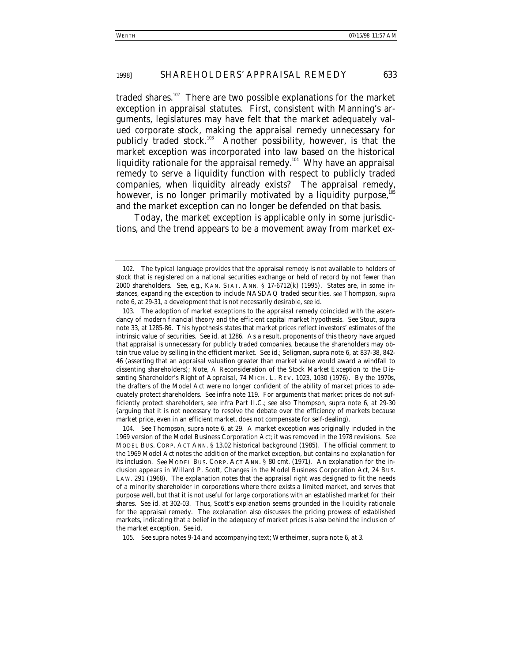traded shares.<sup>102</sup> There are two possible explanations for the market exception in appraisal statutes. First, consistent with Manning's arguments, legislatures may have felt that the market adequately valued corporate stock, making the appraisal remedy unnecessary for publicly traded stock.<sup>103</sup> Another possibility, however, is that the market exception was incorporated into law based on the historical liquidity rationale for the appraisal remedy.<sup>104</sup> Why have an appraisal remedy to serve a liquidity function with respect to publicly traded companies, when liquidity already exists? The appraisal remedy, however, is no longer primarily motivated by a liquidity purpose,<sup>1</sup> and the market exception can no longer be defended on that basis.

Today, the market exception is applicable only in some jurisdictions, and the trend appears to be a movement away from market ex-

105*. See supra* notes 9-14 and accompanying text; Wertheimer, *supra* note 6, at 3.

<sup>102.</sup> The typical language provides that the appraisal remedy is not available to holders of stock that is registered on a national securities exchange or held of record by not fewer than 2000 shareholders. *See, e.g.*, KAN. STAT. ANN. § 17-6712(k) (1995). States are, in some instances, expanding the exception to include NASDAQ traded securities, *see* Thompson, *supra* note 6, at 29-31, a development that is not necessarily desirable, *see id.*

<sup>103.</sup> The adoption of market exceptions to the appraisal remedy coincided with the ascendancy of modern financial theory and the efficient capital market hypothesis. *See* Stout, *supra* note 33, at 1285-86. This hypothesis states that market prices reflect investors' estimates of the intrinsic value of securities. *See id.* at 1286*.* As a result, proponents of this theory have argued that appraisal is unnecessary for publicly traded companies, because the shareholders may obtain true value by selling in the efficient market. *See id.*; Seligman, *supra* note 6, at 837-38, 842- 46 (asserting that an appraisal valuation greater than market value would award a windfall to dissenting shareholders); Note, *A Reconsideration of the Stock Market Exception to the Dissenting Shareholder's Right of Appraisal*, 74 MICH. L. REV. 1023, 1030 (1976). By the 1970s, the drafters of the Model Act were no longer confident of the ability of market prices to adequately protect shareholders. *See infra* note 119. For arguments that market prices do not sufficiently protect shareholders, see *infra* Part II.C.; *see also* Thompson, *supra* note 6, at 29-30 (arguing that it is not necessary to resolve the debate over the efficiency of markets because market price, even in an efficient market, does not compensate for self-dealing).

<sup>104</sup>*. See* Thompson, *supra* note 6, at 29. A market exception was originally included in the 1969 version of the Model Business Corporation Act; it was removed in the 1978 revisions. *See* MODEL BUS. CORP. ACT ANN. § 13.02 historical background (1985). The official comment to the 1969 Model Act notes the addition of the market exception, but contains no explanation for its inclusion. *See* MODEL BUS. CORP. ACT ANN. § 80 cmt. (1971). An explanation for the inclusion appears in Willard P. Scott, *Changes in the Model Business Corporation Act*, 24 BUS. LAW. 291 (1968). The explanation notes that the appraisal right was designed to fit the needs of a minority shareholder in corporations where there exists a limited market, and serves that purpose well, but that it is not useful for large corporations with an established market for their shares. *See id.* at 302-03*.* Thus, Scott's explanation seems grounded in the liquidity rationale for the appraisal remedy. The explanation also discusses the pricing prowess of established markets, indicating that a belief in the adequacy of market prices is also behind the inclusion of the market exception. *See id.*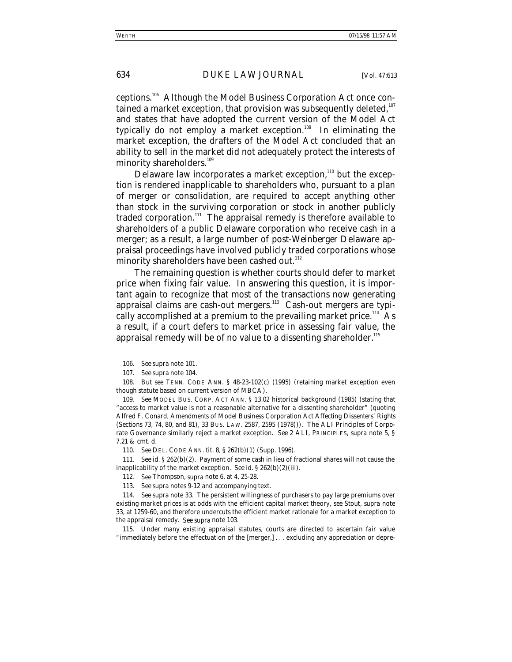ceptions.106 Although the Model Business Corporation Act once contained a market exception, that provision was subsequently deleted,  $107$ and states that have adopted the current version of the Model Act typically do not employ a market exception.<sup>108</sup> In eliminating the market exception, the drafters of the Model Act concluded that an ability to sell in the market did not adequately protect the interests of minority shareholders.<sup>109</sup>

Delaware law incorporates a market exception,<sup>110</sup> but the exception is rendered inapplicable to shareholders who, pursuant to a plan of merger or consolidation, are required to accept anything other than stock in the surviving corporation or stock in another publicly traded corporation.<sup>111</sup> The appraisal remedy is therefore available to shareholders of a public Delaware corporation who receive cash in a merger; as a result, a large number of post-*Weinberger* Delaware appraisal proceedings have involved publicly traded corporations whose minority shareholders have been cashed out.<sup>112</sup>

The remaining question is whether courts should defer to market price when fixing fair value. In answering this question, it is important again to recognize that most of the transactions now generating appraisal claims are cash-out mergers.<sup>113</sup> Cash-out mergers are typically accomplished at a premium to the prevailing market price.<sup>114</sup> As a result, if a court defers to market price in assessing fair value, the appraisal remedy will be of no value to a dissenting shareholder.  $115$ 

<sup>106</sup>*. See supra* note 101.

<sup>107</sup>*. See supra* note 104.

<sup>108</sup>*. But see* TENN. CODE ANN. § 48-23-102(c) (1995) (retaining market exception even though statute based on current version of MBCA).

<sup>109</sup>*. See* MODEL BUS. CORP. ACT ANN. § 13.02 historical background (1985) (stating that "access to market value is not a reasonable alternative for a dissenting shareholder" (quoting Alfred F. Conard, *Amendments of Model Business Corporation Act Affecting Dissenters' Rights (Sections 73, 74, 80, and 81)*, 33 BUS. LAW. 2587, 2595 (1978))). The ALI Principles of Corporate Governance similarly reject a market exception. *See* 2 ALI, PRINCIPLES, *supra* note 5, § 7.21 & cmt. d.

<sup>110</sup>*. See* DEL. CODE ANN. tit. 8, § 262(b)(1) (Supp. 1996).

<sup>111</sup>*. See id.* § 262(b)(2). Payment of some cash in lieu of fractional shares will not cause the inapplicability of the market exception. *See id.* § 262(b)(2)(iii).

<sup>112</sup>*. See* Thompson, *supra* note 6, at 4, 25-28.

<sup>113</sup>*. See supra* notes 9-12 and accompanying text.

<sup>114</sup>*. See supra* note 33. The persistent willingness of purchasers to pay large premiums over existing market prices is at odds with the efficient capital market theory, *see* Stout, *supra* note 33, at 1259-60, and therefore undercuts the efficient market rationale for a market exception to the appraisal remedy. *See supra* note 103.

<sup>115.</sup> Under many existing appraisal statutes, courts are directed to ascertain fair value "immediately before the effectuation of the [merger,] . . . excluding any appreciation or depre-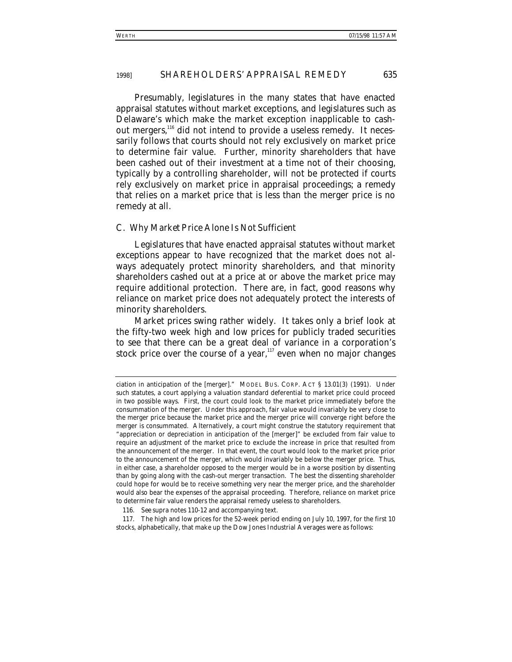Presumably, legislatures in the many states that have enacted appraisal statutes without market exceptions, and legislatures such as Delaware's which make the market exception inapplicable to cashout mergers,<sup>116</sup> did not intend to provide a useless remedy. It necessarily follows that courts should not rely exclusively on market price to determine fair value. Further, minority shareholders that have been cashed out of their investment at a time not of their choosing, typically by a controlling shareholder, will not be protected if courts rely exclusively on market price in appraisal proceedings; a remedy that relies on a market price that is less than the merger price is no remedy at all.

#### *C. Why Market Price Alone Is Not Sufficient*

Legislatures that have enacted appraisal statutes without market exceptions appear to have recognized that the market does not always adequately protect minority shareholders, and that minority shareholders cashed out at a price at or above the market price may require additional protection. There are, in fact, good reasons why reliance on market price does not adequately protect the interests of minority shareholders.

Market prices swing rather widely. It takes only a brief look at the fifty-two week high and low prices for publicly traded securities to see that there can be a great deal of variance in a corporation's stock price over the course of a year, $117$  even when no major changes

ciation in anticipation of the [merger]." MODEL BUS. CORP. ACT § 13.01(3) (1991). Under such statutes, a court applying a valuation standard deferential to market price could proceed in two possible ways. First, the court could look to the market price immediately before the consummation of the merger. Under this approach, fair value would invariably be very close to the merger price because the market price and the merger price will converge right before the merger is consummated. Alternatively, a court might construe the statutory requirement that "appreciation or depreciation in anticipation of the [merger]" be excluded from fair value to require an adjustment of the market price to exclude the increase in price that resulted from the announcement of the merger. In that event, the court would look to the market price prior to the announcement of the merger, which would invariably be below the merger price. Thus, in either case, a shareholder opposed to the merger would be in a worse position by dissenting than by going along with the cash-out merger transaction. The best the dissenting shareholder could hope for would be to receive something very near the merger price, and the shareholder would also bear the expenses of the appraisal proceeding. Therefore, reliance on market price to determine fair value renders the appraisal remedy useless to shareholders.

<sup>116</sup>*. See supra* notes 110-12 and accompanying text.

<sup>117.</sup> The high and low prices for the 52-week period ending on July 10, 1997, for the first 10 stocks, alphabetically, that make up the Dow Jones Industrial Averages were as follows: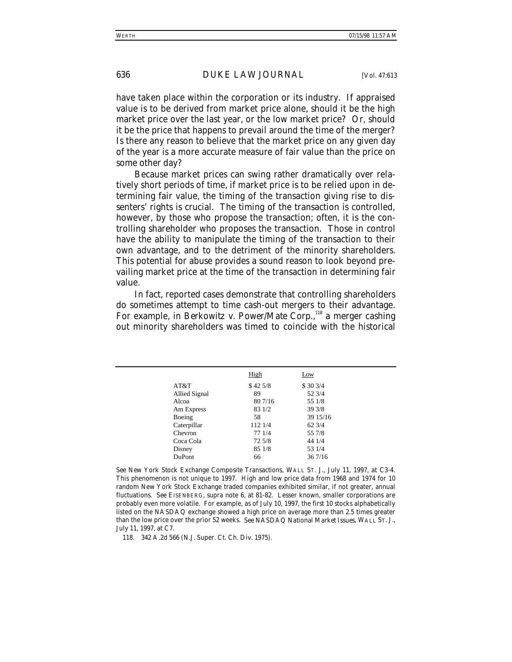have taken place within the corporation or its industry. If appraised value is to be derived from market price alone, should it be the high market price over the last year, or the low market price? Or, should it be the price that happens to prevail around the time of the merger? Is there any reason to believe that the market price on any given day of the year is a more accurate measure of fair value than the price on some other day?

Because market prices can swing rather dramatically over relatively short periods of time, if market price is to be relied upon in determining fair value, the timing of the transaction giving rise to dissenters' rights is crucial. The timing of the transaction is controlled, however, by those who propose the transaction; often, it is the controlling shareholder who proposes the transaction. Those in control have the ability to manipulate the timing of the transaction to their own advantage, and to the detriment of the minority shareholders. This potential for abuse provides a sound reason to look beyond prevailing market price at the time of the transaction in determining fair value.

In fact, reported cases demonstrate that controlling shareholders do sometimes attempt to time cash-out mergers to their advantage. For example, in *Berkowitz v. Power/Mate Corp.*,<sup>118</sup> a merger cashing out minority shareholders was timed to coincide with the historical

|               | High    | Low             |
|---------------|---------|-----------------|
| AT&T          | \$425/8 | \$303/4         |
| Allied Signal | 89      | 52 3/4          |
| Alcoa         | 80 7/16 | 55 1/8          |
| Am Express    | 83 1/2  | 393/8           |
| Boeing        | 58      | 39 15/16        |
| Caterpillar   | 112 1/4 | $62\frac{3}{4}$ |
| Chevron       | 77 1/4  | 55 7/8          |
| Coca Cola     | 72 5/8  | 44 1/4          |
| Disney        | 85 1/8  | 53 1/4          |
| DuPont        | 66      | 367/16          |
|               |         |                 |

*See New York Stock Exchange Composite Transactions*, WALL ST. J., July 11, 1997, at C3-4. This phenomenon is not unique to 1997. High and low price data from 1968 and 1974 for 10 random New York Stock Exchange traded companies exhibited similar, if not greater, annual fluctuations. *See* EISENBERG, *supra* note 6, at 81-82. Lesser known, smaller corporations are probably even more volatile. For example, as of July 10, 1997, the first 10 stocks alphabetically listed on the NASDAQ exchange showed a high price on average more than 2.5 times greater than the low price over the prior 52 weeks. *See NASDAQ National Market Issues*, WALL ST. J., July 11, 1997, at C7.

118. 342 A.2d 566 (N.J. Super. Ct. Ch. Div. 1975).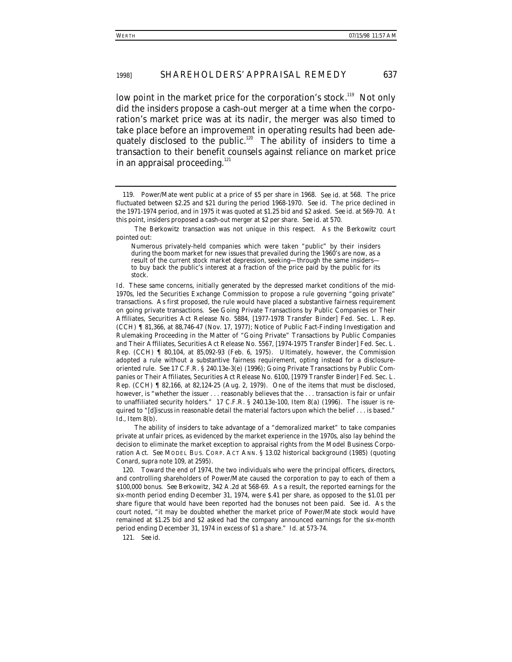low point in the market price for the corporation's stock.<sup>119</sup> Not only did the insiders propose a cash-out merger at a time when the corporation's market price was at its nadir, the merger was also timed to take place before an improvement in operating results had been adequately disclosed to the public.<sup>120</sup> The ability of insiders to time a transaction to their benefit counsels against reliance on market price in an appraisal proceeding.<sup>121</sup>

The *Berkowitz* transaction was not unique in this respect. As the *Berkowitz* court pointed out:

The ability of insiders to take advantage of a "demoralized market" to take companies private at unfair prices, as evidenced by the market experience in the 1970s, also lay behind the decision to eliminate the market exception to appraisal rights from the Model Business Corporation Act. *See* MODEL BUS. CORP. ACT ANN. § 13.02 historical background (1985) (quoting Conard, *supra* note 109, at 2595).

120. Toward the end of 1974, the two individuals who were the principal officers, directors, and controlling shareholders of Power/Mate caused the corporation to pay to each of them a \$100,000 bonus. *See Berkowitz*, 342 A.2d at 568-69. As a result, the reported earnings for the six-month period ending December 31, 1974, were \$.41 per share, as opposed to the \$1.01 per share figure that would have been reported had the bonuses not been paid. *See id.* As the court noted, "it may be doubted whether the market price of Power/Mate stock would have remained at \$1.25 bid and \$2 asked had the company announced earnings for the six-month period ending December 31, 1974 in excess of \$1 a share." *Id.* at 573-74.

121*. See id.*

<sup>119.</sup> Power/Mate went public at a price of \$5 per share in 1968. *See id.* at 568. The price fluctuated between \$2.25 and \$21 during the period 1968-1970. *See id.* The price declined in the 1971-1974 period, and in 1975 it was quoted at \$1.25 bid and \$2 asked. *See id.* at 569-70. At this point, insiders proposed a cash-out merger at \$2 per share. *See id.* at 570.

Numerous privately-held companies which were taken "public" by their insiders during the boom market for new issues that prevailed during the 1960's are now, as a result of the current stock market depression, seeking-through the same insidersto buy back the public's interest at a fraction of the price paid by the public for its stock.

*Id.* These same concerns, initially generated by the depressed market conditions of the mid-1970s, led the Securities Exchange Commission to propose a rule governing "going private" transactions. As first proposed, the rule would have placed a substantive fairness requirement on going private transactions. *See* Going Private Transactions by Public Companies or Their Affiliates, Securities Act Release No. 5884, [1977-1978 Transfer Binder] Fed. Sec. L. Rep. (CCH) ¶ 81,366, at 88,746-47 (Nov. 17, 1977); Notice of Public Fact-Finding Investigation and Rulemaking Proceeding in the Matter of "Going Private" Transactions by Public Companies and Their Affiliates, Securities Act Release No. 5567, [1974-1975 Transfer Binder] Fed. Sec. L. Rep. (CCH) ¶ 80,104, at 85,092-93 (Feb. 6, 1975). Ultimately, however, the Commission adopted a rule without a substantive fairness requirement, opting instead for a disclosureoriented rule. *See* 17 C.F.R. § 240.13e-3(e) (1996); Going Private Transactions by Public Companies or Their Affiliates, Securities Act Release No. 6100, [1979 Transfer Binder] Fed. Sec. L. Rep. (CCH) ¶ 82,166, at 82,124-25 (Aug. 2, 1979). One of the items that must be disclosed, however, is "whether the issuer . . . reasonably believes that the . . . transaction is fair or unfair to unaffiliated security holders." 17 C.F.R. § 240.13e-100, Item 8(a) (1996). The issuer is required to "[d]iscuss in reasonable detail the material factors upon which the belief . . . is based." *Id.*, Item 8(b).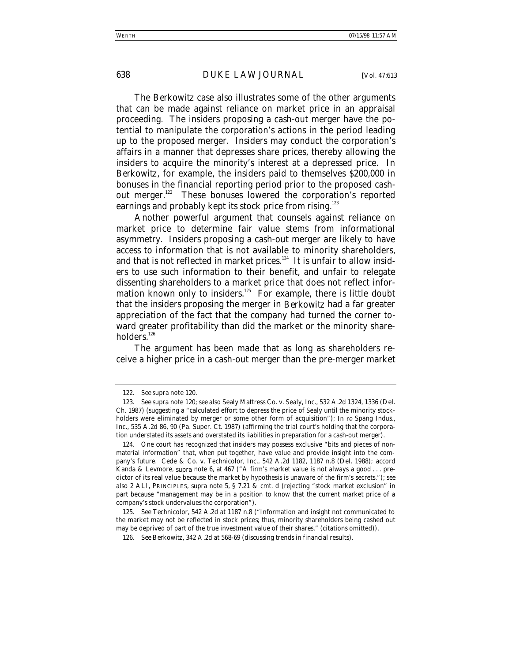The *Berkowitz* case also illustrates some of the other arguments that can be made against reliance on market price in an appraisal proceeding. The insiders proposing a cash-out merger have the potential to manipulate the corporation's actions in the period leading up to the proposed merger. Insiders may conduct the corporation's affairs in a manner that depresses share prices, thereby allowing the insiders to acquire the minority's interest at a depressed price. In *Berkowitz*, for example, the insiders paid to themselves \$200,000 in bonuses in the financial reporting period prior to the proposed cashout merger.<sup>122</sup> These bonuses lowered the corporation's reported earnings and probably kept its stock price from rising.<sup>123</sup>

Another powerful argument that counsels against reliance on market price to determine fair value stems from informational asymmetry. Insiders proposing a cash-out merger are likely to have access to information that is not available to minority shareholders, and that is not reflected in market prices.<sup>124</sup> It is unfair to allow insiders to use such information to their benefit, and unfair to relegate dissenting shareholders to a market price that does not reflect information known only to insiders.<sup>125</sup> For example, there is little doubt that the insiders proposing the merger in *Berkowitz* had a far greater appreciation of the fact that the company had turned the corner toward greater profitability than did the market or the minority shareholders.<sup>126</sup>

The argument has been made that as long as shareholders receive a higher price in a cash-out merger than the pre-merger market

<sup>122</sup>*. See supra* note 120.

<sup>123</sup>*. See supra* note 120; *see also* Sealy Mattress Co. v. Sealy, Inc., 532 A.2d 1324, 1336 (Del. Ch. 1987) (suggesting a "calculated effort to depress the price of Sealy until the minority stockholders were eliminated by merger or some other form of acquisition"); *In re* Spang Indus., Inc., 535 A.2d 86, 90 (Pa. Super. Ct. 1987) (affirming the trial court's holding that the corporation understated its assets and overstated its liabilities in preparation for a cash-out merger).

<sup>124.</sup> One court has recognized that insiders may possess exclusive "bits and pieces of *nonmaterial* information" that, when put together, have value and provide insight into the company's future. Cede & Co. v. Technicolor, Inc., 542 A.2d 1182, 1187 n.8 (Del. 1988); *accord* Kanda & Levmore, *supra* note 6, at 467 ("A firm's market value is not always a good . . . predictor of its real value because the market by hypothesis is unaware of the firm's secrets."); *see also* 2 ALI, PRINCIPLES, *supra* note 5, § 7.21 & cmt. d (rejecting "stock market exclusion" in part because "management may be in a position to know that the current market price of a company's stock undervalues the corporation").

<sup>125</sup>*. See Technicolor*, 542 A.2d at 1187 n.8 ("Information and insight not communicated to the market may not be reflected in stock prices; thus, minority shareholders being cashed out may be deprived of part of the true investment value of their shares." (citations omitted)).

<sup>126</sup>*. See Berkowitz*, 342 A.2d at 568-69 (discussing trends in financial results).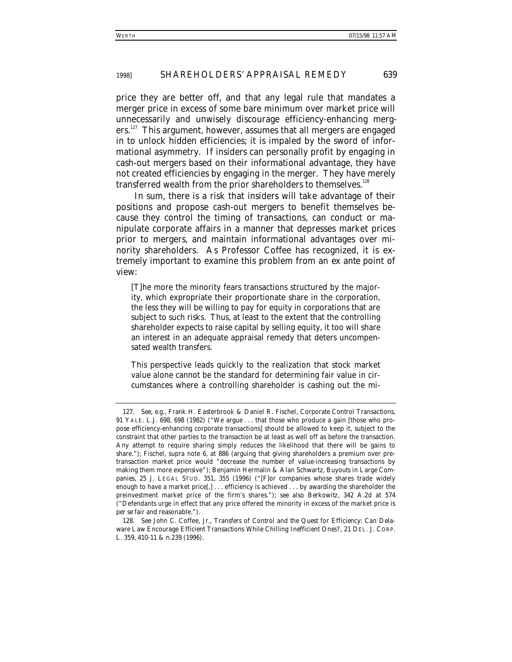price they are better off, and that any legal rule that mandates a merger price in excess of some bare minimum over market price will unnecessarily and unwisely discourage efficiency-enhancing mergers.<sup>127</sup> This argument, however, assumes that all mergers are engaged in to unlock hidden efficiencies; it is impaled by the sword of informational asymmetry. If insiders can personally profit by engaging in cash-out mergers based on their informational advantage, they have not created efficiencies by engaging in the merger. They have merely transferred wealth from the prior shareholders to themselves.<sup>128</sup>

In sum, there is a risk that insiders will take advantage of their positions and propose cash-out mergers to benefit themselves because they control the timing of transactions, can conduct or manipulate corporate affairs in a manner that depresses market prices prior to mergers, and maintain informational advantages over minority shareholders. As Professor Coffee has recognized, it is extremely important to examine this problem from an *ex ante* point of view:

[T]he more the minority fears transactions structured by the majority, which expropriate their proportionate share in the corporation, the less they will be willing to pay for equity in corporations that are subject to such risks. Thus, at least to the extent that the controlling shareholder expects to raise capital by selling equity, it too will share an interest in an adequate appraisal remedy that deters uncompensated wealth transfers.

This perspective leads quickly to the realization that stock market value alone cannot be the standard for determining fair value in circumstances where a controlling shareholder is cashing out the mi-

<sup>127</sup>*. See, e.g.*, Frank H. Easterbrook & Daniel R. Fischel, *Corporate Control Transactions*, 91 YALE. L.J. 698, 698 (1982) ("We argue . . . that those who produce a gain [those who propose efficiency-enhancing corporate transactions] should be allowed to keep it, subject to the constraint that other parties to the transaction be at least as well off as before the transaction. Any attempt to require sharing simply reduces the likelihood that there will be gains to share."); Fischel, *supra* note 6, at 886 (arguing that giving shareholders a premium over pretransaction market price would "decrease the number of value-increasing transactions by making them more expensive"); Benjamin Hermalin & Alan Schwartz, *Buyouts in Large Companies*, 25 J. LEGAL STUD. 351, 355 (1996) ("[F]or companies whose shares trade widely enough to have a market price[,] . . . efficiency is achieved . . . by awarding the shareholder the preinvestment market price of the firm's shares."); *see also Berkowitz*, 342 A.2d at 574 ("Defendants urge in effect that any price offered the minority in excess of the market price is *per se* fair and reasonable.").

<sup>128</sup>*. See* John C. Coffee, Jr., *Transfers of Control and the Quest for Efficiency: Can Delaware Law Encourage Efficient Transactions While Chilling Inefficient Ones?*, 21 DEL. J. CORP. L. 359, 410-11 & n.239 (1996).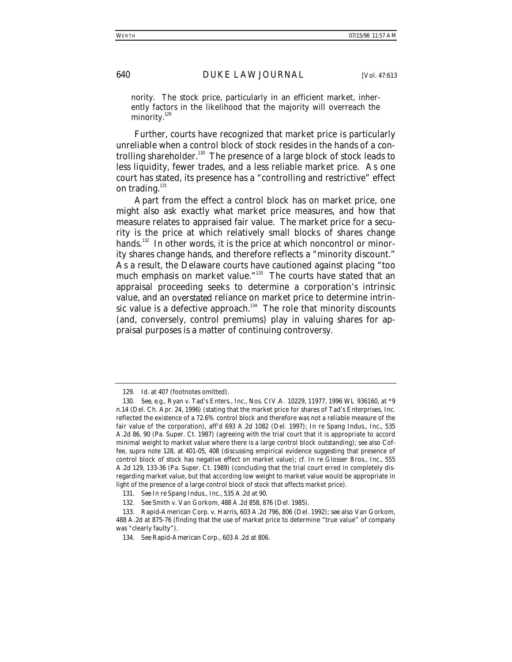nority. The stock price, particularly in an efficient market, inherently factors in the likelihood that the majority will overreach the minority.<sup>129</sup>

Further, courts have recognized that market price is particularly unreliable when a control block of stock resides in the hands of a controlling shareholder.<sup>130</sup> The presence of a large block of stock leads to less liquidity, fewer trades, and a less reliable market price. As one court has stated, its presence has a "controlling and restrictive" effect on trading. $^{131}$ 

Apart from the effect a control block has on market price, one might also ask exactly what market price measures, and how that measure relates to appraised fair value. The market price for a security is the price at which relatively small blocks of shares change hands.<sup>132</sup> In other words, it is the price at which noncontrol or minority shares change hands, and therefore reflects a "minority discount." As a result, the Delaware courts have cautioned against placing "too much emphasis on market value."<sup>133</sup> The courts have stated that an appraisal proceeding seeks to determine a corporation's intrinsic value, and an *overstated* reliance on market price to determine intrinsic value is a defective approach.<sup>134</sup> The role that minority discounts (and, conversely, control premiums) play in valuing shares for appraisal purposes is a matter of continuing controversy.

<sup>129</sup>*. Id.* at 407 (footnotes omitted).

<sup>130</sup>*. See, e.g.*, Ryan v. Tad's Enters., Inc., Nos. CIV.A. 10229, 11977, 1996 WL 936160, at \*9 n.14 (Del. Ch. Apr. 24, 1996) (stating that the market price for shares of Tad's Enterprises, Inc. reflected the existence of a 72.6% control block and therefore was not a reliable measure of the fair value of the corporation), *aff'd* 693 A.2d 1082 (Del. 1997); *In re* Spang Indus., Inc., 535 A.2d 86, 90 (Pa. Super. Ct. 1987) (agreeing with the trial court that it is appropriate to accord minimal weight to market value where there is a large control block outstanding); *see also* Coffee, *supra* note 128, at 401-05, 408 (discussing empirical evidence suggesting that presence of control block of stock has negative effect on market value); *cf. In re* Glosser Bros., Inc., 555 A.2d 129, 133-36 (Pa. Super. Ct. 1989) (concluding that the trial court erred in completely disregarding market value, but that according low weight to market value would be appropriate in light of the presence of a large control block of stock that affects market price).

<sup>131</sup>*. See In re* Spang Indus., Inc., 535 A.2d at 90.

<sup>132</sup>*. See* Smith v. Van Gorkom, 488 A.2d 858, 876 (Del. 1985).

<sup>133.</sup> Rapid-American Corp. v. Harris, 603 A.2d 796, 806 (Del. 1992); *see also Van Gorkom*, 488 A.2d at 875-76 (finding that the use of market price to determine "true value" of company was "clearly faulty").

<sup>134</sup>*. See Rapid-American Corp*., 603 A.2d at 806.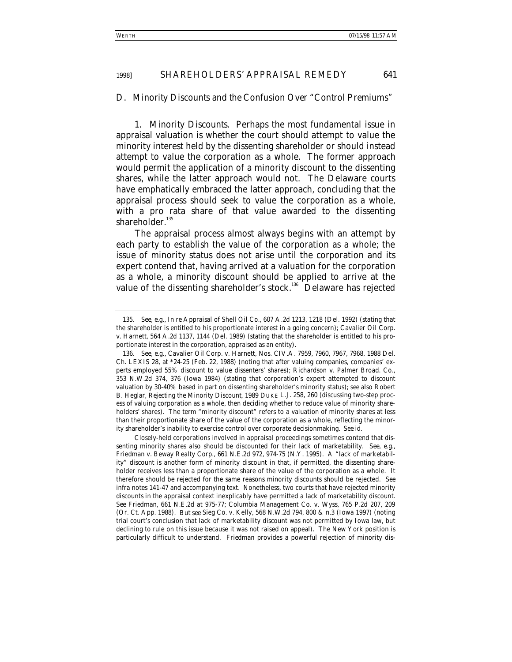#### *D. Minority Discounts and the Confusion Over "Control Premiums"*

1. *Minority Discounts*. Perhaps the most fundamental issue in appraisal valuation is whether the court should attempt to value the minority interest held by the dissenting shareholder or should instead attempt to value the corporation as a whole. The former approach would permit the application of a minority discount to the dissenting shares, while the latter approach would not. The Delaware courts have emphatically embraced the latter approach, concluding that the appraisal process should seek to value the corporation as a whole, with a pro rata share of that value awarded to the dissenting shareholder.<sup>135</sup>

The appraisal process almost always begins with an attempt by each party to establish the value of the corporation as a whole; the issue of minority status does not arise until the corporation and its expert contend that, having arrived at a valuation for the corporation as a whole, a minority discount should be applied to arrive at the value of the dissenting shareholder's stock.<sup>136</sup> Delaware has rejected

Closely-held corporations involved in appraisal proceedings sometimes contend that dissenting minority shares also should be discounted for their lack of marketability. *See, e.g*., Friedman v. Beway Realty Corp., 661 N.E.2d 972, 974-75 (N.Y. 1995). A "lack of marketability" discount is another form of minority discount in that, if permitted, the dissenting shareholder receives less than a proportionate share of the value of the corporation as a whole. It therefore should be rejected for the same reasons minority discounts should be rejected. *See infra* notes 141-47 and accompanying text. Nonetheless, two courts that have rejected minority discounts in the appraisal context inexplicably have permitted a lack of marketability discount. *See Friedman*, 661 N.E.2d at 975-77; Columbia Management Co. v. Wyss, 765 P.2d 207, 209 (Or. Ct. App. 1988). *But see* Sieg Co. v. Kelly, 568 N.W.2d 794, 800 & n.3 (Iowa 1997) (noting trial court's conclusion that lack of marketability discount was not permitted by Iowa law, but declining to rule on this issue because it was not raised on appeal). The New York position is particularly difficult to understand. *Friedman* provides a powerful rejection of minority dis-

<sup>135</sup>*. See, e.g.*, *In re* Appraisal of Shell Oil Co., 607 A.2d 1213, 1218 (Del. 1992) (stating that the shareholder is entitled to his proportionate interest in a going concern); Cavalier Oil Corp. v. Harnett, 564 A.2d 1137, 1144 (Del. 1989) (stating that the shareholder is entitled to his proportionate interest in the corporation, appraised as an entity).

<sup>136</sup>*. See, e.g.*, Cavalier Oil Corp. v. Harnett, Nos. CIV.A. 7959, 7960, 7967, 7968, 1988 Del. Ch. LEXIS 28, at \*24-25 (Feb. 22, 1988) (noting that after valuing companies, companies' experts employed 55% discount to value dissenters' shares); Richardson v. Palmer Broad. Co., 353 N.W.2d 374, 376 (Iowa 1984) (stating that corporation's expert attempted to discount valuation by 30-40% based in part on dissenting shareholder's minority status); *see also* Robert B. Heglar, *Rejecting the Minority Discount*, 1989 DUKE L.J. 258, 260 (discussing two-step process of valuing corporation as a whole, then deciding whether to reduce value of minority shareholders' shares). The term "minority discount" refers to a valuation of minority shares at less than their proportionate share of the value of the corporation as a whole, reflecting the minority shareholder's inability to exercise control over corporate decisionmaking. *See id.*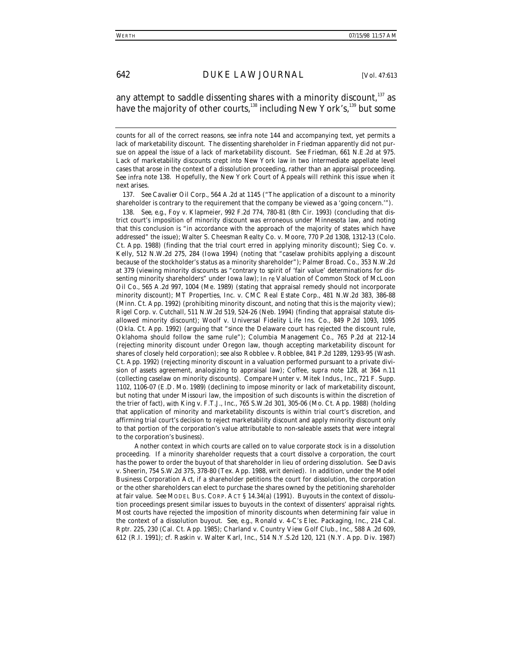### any attempt to saddle dissenting shares with a minority discount,<sup>137</sup> as have the majority of other courts, <sup>138</sup> including New York's, <sup>139</sup> but some

137*. See Cavalier Oil Corp*., 564 A.2d at 1145 ("The application of a discount to a minority shareholder is contrary to the requirement that the company be viewed as a 'going concern.'").

138*. See, e.g.*, Foy v. Klapmeier, 992 F.2d 774, 780-81 (8th Cir. 1993) (concluding that district court's imposition of minority discount was erroneous under Minnesota law, and noting that this conclusion is "in accordance with the approach of the majority of states which have addressed" the issue); Walter S. Cheesman Realty Co. v. Moore, 770 P.2d 1308, 1312-13 (Colo. Ct. App. 1988) (finding that the trial court erred in applying minority discount); Sieg Co. v. Kelly, 512 N.W.2d 275, 284 (Iowa 1994) (noting that "caselaw prohibits applying a discount because of the stockholder's status as a minority shareholder"); *Palmer Broad. Co.*, 353 N.W.2d at 379 (viewing minority discounts as "contrary to spirit of 'fair value' determinations for dissenting minority shareholders" under Iowa law); *In re* Valuation of Common Stock of McLoon Oil Co., 565 A.2d 997, 1004 (Me. 1989) (stating that appraisal remedy should not incorporate minority discount); MT Properties, Inc. v. CMC Real Estate Corp., 481 N.W.2d 383, 386-88 (Minn. Ct. App. 1992) (prohibiting minority discount, and noting that this is the majority view); Rigel Corp. v. Cutchall, 511 N.W.2d 519, 524-26 (Neb. 1994) (finding that appraisal statute disallowed minority discount); Woolf v. Universal Fidelity Life Ins. Co., 849 P.2d 1093, 1095 (Okla. Ct. App. 1992) (arguing that "since the Delaware court has rejected the discount rule, Oklahoma should follow the same rule"); *Columbia Management Co*., 765 P.2d at 212-14 (rejecting minority discount under Oregon law, though accepting marketability discount for shares of closely held corporation); *see also* Robblee v. Robblee, 841 P.2d 1289, 1293-95 (Wash. Ct. App. 1992) (rejecting minority discount in a valuation performed pursuant to a private division of assets agreement, analogizing to appraisal law); Coffee, *supra* note 128, at 364 n.11 (collecting caselaw on minority discounts). *Compare* Hunter v. Mitek Indus., Inc., 721 F. Supp. 1102, 1106-07 (E.D. Mo. 1989) (declining to impose minority or lack of marketability discount, but noting that under Missouri law, the imposition of such discounts is within the discretion of the trier of fact), *with* King v. F.T.J., Inc., 765 S.W.2d 301, 305-06 (Mo. Ct. App. 1988) (holding that application of minority and marketability discounts is within trial court's discretion, and affirming trial court's decision to reject marketability discount and apply minority discount only to that portion of the corporation's value attributable to non-saleable assets that were integral to the corporation's business).

Another context in which courts are called on to value corporate stock is in a dissolution proceeding. If a minority shareholder requests that a court dissolve a corporation, the court has the power to order the buyout of that shareholder in lieu of ordering dissolution. *See* Davis v. Sheerin, 754 S.W.2d 375, 378-80 (Tex. App. 1988, writ denied). In addition, under the Model Business Corporation Act, if a shareholder petitions the court for dissolution, the corporation or the other shareholders can elect to purchase the shares owned by the petitioning shareholder at fair value. *See* MODEL BUS. CORP. ACT § 14.34(a) (1991). Buyouts in the context of dissolution proceedings present similar issues to buyouts in the context of dissenters' appraisal rights. Most courts have rejected the imposition of minority discounts when determining fair value in the context of a dissolution buyout. *See, e.g.*, Ronald v. 4-C's Elec. Packaging, Inc., 214 Cal. Rptr. 225, 230 (Cal. Ct. App. 1985); Charland v. Country View Golf Club., Inc., 588 A.2d 609, 612 (R.I. 1991); *cf.* Raskin v. Walter Karl, Inc., 514 N.Y.S.2d 120, 121 (N.Y. App. Div. 1987)

counts for all of the correct reasons, *see infra* note 144 and accompanying text, yet permits a lack of marketability discount. The dissenting shareholder in *Friedman* apparently did not pursue on appeal the issue of a lack of marketability discount. *See Friedman*, 661 N.E.2d at 975. Lack of marketability discounts crept into New York law in two intermediate appellate level cases that arose in the context of a dissolution proceeding, rather than an appraisal proceeding. *See infra* note 138. Hopefully, the New York Court of Appeals will rethink this issue when it next arises.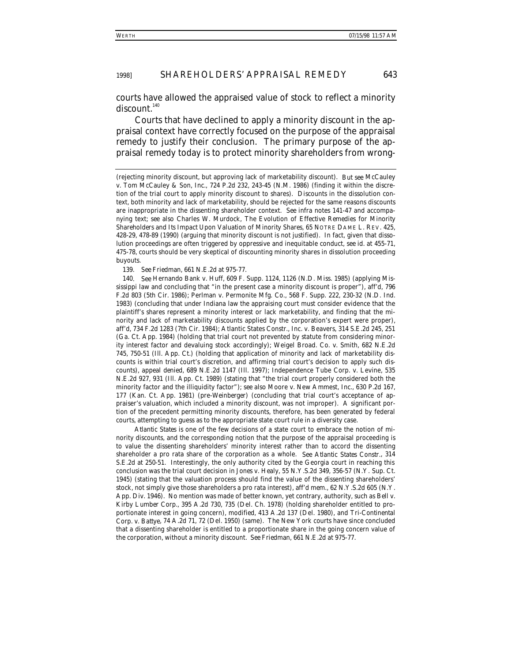courts have allowed the appraised value of stock to reflect a minority  $discount<sup>140</sup>$ 

Courts that have declined to apply a minority discount in the appraisal context have correctly focused on the purpose of the appraisal remedy to justify their conclusion. The primary purpose of the appraisal remedy today is to protect minority shareholders from wrong-

139*. See Friedman*, 661 N.E.2d at 975-77.

140*. See* Hernando Bank v. Huff, 609 F. Supp. 1124, 1126 (N.D. Miss. 1985) (applying Mississippi law and concluding that "in the present case a minority discount is proper"), *aff'd*, 796 F.2d 803 (5th Cir. 1986); Perlman v. Permonite Mfg. Co., 568 F. Supp. 222, 230-32 (N.D. Ind. 1983) (concluding that under Indiana law the appraising court must consider evidence that the plaintiff's shares represent a minority interest or lack marketability, and finding that the minority and lack of marketability discounts applied by the corporation's expert were proper), *aff'd*, 734 F.2d 1283 (7th Cir. 1984); Atlantic States Constr., Inc. v. Beavers, 314 S.E.2d 245, 251 (Ga. Ct. App. 1984) (holding that trial court not prevented by statute from considering minority interest factor and devaluing stock accordingly); Weigel Broad. Co. v. Smith, 682 N.E.2d 745, 750-51 (Ill. App. Ct.) (holding that application of minority and lack of marketability discounts is within trial court's discretion, and affirming trial court's decision to apply such discounts), *appeal denied*, 689 N.E.2d 1147 (Ill. 1997); Independence Tube Corp. v. Levine, 535 N.E.2d 927, 931 (Ill. App. Ct. 1989) (stating that "the trial court properly considered both the minority factor and the illiquidity factor"); *see also* Moore v. New Ammest, Inc., 630 P.2d 167, 177 (Kan. Ct. App. 1981) (pre-*Weinberger*) (concluding that trial court's acceptance of appraiser's valuation, which included a minority discount, was not improper). A significant portion of the precedent permitting minority discounts, therefore, has been generated by federal courts, attempting to guess as to the appropriate state court rule in a diversity case.

*Atlantic States* is one of the few decisions of a state court to embrace the notion of minority discounts, and the corresponding notion that the purpose of the appraisal proceeding is to value the dissenting shareholders' minority interest rather than to accord the dissenting shareholder a pro rata share of the corporation as a whole. *See Atlantic States Constr.*, 314 S.E.2d at 250-51. Interestingly, the only authority cited by the Georgia court in reaching this conclusion was the trial court decision in *Jones v. Healy*, 55 N.Y.S.2d 349, 356-57 (N.Y. Sup. Ct. 1945) (stating that the valuation process should find the value of the dissenting shareholders' stock, not simply give those shareholders a pro rata interest), *aff'd mem.*, 62 N.Y.S.2d 605 (N.Y. App. Div. 1946). No mention was made of better known, yet contrary, authority, such as *Bell v. Kirby Lumber Corp.*, 395 A.2d 730, 735 (Del. Ch. 1978) (holding shareholder entitled to proportionate interest in going concern), *modified*, 413 A.2d 137 (Del. 1980), and *Tri-Continental Corp. v. Battye*, 74 A.2d 71, 72 (Del. 1950) (same). The New York courts have since concluded that a dissenting shareholder is entitled to a proportionate share in the going concern value of the corporation, without a minority discount. *See Friedman*, 661 N.E.2d at 975-77.

<sup>(</sup>rejecting minority discount, but approving lack of marketability discount). *But see* McCauley v. Tom McCauley & Son, Inc., 724 P.2d 232, 243-45 (N.M. 1986) (finding it within the discretion of the trial court to apply minority discount to shares). Discounts in the dissolution context, both minority and lack of marketability, should be rejected for the same reasons discounts are inappropriate in the dissenting shareholder context. *See infra* notes 141-47 and accompanying text; *see also* Charles W. Murdock, *The Evolution of Effective Remedies for Minority Shareholders and Its Impact Upon Valuation of Minority Shares*, 65 NOTRE DAME L. REV. 425, 428-29, 478-89 (1990) (arguing that minority discount is not justified). In fact, given that dissolution proceedings are often triggered by oppressive and inequitable conduct, *see id.* at 455-71, 475-78, courts should be very skeptical of discounting minority shares in dissolution proceeding buyouts.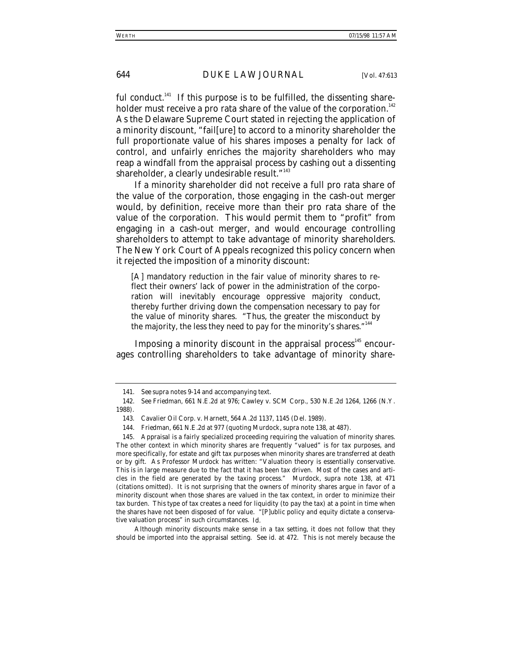ful conduct.<sup> $141$ </sup> If this purpose is to be fulfilled, the dissenting shareholder must receive a pro rata share of the value of the corporation.<sup>142</sup> As the Delaware Supreme Court stated in rejecting the application of a minority discount, "fail[ure] to accord to a minority shareholder the full proportionate value of his shares imposes a penalty for lack of control, and unfairly enriches the majority shareholders who may reap a windfall from the appraisal process by cashing out a dissenting shareholder, a clearly undesirable result."<sup>143</sup>

If a minority shareholder did not receive a full pro rata share of the value of the corporation, those engaging in the cash-out merger would, by definition, receive more than their pro rata share of the value of the corporation. This would permit them to "profit" from engaging in a cash-out merger, and would encourage controlling shareholders to attempt to take advantage of minority shareholders. The New York Court of Appeals recognized this policy concern when it rejected the imposition of a minority discount:

[A] mandatory reduction in the fair value of minority shares to reflect their owners' lack of power in the administration of the corporation will inevitably encourage oppressive majority conduct, thereby further driving down the compensation necessary to pay for the value of minority shares. "Thus, the greater the misconduct by the majority, the less they need to pay for the minority's shares."<sup>14</sup>

Imposing a minority discount in the appraisal process $145$  encourages controlling shareholders to take advantage of minority share-

Although minority discounts make sense in a tax setting, it does not follow that they should be imported into the appraisal setting. *See id.* at 472. This is not merely because the

<sup>141</sup>*. See supra* notes 9-14 and accompanying text.

<sup>142</sup>*. See Friedman*, 661 N.E.2d at 976; Cawley v. SCM Corp., 530 N.E.2d 1264, 1266 (N.Y. 1988).

<sup>143.</sup> Cavalier Oil Corp. v. Harnett*,* 564 A.2d 1137, 1145 (Del. 1989).

<sup>144</sup>*. Friedman*, 661 N.E.2d at 977 (quoting Murdock, *supra* note 138, at 487).

<sup>145.</sup> Appraisal is a fairly specialized proceeding requiring the valuation of minority shares. The other context in which minority shares are frequently "valued" is for tax purposes, and more specifically, for estate and gift tax purposes when minority shares are transferred at death or by gift. As Professor Murdock has written: "Valuation theory is essentially conservative. This is in large measure due to the fact that it has been tax driven. Most of the cases and articles in the field are generated by the taxing process." Murdock, *supra* note 138, at 471 (citations omitted). It is not surprising that the owners of minority shares argue in favor of a minority discount when those shares are valued in the tax context, in order to minimize their tax burden. This type of tax creates a need for liquidity (to pay the tax) at a point in time when the shares have not been disposed of for value. "[P]ublic policy and equity dictate a conservative valuation process" in such circumstances. *Id.*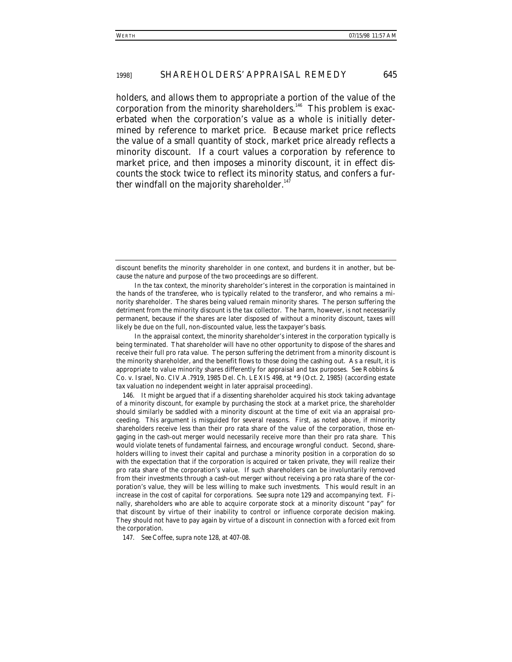holders, and allows them to appropriate a portion of the value of the corporation from the minority shareholders.<sup>146</sup> This problem is exacerbated when the corporation's value as a whole is initially determined by reference to market price. Because market price reflects the value of a small quantity of stock, market price already reflects a minority discount. If a court values a corporation by reference to market price, and then imposes a minority discount, it in effect discounts the stock twice to reflect its minority status, and confers a further windfall on the majority shareholder.<sup>147</sup>

In the appraisal context, the minority shareholder's interest in the corporation typically is being terminated. That shareholder will have no other opportunity to dispose of the shares and receive their full pro rata value. The person suffering the detriment from a minority discount is the minority shareholder, and the benefit flows to those doing the cashing out. As a result, it is appropriate to value minority shares differently for appraisal and tax purposes. *See* Robbins & Co. v. Israel, No. CIV.A.7919, 1985 Del. Ch. LEXIS 498, at \*9 (Oct. 2, 1985) (according estate tax valuation no independent weight in later appraisal proceeding).

146. It might be argued that if a dissenting shareholder acquired his stock taking advantage of a minority discount, for example by purchasing the stock at a market price, the shareholder should similarly be saddled with a minority discount at the time of exit via an appraisal proceeding. This argument is misguided for several reasons. First, as noted above, if minority shareholders receive less than their pro rata share of the value of the corporation, those engaging in the cash-out merger would necessarily receive more than their pro rata share. This would violate tenets of fundamental fairness, and encourage wrongful conduct. Second, shareholders willing to invest their capital and purchase a minority position in a corporation do so with the expectation that if the corporation is acquired or taken private, they will realize their pro rata share of the corporation's value. If such shareholders can be involuntarily removed from their investments through a cash-out merger without receiving a pro rata share of the corporation's value, they will be less willing to make such investments. This would result in an increase in the cost of capital for corporations. *See supra* note 129 and accompanying text. Finally, shareholders who are able to acquire corporate stock at a minority discount "pay" for that discount by virtue of their inability to control or influence corporate decision making. They should not have to pay again by virtue of a discount in connection with a forced exit from the corporation.

147*. See* Coffee, *supra* note 128, at 407-08.

discount benefits the minority shareholder in one context, and burdens it in another, but because the nature and purpose of the two proceedings are so different.

In the tax context, the minority shareholder's interest in the corporation is maintained in the hands of the transferee, who is typically related to the transferor, and who remains a minority shareholder. The shares being valued remain minority shares. The person suffering the detriment from the minority discount is the tax collector. The harm, however, is not necessarily permanent, because if the shares are later disposed of without a minority discount, taxes will likely be due on the full, non-discounted value, less the taxpayer's basis.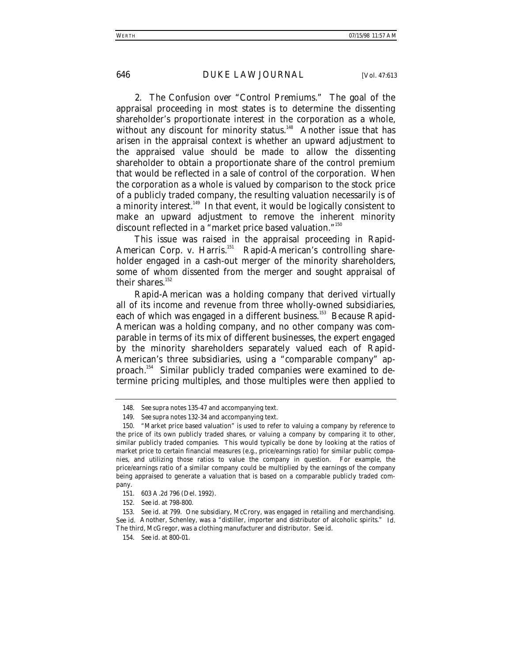2. *The Confusion over "Control Premiums."* The goal of the appraisal proceeding in most states is to determine the dissenting shareholder's proportionate interest in the corporation as a whole, without any discount for minority status.<sup>148</sup> Another issue that has arisen in the appraisal context is whether an upward adjustment to the appraised value should be made to allow the dissenting shareholder to obtain a proportionate share of the control premium that would be reflected in a sale of control of the corporation. When the corporation as a whole is valued by comparison to the stock price of a publicly traded company, the resulting valuation necessarily is of a minority interest.<sup>149</sup> In that event, it would be logically consistent to make an upward adjustment to remove the inherent minority discount reflected in a "market price based valuation."<sup>150</sup>

This issue was raised in the appraisal proceeding in *Rapid-*American Corp. v. Harris.<sup>151</sup> Rapid-American's controlling shareholder engaged in a cash-out merger of the minority shareholders, some of whom dissented from the merger and sought appraisal of their shares. $152$ 

Rapid-American was a holding company that derived virtually all of its income and revenue from three wholly-owned subsidiaries, each of which was engaged in a different business.<sup>153</sup> Because Rapid-American was a holding company, and no other company was comparable in terms of its mix of different businesses, the expert engaged by the minority shareholders separately valued each of Rapid-American's three subsidiaries, using a "comparable company" approach.<sup>154</sup> Similar publicly traded companies were examined to determine pricing multiples, and those multiples were then applied to

<sup>148</sup>*. See supra* notes 135-47 and accompanying text.

<sup>149</sup>*. See supra* notes 132-34 and accompanying text.

<sup>150. &</sup>quot;Market price based valuation" is used to refer to valuing a company by reference to the price of its own publicly traded shares, or valuing a company by comparing it to other, similar publicly traded companies. This would typically be done by looking at the ratios of market price to certain financial measures (e.g., price/earnings ratio) for similar public companies, and utilizing those ratios to value the company in question. For example, the price/earnings ratio of a similar company could be multiplied by the earnings of the company being appraised to generate a valuation that is based on a comparable publicly traded company.

<sup>151. 603</sup> A.2d 796 (Del. 1992).

<sup>152</sup>*. See id.* at 798-800.

<sup>153</sup>*. See id.* at 799. One subsidiary, McCrory, was engaged in retailing and merchandising. *See id.* Another, Schenley, was a "distiller, importer and distributor of alcoholic spirits." *Id.* The third, McGregor, was a clothing manufacturer and distributor. *See id*.

<sup>154</sup>*. See id.* at 800-01.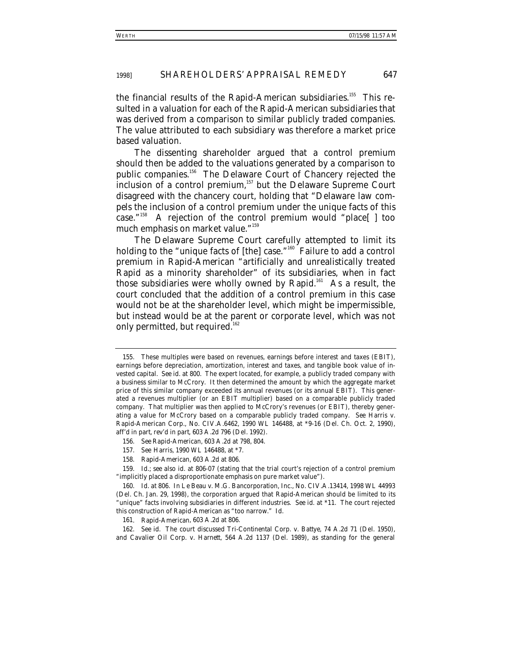the financial results of the Rapid-American subsidiaries.<sup>155</sup> This resulted in a valuation for each of the Rapid-American subsidiaries that was derived from a comparison to similar *publicly traded* companies. The value attributed to each subsidiary was therefore a market price based valuation.

The dissenting shareholder argued that a control premium should then be added to the valuations generated by a comparison to public companies.<sup>156</sup> The Delaware Court of Chancery rejected the inclusion of a control premium,<sup>157</sup> but the Delaware Supreme Court disagreed with the chancery court, holding that "Delaware law *compels* the inclusion of a control premium under the unique facts of this case."158 A rejection of the control premium would "place[ ] too much emphasis on market value."159

The Delaware Supreme Court carefully attempted to limit its holding to the "unique facts of [the] case."<sup>160</sup> Failure to add a control premium in *Rapid-American* "artificially and unrealistically treated Rapid as a minority shareholder" of its subsidiaries, when in fact those subsidiaries were wholly owned by Rapid.<sup>161</sup> As a result, the court concluded that the addition of a control premium in this case would not be at the shareholder level, which might be impermissible, but instead would be at the parent or corporate level, which was not only permitted, but required.<sup>162</sup>

162*. See id.* The court discussed *Tri-Continental Corp. v. Battye*, 74 A.2d 71 (Del. 1950), and *Cavalier Oil Corp. v. Harnett*, 564 A.2d 1137 (Del. 1989), as standing for the general

<sup>155.</sup> These multiples were based on revenues, earnings before interest and taxes (EBIT), earnings before depreciation, amortization, interest and taxes, and tangible book value of invested capital. *See id.* at 800. The expert located, for example, a publicly traded company with a business similar to McCrory. It then determined the amount by which the aggregate market price of this similar company exceeded its annual revenues (or its annual EBIT). This generated a revenues multiplier (or an EBIT multiplier) based on a comparable publicly traded company. That multiplier was then applied to McCrory's revenues (or EBIT), thereby generating a value for McCrory based on a comparable publicly traded company. *See* Harris v. Rapid-American Corp., No. CIV.A.6462, 1990 WL 146488, at \*9-16 (Del. Ch. Oct. 2, 1990), *aff'd in part, rev'd in part*, 603 A.2d 796 (Del. 1992).

<sup>156</sup>*. See Rapid-American*, 603 A.2d at 798, 804.

<sup>157</sup>*. See Harris*, 1990 WL 146488, at \*7.

<sup>158</sup>*. Rapid-American*, 603 A.2d at 806.

<sup>159</sup>*. Id.*; *see also id.* at 806-07 (stating that the trial court's rejection of a control premium "implicitly placed a disproportionate emphasis on pure market value").

<sup>160</sup>*. Id.* at 806. In *Le Beau v. M.G. Bancorporation, Inc.*, No. CIV.A.13414, 1998 WL 44993 (Del. Ch. Jan. 29, 1998), the corporation argued that *Rapid-American* should be limited to its "unique" facts involving subsidiaries in different industries. *See id.* at \*11. The court rejected this construction of *Rapid-American* as "too narrow." *Id.*

<sup>161</sup>*. Rapid-American*, 603 A.2d at 806.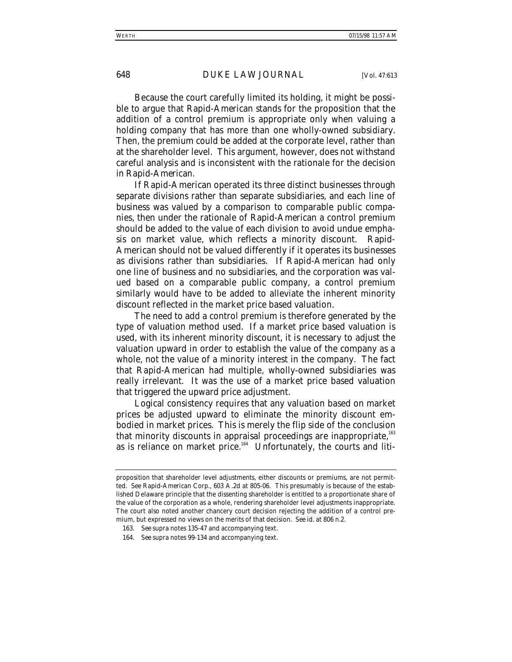Because the court carefully limited its holding, it might be possible to argue that *Rapid-American* stands for the proposition that the addition of a control premium is appropriate only when valuing a holding company that has more than one wholly-owned subsidiary. Then, the premium could be added at the corporate level, rather than at the shareholder level. This argument, however, does not withstand careful analysis and is inconsistent with the rationale for the decision in *Rapid-American*.

If Rapid-American operated its three distinct businesses through separate divisions rather than separate subsidiaries, and each line of business was valued by a comparison to comparable public companies, then under the rationale of *Rapid-American* a control premium should be added to the value of each division to avoid undue emphasis on market value, which reflects a minority discount. Rapid-American should not be valued differently if it operates its businesses as divisions rather than subsidiaries. If Rapid-American had only one line of business and no subsidiaries, and the corporation was valued based on a comparable public company, a control premium similarly would have to be added to alleviate the inherent minority discount reflected in the market price based valuation.

The need to add a control premium is therefore generated by the type of valuation method used. If a market price based valuation is used, with its inherent minority discount, it is necessary to adjust the valuation upward in order to establish the value of the company as a whole, not the value of a minority interest in the company. The fact that Rapid-American had multiple, wholly-owned subsidiaries was really irrelevant. It was the use of a market price based valuation that triggered the upward price adjustment.

Logical consistency requires that any valuation based on market prices be adjusted upward to eliminate the minority discount embodied in market prices. This is merely the flip side of the conclusion that minority discounts in appraisal proceedings are inappropriate,<sup>163</sup> as is reliance on market price.<sup>164</sup> Unfortunately, the courts and liti-

proposition that shareholder level adjustments, either discounts or premiums, are not permitted. *See Rapid-American Corp*., 603 A.2d at 805-06. This presumably is because of the established Delaware principle that the dissenting shareholder is entitled to a proportionate share of the value of the corporation as a whole, rendering shareholder level adjustments inappropriate. The court also noted another chancery court decision rejecting the addition of a control premium, but expressed no views on the merits of that decision. *See id.* at 806 n.2.

<sup>163</sup>*. See supra* notes 135-47 and accompanying text.

<sup>164</sup>*. See supra* notes 99-134 and accompanying text.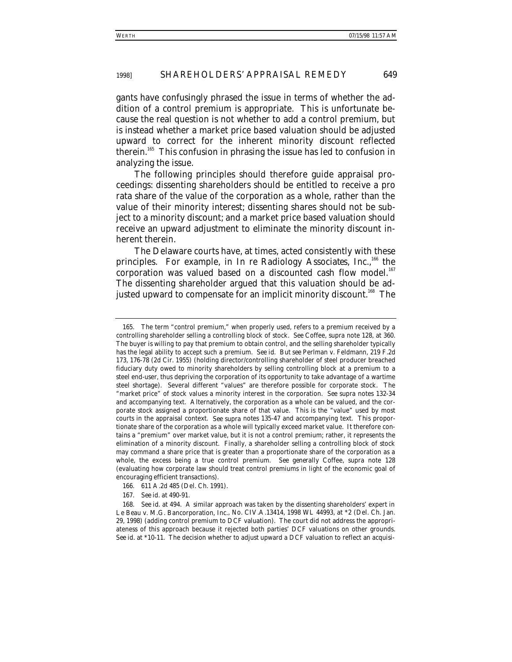gants have confusingly phrased the issue in terms of whether the addition of a control premium is appropriate. This is unfortunate because the real question is not whether to add a control premium, but is instead whether a market price based valuation should be adjusted upward to correct for the inherent minority discount reflected therein.<sup>165</sup> This confusion in phrasing the issue has led to confusion in analyzing the issue.

The following principles should therefore guide appraisal proceedings: dissenting shareholders should be entitled to receive a pro rata share of the value of the corporation as a whole, rather than the value of their minority interest; dissenting shares should not be subject to a minority discount; and a market price based valuation should receive an upward adjustment to eliminate the minority discount inherent therein.

The Delaware courts have, at times, acted consistently with these principles. For example, in *In re Radiology Associates, Inc.*,<sup>166</sup> the corporation was valued based on a discounted cash flow model.<sup>167</sup> The dissenting shareholder argued that this valuation should be adjusted upward to compensate for an implicit minority discount.<sup>168</sup> The

166. 611 A.2d 485 (Del. Ch. 1991).

<sup>165.</sup> The term "control premium," when properly used, refers to a premium received by a controlling shareholder selling a controlling block of stock. *See* Coffee, *supra* note 128, at 360. The buyer is willing to pay that premium to obtain control, and the selling shareholder typically has the legal ability to accept such a premium. *See id. But see* Perlman v. Feldmann, 219 F.2d 173, 176-78 (2d Cir. 1955) (holding director/controlling shareholder of steel producer breached fiduciary duty owed to minority shareholders by selling controlling block at a premium to a steel end-user, thus depriving the corporation of its opportunity to take advantage of a wartime steel shortage). Several different "values" are therefore possible for corporate stock. The "market price" of stock values a minority interest in the corporation. *See supra* notes 132-34 and accompanying text. Alternatively, the corporation as a whole can be valued, and the corporate stock assigned a proportionate share of that value. This is the "value" used by most courts in the appraisal context. *See supra* notes 135-47 and accompanying text. This proportionate share of the corporation as a whole will typically exceed market value. It therefore contains a "premium" over market value, but it is not a control premium; rather, it represents the elimination of a minority discount. Finally, a shareholder selling a controlling block of stock may command a share price that is greater than a proportionate share of the corporation as a whole, the excess being a true control premium. *See generally* Coffee, *supra* note 128 (evaluating how corporate law should treat control premiums in light of the economic goal of encouraging efficient transactions).

<sup>167</sup>*. See id.* at 490-91.

<sup>168</sup>*. See id.* at 494. A similar approach was taken by the dissenting shareholders' expert in *Le Beau v. M.G. Bancorporation, Inc.*, No. CIV.A.13414, 1998 WL 44993, at \*2 (Del. Ch. Jan. 29, 1998) (adding control premium to DCF valuation). The court did not address the appropriateness of this approach because it rejected both parties' DCF valuations on other grounds. *See id.* at \*10-11. The decision whether to adjust upward a DCF valuation to reflect an acquisi-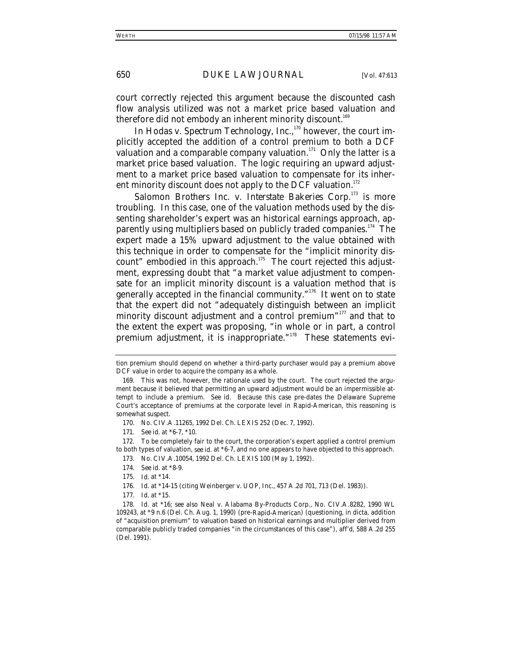court correctly rejected this argument because the discounted cash flow analysis utilized was not a market price based valuation and therefore did not embody an inherent minority discount.<sup>169</sup>

In *Hodas v. Spectrum Technology, Inc.*, 170 however, the court implicitly accepted the addition of a control premium to both a DCF valuation and a comparable company valuation.<sup>171</sup> Only the latter is a market price based valuation. The logic requiring an upward adjustment to a market price based valuation to compensate for its inherent minority discount does not apply to the DCF valuation.<sup>172</sup>

*Salomon Brothers Inc. v. Interstate Bakeries Corp.*173 is more troubling. In this case, one of the valuation methods used by the dissenting shareholder's expert was an historical earnings approach, apparently using multipliers based on publicly traded companies.<sup>174</sup> The expert made a 15% upward adjustment to the value obtained with this technique in order to compensate for the "implicit minority discount" embodied in this approach. $175$  The court rejected this adjustment, expressing doubt that "a market value adjustment to compensate for an implicit minority discount is a valuation method that is generally accepted in the financial community." $176$  It went on to state that the expert did not "adequately distinguish between an implicit minority discount adjustment and a control premium"<sup>177</sup> and that to the extent the expert was proposing, "in whole or in part, a control premium adjustment, it is inappropriate."<sup>178</sup> These statements evi-

tion premium should depend on whether a third-party purchaser would pay a premium above DCF value in order to acquire the company as a whole.

<sup>169.</sup> This was not, however, the rationale used by the court. The court rejected the argument because it believed that permitting an upward adjustment would be an impermissible attempt to include a premium. *See id.* Because this case pre-dates the Delaware Supreme Court's acceptance of premiums at the corporate level in *Rapid-American*, this reasoning is somewhat suspect.

<sup>170.</sup> No. CIV.A.11265, 1992 Del. Ch. LEXIS 252 (Dec. 7, 1992).

<sup>171</sup>*. See id.* at \*6-7, \*10.

<sup>172.</sup> To be completely fair to the court, the corporation's expert applied a control premium to both types of valuation, *see id.* at \*6-7, and no one appears to have objected to this approach.

<sup>173.</sup> No. CIV.A.10054, 1992 Del. Ch. LEXIS 100 (May 1, 1992).

<sup>174</sup>*. See id.* at \*8-9.

<sup>175</sup>*. Id.* at \*14.

<sup>176</sup>*. Id.* at \*14-15 (citing Weinberger v. UOP, Inc., 457 A.2d 701, 713 (Del. 1983)).

<sup>177</sup>*. Id.* at \*15.

<sup>178</sup>*. Id.* at \*16; *see also* Neal v. Alabama By-Products Corp., No. CIV.A.8282, 1990 WL 109243, at \*9 n.6 (Del. Ch. Aug. 1, 1990) (pre-*Rapid-American*) (questioning, in dicta, addition of "acquisition premium" to valuation based on historical earnings and multiplier derived from comparable publicly traded companies "in the circumstances of this case"), *aff'd*, 588 A.2d 255 (Del. 1991).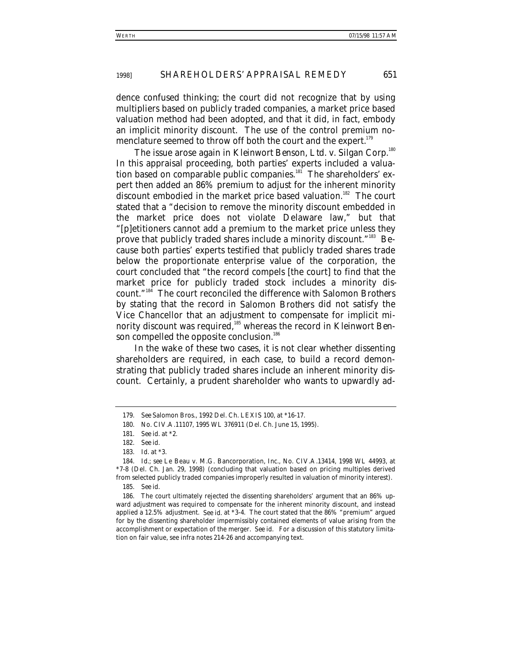dence confused thinking; the court did not recognize that by using multipliers based on publicly traded companies, a market price based valuation method had been adopted, and that it did, in fact, embody an implicit minority discount. The use of the control premium nomenclature seemed to throw off both the court and the expert.<sup>179</sup>

The issue arose again in *Kleinwort Benson, Ltd. v. Silgan Corp.*<sup>180</sup> In this appraisal proceeding, both parties' experts included a valuation based on comparable public companies.<sup>181</sup> The shareholders' expert then added an 86% premium to adjust for the inherent minority discount embodied in the market price based valuation.<sup>182</sup> The court stated that a "decision to remove the minority discount embedded in the market price does not violate Delaware law," but that "[p]etitioners cannot add a premium to the market price unless they prove that publicly traded shares include a minority discount."183 Because both parties' experts testified that publicly traded shares trade below the proportionate enterprise value of the corporation, the court concluded that "the record compels [the court] to find that the market price for publicly traded stock includes a minority discount."184 The court reconciled the difference with *Salomon Brothers* by stating that the record in *Salomon Brothers* did not satisfy the Vice Chancellor that an adjustment to compensate for implicit minority discount was required,185 whereas the record in *Kleinwort Ben*son compelled the opposite conclusion.<sup>186</sup>

In the wake of these two cases, it is not clear whether dissenting shareholders are required, in each case, to build a record demonstrating that publicly traded shares include an inherent minority discount. Certainly, a prudent shareholder who wants to upwardly ad-

186. The court ultimately rejected the dissenting shareholders' argument that an 86% upward adjustment was required to compensate for the inherent minority discount, and instead applied a 12.5% adjustment. *See id.* at \*3-4. The court stated that the 86% "premium" argued for by the dissenting shareholder impermissibly contained elements of value arising from the accomplishment or expectation of the merger. *See id.* For a discussion of this statutory limitation on fair value, see *infra* notes 214-26 and accompanying text.

<sup>179</sup>*. See Salomon Bros.*, 1992 Del. Ch. LEXIS 100, at \*16-17.

<sup>180.</sup> No. CIV.A.11107, 1995 WL 376911 (Del. Ch. June 15, 1995).

<sup>181</sup>*. See id.* at \*2.

<sup>182</sup>*. See id.*

<sup>183</sup>*. Id.* at \*3.

<sup>184</sup>*. Id.*; *see* Le Beau v. M.G. Bancorporation, Inc., No. CIV.A.13414, 1998 WL 44993, at \*7-8 (Del. Ch. Jan. 29, 1998) (concluding that valuation based on pricing multiples derived from selected publicly traded companies improperly resulted in valuation of minority interest).

<sup>185</sup>*. See id.*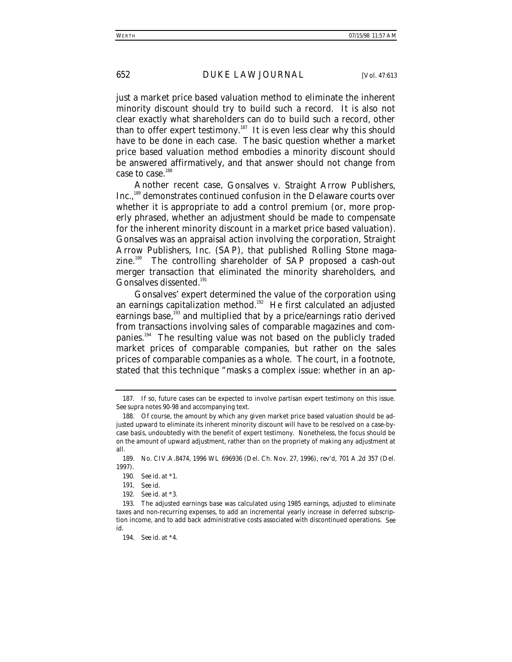just a market price based valuation method to eliminate the inherent minority discount should try to build such a record. It is also not clear exactly what shareholders can do to build such a record, other than to offer expert testimony.<sup>187</sup> It is even less clear why this should have to be done in each case. The basic question whether a market price based valuation method embodies a minority discount should be answered affirmatively, and that answer should not change from case to case.<sup>188</sup>

Another recent case, *Gonsalves v. Straight Arrow Publishers,* Inc.,<sup>189</sup> demonstrates continued confusion in the Delaware courts over whether it is appropriate to add a control premium (or, more properly phrased, whether an adjustment should be made to compensate for the inherent minority discount in a market price based valuation). *Gonsalves* was an appraisal action involving the corporation, Straight Arrow Publishers, Inc. (SAP), that published *Rolling Stone* magazine.<sup>190</sup> The controlling shareholder of SAP proposed a cash-out merger transaction that eliminated the minority shareholders, and Gonsalves dissented.<sup>191</sup>

Gonsalves' expert determined the value of the corporation using an earnings capitalization method.<sup>192</sup> He first calculated an adjusted earnings base,<sup>193</sup> and multiplied that by a price/earnings ratio derived from transactions involving sales of comparable magazines and companies.<sup>194</sup> The resulting value was not based on the publicly traded market prices of comparable companies, but rather on the sales prices of comparable companies as a whole. The court, in a footnote, stated that this technique "masks a complex issue: whether in an ap-

<sup>187.</sup> If so, future cases can be expected to involve partisan expert testimony on this issue. *See supra* notes 90-98 and accompanying text.

<sup>188.</sup> Of course, the amount by which any given market price based valuation should be adjusted upward to eliminate its inherent minority discount will have to be resolved on a case-bycase basis, undoubtedly with the benefit of expert testimony. Nonetheless, the focus should be on the *amount* of upward adjustment, rather than on the propriety of making any adjustment at all.

<sup>189.</sup> No. CIV.A.8474, 1996 WL 696936 (Del. Ch. Nov. 27, 1996), *rev'd*, 701 A.2d 357 (Del. 1997).

<sup>190</sup>*. See id.* at \*1.

<sup>191</sup>*. See id.*

<sup>192</sup>*. See id.* at \*3.

<sup>193.</sup> The adjusted earnings base was calculated using 1985 earnings, adjusted to eliminate taxes and non-recurring expenses, to add an incremental yearly increase in deferred subscription income, and to add back administrative costs associated with discontinued operations. *See id.*

<sup>194</sup>*. See id.* at \*4.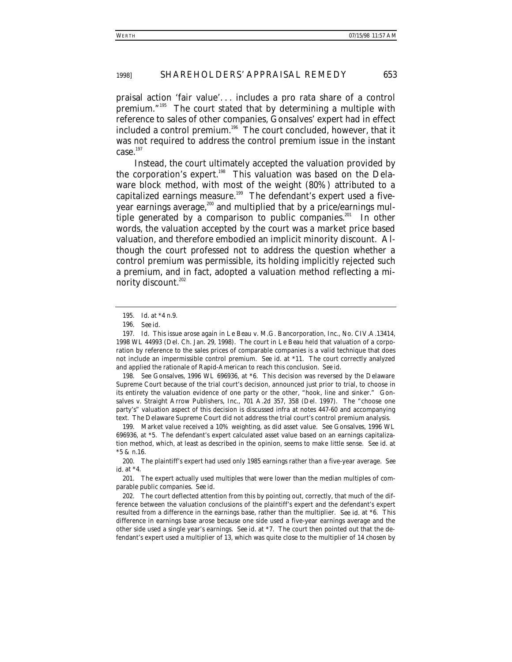praisal action 'fair value'. . . includes a pro rata share of a control premium."195 The court stated that by determining a multiple with reference to sales of other companies, Gonsalves' expert had in effect included a control premium.<sup>196</sup> The court concluded, however, that it was not required to address the control premium issue in the instant  $case.<sup>197</sup>$ 

Instead, the court ultimately accepted the valuation provided by the corporation's expert.<sup>198</sup> This valuation was based on the Delaware block method, with most of the weight (80%) attributed to a capitalized earnings measure.<sup>199</sup> The defendant's expert used a fiveyear earnings average, $200$  and multiplied that by a price/earnings multiple generated by a comparison to public companies.<sup>201</sup> In other words, the valuation accepted by the court was a market price based valuation, and therefore embodied an implicit minority discount. Although the court professed not to address the question whether a control premium was permissible, its holding implicitly rejected such a premium, and in fact, adopted a valuation method reflecting a minority discount.<sup>202</sup>

198*. See Gonsalves*, 1996 WL 696936, at \*6. This decision was reversed by the Delaware Supreme Court because of the trial court's decision, announced just prior to trial, to choose in its entirety the valuation evidence of one party or the other, "hook, line and sinker." Gonsalves v. Straight Arrow Publishers, Inc., 701 A.2d 357, 358 (Del. 1997). The "choose one party's" valuation aspect of this decision is discussed *infra* at notes 447-60 and accompanying text. The Delaware Supreme Court did not address the trial court's control premium analysis.

199. Market value received a 10% weighting, as did asset value. *See Gonsalves*, 1996 WL 696936, at \*5. The defendant's expert calculated asset value based on an earnings capitalization method, which, at least as described in the opinion, seems to make little sense. *See id.* at \*5 & n.16.

<sup>195</sup>*. Id.* at \*4 n.9.

<sup>196</sup>*. See id.*

<sup>197</sup>*. Id.* This issue arose again in *Le Beau v. M.G. Bancorporation, Inc.*, No. CIV.A.13414, 1998 WL 44993 (Del. Ch. Jan. 29, 1998). The court in *Le Beau* held that valuation of a corporation by reference to the sales prices of comparable companies is a valid technique that does not include an impermissible control premium. *See id.* at \*11. The court correctly analyzed and applied the rationale of *Rapid-American* to reach this conclusion. *See id.*

<sup>200.</sup> The plaintiff's expert had used only 1985 earnings rather than a five-year average. *See id.* at \*4.

<sup>201.</sup> The expert actually used multiples that were lower than the median multiples of comparable public companies. *See id*.

<sup>202.</sup> The court deflected attention from this by pointing out, correctly, that much of the difference between the valuation conclusions of the plaintiff's expert and the defendant's expert resulted from a difference in the earnings base, rather than the multiplier. *See id.* at \*6. This difference in earnings base arose because one side used a five-year earnings average and the other side used a single year's earnings. *See id.* at \*7. The court then pointed out that the defendant's expert used a multiplier of 13, which was quite close to the multiplier of 14 chosen by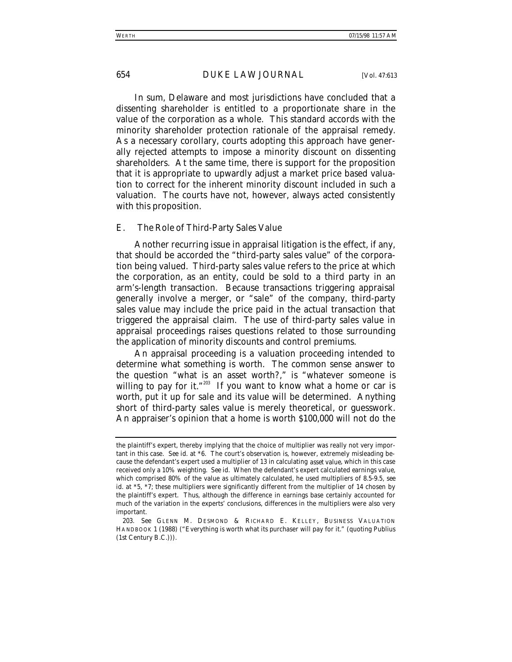In sum, Delaware and most jurisdictions have concluded that a dissenting shareholder is entitled to a proportionate share in the value of the corporation as a whole. This standard accords with the minority shareholder protection rationale of the appraisal remedy. As a necessary corollary, courts adopting this approach have generally rejected attempts to impose a minority discount on dissenting shareholders. At the same time, there is support for the proposition that it is appropriate to upwardly adjust a market price based valuation to correct for the inherent minority discount included in such a valuation. The courts have not, however, always acted consistently with this proposition.

### *E. The Role of Third-Party Sales Value*

Another recurring issue in appraisal litigation is the effect, if any, that should be accorded the "third-party sales value" of the corporation being valued. Third-party sales value refers to the price at which the corporation, as an entity, could be sold to a third party in an arm's-length transaction. Because transactions triggering appraisal generally involve a merger, or "sale" of the company, third-party sales value may include the price paid in the actual transaction that triggered the appraisal claim. The use of third-party sales value in appraisal proceedings raises questions related to those surrounding the application of minority discounts and control premiums.

An appraisal proceeding is a valuation proceeding intended to determine what something is worth. The common sense answer to the question "what is an asset worth?," is "whatever someone is willing to pay for it."<sup>203</sup> If you want to know what a home or car is worth, put it up for sale and its value will be determined. Anything short of third-party sales value is merely theoretical, or guesswork. An appraiser's opinion that a home is worth \$100,000 will not do the

the plaintiff's expert, thereby implying that the choice of multiplier was really not very important in this case. *See id.* at \*6. The court's observation is, however, extremely misleading because the defendant's expert used a multiplier of 13 in calculating *asset value*, which in this case received only a 10% weighting. *See id.* When the defendant's expert calculated *earnings value*, which comprised 80% of the value as ultimately calculated, he used multipliers of 8.5-9.5, *see id.* at \*5, \*7; these multipliers were significantly different from the multiplier of 14 chosen by the plaintiff's expert. Thus, although the difference in earnings base certainly accounted for much of the variation in the experts' conclusions, differences in the multipliers were also very important.

<sup>203</sup>*. See* GLENN M. DESMOND & RICHARD E. KELLEY, BUSINESS VALUATION HANDBOOK 1 (1988) ("Everything is worth what its purchaser will pay for it." (quoting Publius (1st Century B.C.))).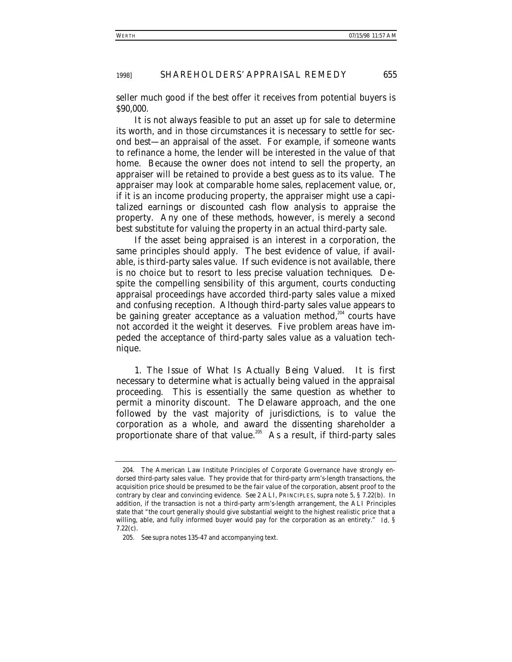seller much good if the best offer it receives from potential buyers is \$90,000.

It is not always feasible to put an asset up for sale to determine its worth, and in those circumstances it is necessary to settle for second best—an appraisal of the asset. For example, if someone wants to refinance a home, the lender will be interested in the value of that home. Because the owner does not intend to sell the property, an appraiser will be retained to provide a best guess as to its value. The appraiser may look at comparable home sales, replacement value, or, if it is an income producing property, the appraiser might use a capitalized earnings or discounted cash flow analysis to appraise the property. Any one of these methods, however, is merely a second best substitute for valuing the property in an actual third-party sale.

If the asset being appraised is an interest in a corporation, the same principles should apply. The best evidence of value, if available, is third-party sales value. If such evidence is not available, there is no choice but to resort to less precise valuation techniques. Despite the compelling sensibility of this argument, courts conducting appraisal proceedings have accorded third-party sales value a mixed and confusing reception. Although third-party sales value appears to be gaining greater acceptance as a valuation method,<sup>204</sup> courts have not accorded it the weight it deserves. Five problem areas have impeded the acceptance of third-party sales value as a valuation technique.

1. *The Issue of What Is Actually Being Valued*. It is first necessary to determine what is actually being valued in the appraisal proceeding. This is essentially the same question as whether to permit a minority discount. The Delaware approach, and the one followed by the vast majority of jurisdictions, is to value the corporation as a whole, and award the dissenting shareholder a proportionate share of that value.<sup>205</sup> As a result, if third-party sales

<sup>204.</sup> The American Law Institute Principles of Corporate Governance have strongly endorsed third-party sales value. They provide that for third-party arm's-length transactions, the acquisition price should be presumed to be the fair value of the corporation, absent proof to the contrary by clear and convincing evidence. *See* 2 ALI, PRINCIPLES, *supra* note 5, § 7.22(b). In addition, if the transaction is not a third-party arm's-length arrangement, the ALI Principles state that "the court generally should give substantial weight to the highest realistic price that a willing, able, and fully informed buyer would pay for the corporation as an entirety." *Id.* § 7.22(c).

<sup>205</sup>*. See supra* notes 135-47 and accompanying text.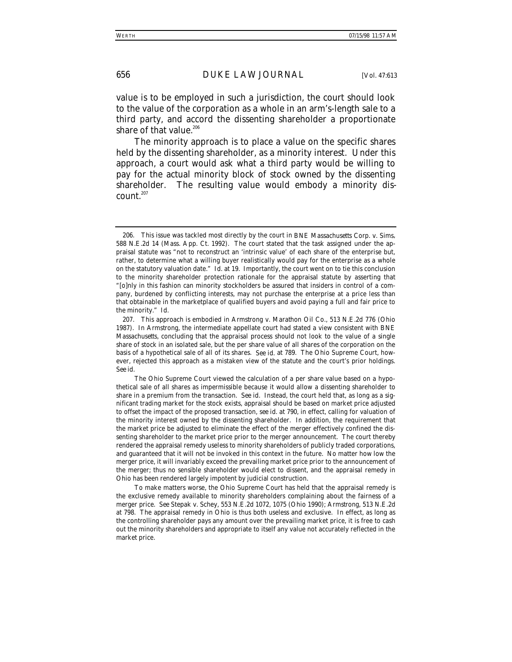value is to be employed in such a jurisdiction, the court should look to the value of the corporation as a whole in an arm's-length sale to a third party, and accord the dissenting shareholder a proportionate share of that value.<sup>206</sup>

The minority approach is to place a value on the specific shares held by the dissenting shareholder, as a minority interest. Under this approach, a court would ask what a third party would be willing to pay for the actual minority block of stock owned by the dissenting shareholder. The resulting value would embody a minority dis $count.<sup>207</sup>$ 

<sup>206.</sup> This issue was tackled most directly by the court in *BNE Massachusetts Corp. v. Sims*, 588 N.E.2d 14 (Mass. App. Ct. 1992). The court stated that the task assigned under the appraisal statute was "not to reconstruct an 'intrinsic value' of each share of the enterprise but, rather, to determine what a willing buyer realistically would pay for the enterprise as a whole on the statutory valuation date." *Id.* at 19. Importantly, the court went on to tie this conclusion to the minority shareholder protection rationale for the appraisal statute by asserting that "[o]nly in this fashion can minority stockholders be assured that insiders in control of a company, burdened by conflicting interests, may not purchase the enterprise at a price less than that obtainable in the marketplace of qualified buyers and avoid paying a full and fair price to the minority." *Id.*

<sup>207.</sup> This approach is embodied in *Armstrong v. Marathon Oil Co*., 513 N.E.2d 776 (Ohio 1987). In *Armstrong*, the intermediate appellate court had stated a view consistent with *BNE Massachusetts*, concluding that the appraisal process should not look to the value of a single share of stock in an isolated sale, but the per share value of all shares of the corporation on the basis of a hypothetical sale of all of its shares. *See id.* at 789. The Ohio Supreme Court, however, rejected this approach as a mistaken view of the statute and the court's prior holdings. *See id.*

The Ohio Supreme Court viewed the calculation of a per share value based on a hypothetical sale of all shares as impermissible because it would allow a dissenting shareholder to share in a premium from the transaction. *See id.* Instead, the court held that, as long as a significant trading market for the stock exists, appraisal should be based on market price adjusted to offset the impact of the proposed transaction, *see id.* at 790, in effect, calling for valuation of the minority interest owned by the dissenting shareholder. In addition, the requirement that the market price be adjusted to eliminate the effect of the merger effectively confined the dissenting shareholder to the market price prior to the merger announcement. The court thereby rendered the appraisal remedy useless to minority shareholders of publicly traded corporations, and guaranteed that it will not be invoked in this context in the future. No matter how low the merger price, it will invariably exceed the prevailing market price prior to the announcement of the merger; thus no sensible shareholder would elect to dissent, and the appraisal remedy in Ohio has been rendered largely impotent by judicial construction.

To make matters worse, the Ohio Supreme Court has held that the appraisal remedy is the exclusive remedy available to minority shareholders complaining about the fairness of a merger price. *See* Stepak v. Schey, 553 N.E.2d 1072, 1075 (Ohio 1990); *Armstrong*, 513 N.E.2d at 798. The appraisal remedy in Ohio is thus both useless and exclusive. In effect, as long as the controlling shareholder pays any amount over the prevailing market price, it is free to cash out the minority shareholders and appropriate to itself any value not accurately reflected in the market price.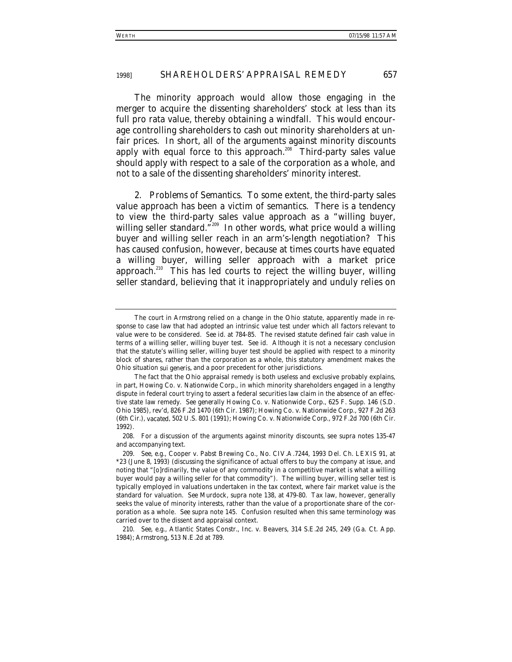The minority approach would allow those engaging in the merger to acquire the dissenting shareholders' stock at less than its full pro rata value, thereby obtaining a windfall. This would encourage controlling shareholders to cash out minority shareholders at unfair prices. In short, all of the arguments against minority discounts apply with equal force to this approach.<sup>208</sup> Third-party sales value should apply with respect to a sale of the corporation as a whole, and not to a sale of the dissenting shareholders' minority interest.

2. *Problems of Semantics*. To some extent, the third-party sales value approach has been a victim of semantics. There is a tendency to view the third-party sales value approach as a "willing buyer, willing seller standard."<sup>209</sup> In other words, what price would a willing buyer and willing seller reach in an arm's-length negotiation? This has caused confusion, however, because at times courts have equated a willing buyer, willing seller approach with a market price approach.<sup>210</sup> This has led courts to reject the willing buyer, willing seller standard, believing that it inappropriately and unduly relies on

The court in *Armstrong* relied on a change in the Ohio statute, apparently made in response to case law that had adopted an intrinsic value test under which all factors relevant to value were to be considered. *See id.* at 784-85. The revised statute defined fair cash value in terms of a willing seller, willing buyer test. *See id.* Although it is not a necessary conclusion that the statute's willing seller, willing buyer test should be applied with respect to a minority block of shares, rather than the corporation as a whole, this statutory amendment makes the Ohio situation *sui generis*, and a poor precedent for other jurisdictions.

The fact that the Ohio appraisal remedy is both useless and exclusive probably explains, in part, *Howing Co. v. Nationwide Corp.*, in which minority shareholders engaged in a lengthy dispute in federal court trying to assert a federal securities law claim in the absence of an effective state law remedy. *See generally* Howing Co. v. Nationwide Corp., 625 F. Supp. 146 (S.D. Ohio 1985), *rev'd*, 826 F.2d 1470 (6th Cir. 1987); Howing Co. v. Nationwide Corp., 927 F.2d 263 (6th Cir.), *vacated*, 502 U.S. 801 (1991); Howing Co. v. Nationwide Corp., 972 F.2d 700 (6th Cir. 1992).

<sup>208.</sup> For a discussion of the arguments against minority discounts, see *supra* notes 135-47 and accompanying text.

<sup>209</sup>*. See, e.g.*, Cooper v. Pabst Brewing Co., No. CIV.A.7244, 1993 Del. Ch. LEXIS 91, at \*23 (June 8, 1993) (discussing the significance of actual offers to buy the company at issue, and noting that "[o]rdinarily, the value of any commodity in a competitive market is what a willing buyer would pay a willing seller for that commodity"). The willing buyer, willing seller test is typically employed in valuations undertaken in the tax context, where fair market value is the standard for valuation. *See* Murdock, *supra* note 138, at 479-80. Tax law, however, generally seeks the value of minority interests, rather than the value of a proportionate share of the corporation as a whole. *See supra* note 145. Confusion resulted when this same terminology was carried over to the dissent and appraisal context.

<sup>210</sup>*. See, e.g.*, Atlantic States Constr., Inc. v. Beavers, 314 S.E.2d 245, 249 (Ga. Ct. App. 1984); *Armstrong*, 513 N.E.2d at 789.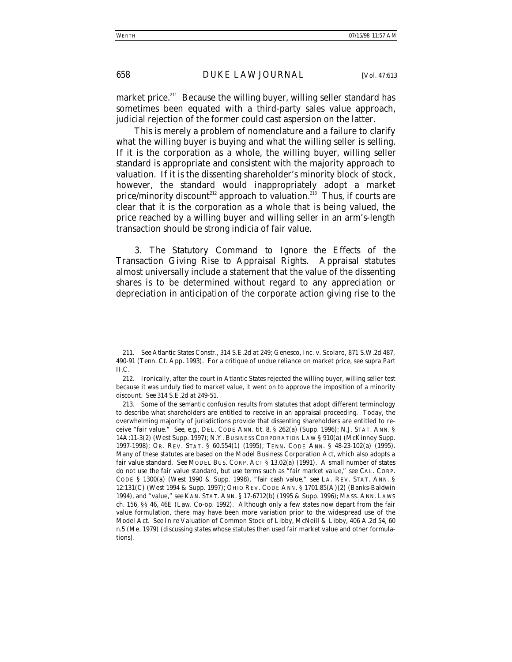market price.<sup>211</sup> Because the willing buyer, willing seller standard has sometimes been equated with a third-party sales value approach, judicial rejection of the former could cast aspersion on the latter.

This is merely a problem of nomenclature and a failure to clarify what the willing buyer is buying and what the willing seller is selling. If it is the corporation as a whole, the willing buyer, willing seller standard is appropriate and consistent with the majority approach to valuation. If it is the dissenting shareholder's minority block of stock, however, the standard would inappropriately adopt a market price/minority discount<sup>212</sup> approach to valuation.<sup>213</sup> Thus, if courts are clear that it is the corporation as a whole that is being valued, the price reached by a willing buyer and willing seller in an arm's-length transaction should be strong indicia of fair value.

3. *The Statutory Command to Ignore the Effects of the Transaction Giving Rise to Appraisal Rights*. Appraisal statutes almost universally include a statement that the value of the dissenting shares is to be determined without regard to any appreciation or depreciation in anticipation of the corporate action giving rise to the

<sup>211</sup>*. See Atlantic States Constr.*, 314 S.E.2d at 249; Genesco, Inc. v. Scolaro, 871 S.W.2d 487, 490-91 (Tenn. Ct. App. 1993). For a critique of undue reliance on market price, see *supra* Part II.C.

<sup>212.</sup> Ironically, after the court in *Atlantic States* rejected the willing buyer, willing seller test because it was unduly tied to market value, it went on to approve the imposition of a minority discount. *See* 314 S.E.2d at 249-51.

<sup>213.</sup> Some of the semantic confusion results from statutes that adopt different terminology to describe what shareholders are entitled to receive in an appraisal proceeding. Today, the overwhelming majority of jurisdictions provide that dissenting shareholders are entitled to receive "fair value." *See, e.g.*, DEL. CODE ANN. tit. 8, § 262(a) (Supp. 1996); N.J. STAT. ANN. § 14A:11-3(2) (West Supp. 1997); N.Y. BUSINESS CORPORATION LAW § 910(a) (McKinney Supp. 1997-1998); OR. REV. STAT. § 60.554(1) (1995); TENN. CODE ANN. § 48-23-102(a) (1995). Many of these statutes are based on the Model Business Corporation Act, which also adopts a fair value standard. *See* MODEL BUS. CORP. ACT § 13.02(a) (1991). A small number of states do not use the fair value standard, but use terms such as "fair market value," *see* CAL. CORP. CODE § 1300(a) (West 1990 & Supp. 1998), "fair cash value," *see* LA. REV. STAT. ANN. § 12:131(C) (West 1994 & Supp. 1997); OHIO REV. CODE ANN. § 1701.85(A)(2) (Banks-Baldwin 1994), and "value," *see* KAN. STAT. ANN. § 17-6712(b) (1995 & Supp. 1996); MASS. ANN. LAWS ch. 156, §§ 46, 46E (Law. Co-op. 1992). Although only a few states now depart from the fair value formulation, there may have been more variation prior to the widespread use of the Model Act. *See In re* Valuation of Common Stock of Libby, McNeill & Libby, 406 A.2d 54, 60 n.5 (Me. 1979) (discussing states whose statutes then used fair market value and other formulations).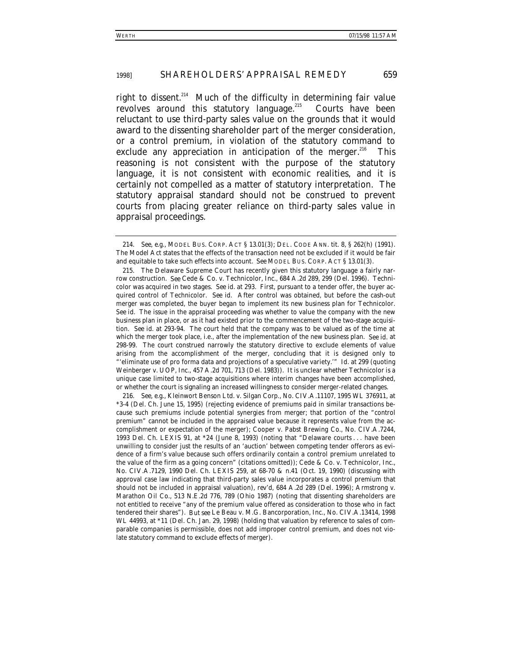right to dissent.<sup>214</sup> Much of the difficulty in determining fair value revolves around this statutory language. $215$  Courts have been reluctant to use third-party sales value on the grounds that it would award to the dissenting shareholder part of the merger consideration, or a control premium, in violation of the statutory command to exclude any appreciation in anticipation of the merger. $^{216}$  This reasoning is not consistent with the purpose of the statutory language, it is not consistent with economic realities, and it is certainly not compelled as a matter of statutory interpretation. The statutory appraisal standard should not be construed to prevent courts from placing greater reliance on third-party sales value in appraisal proceedings.

<sup>214</sup>*. See, e.g.*, MODEL BUS. CORP. ACT § 13.01(3); DEL. CODE ANN. tit. 8, § 262(h) (1991). The Model Act states that the effects of the transaction need not be excluded if it would be fair and equitable to take such effects into account. *See* MODEL BUS. CORP. ACT § 13.01(3).

<sup>215.</sup> The Delaware Supreme Court has recently given this statutory language a fairly narrow construction. *See* Cede & Co. v. Technicolor, Inc., 684 A.2d 289, 299 (Del. 1996). Technicolor was acquired in two stages. *See id.* at 293. First, pursuant to a tender offer, the buyer acquired control of Technicolor. *See id.* After control was obtained, but before the cash-out merger was completed, the buyer began to implement its new business plan for Technicolor. *See id.* The issue in the appraisal proceeding was whether to value the company with the new business plan in place, or as it had existed prior to the commencement of the two-stage acquisition. *See id.* at 293-94. The court held that the company was to be valued as of the time at which the merger took place, i.e., after the implementation of the new business plan. *See id.* at 298-99. The court construed narrowly the statutory directive to exclude elements of value arising from the accomplishment of the merger, concluding that it is designed only to "'eliminate use of *pro forma* data and projections of a speculative variety.'" *Id.* at 299 (quoting Weinberger v. UOP, Inc., 457 A.2d 701, 713 (Del. 1983)). It is unclear whether *Technicolor* is a unique case limited to two-stage acquisitions where interim changes have been accomplished, or whether the court is signaling an increased willingness to consider merger-related changes.

<sup>216</sup>*. See, e.g.*, Kleinwort Benson Ltd. v. Silgan Corp., No. CIV.A.11107, 1995 WL 376911, at \*3-4 (Del. Ch. June 15, 1995) (rejecting evidence of premiums paid in similar transactions because such premiums include potential synergies from merger; that portion of the "control premium" cannot be included in the appraised value because it represents value from the accomplishment or expectation of the merger); Cooper v. Pabst Brewing Co., No. CIV.A.7244, 1993 Del. Ch. LEXIS 91, at \*24 (June 8, 1993) (noting that "Delaware courts . . . have been unwilling to consider just the results of an 'auction' between competing tender offerors as evidence of a firm's value because such offers ordinarily contain a control premium unrelated to the value of the firm as a going concern" (citations omitted)); Cede & Co. v. Technicolor, Inc., No. CIV.A.7129, 1990 Del. Ch. LEXIS 259, at 68-70 & n.41 (Oct. 19, 1990) (discussing with approval case law indicating that third-party sales value incorporates a control premium that should not be included in appraisal valuation), *rev'd*, 684 A.2d 289 (Del. 1996); Armstrong v. Marathon Oil Co., 513 N.E.2d 776, 789 (Ohio 1987) (noting that dissenting shareholders are not entitled to receive "any of the premium value offered as consideration to those who in fact tendered their shares"). *But see* Le Beau v. M.G. Bancorporation, Inc., No. CIV.A.13414, 1998 WL 44993, at \*11 (Del. Ch. Jan. 29, 1998) (holding that valuation by reference to sales of comparable companies is permissible, does not add improper control premium, and does not violate statutory command to exclude effects of merger).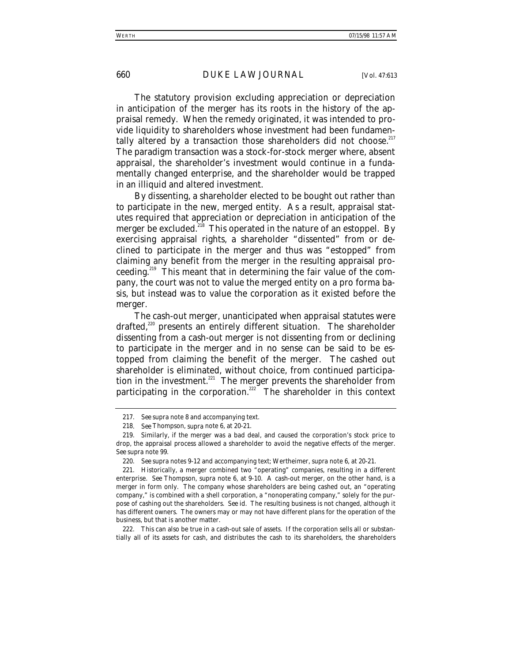The statutory provision excluding appreciation or depreciation in anticipation of the merger has its roots in the history of the appraisal remedy. When the remedy originated, it was intended to provide liquidity to shareholders whose investment had been fundamentally altered by a transaction those shareholders did not choose.<sup>217</sup> The paradigm transaction was a stock-for-stock merger where, absent appraisal, the shareholder's investment would continue in a fundamentally changed enterprise, and the shareholder would be trapped in an illiquid and altered investment.

By dissenting, a shareholder elected to be bought out rather than to participate in the new, merged entity. As a result, appraisal statutes required that appreciation or depreciation in anticipation of the merger be excluded.<sup>218</sup> This operated in the nature of an estoppel. By exercising appraisal rights, a shareholder "dissented" from or declined to participate in the merger and thus was "estopped" from claiming any benefit from the merger in the resulting appraisal proceeding.219 This meant that in determining the fair value of the company, the court was not to value the merged entity on a pro forma basis, but instead was to value the corporation as it existed before the merger.

The cash-out merger, unanticipated when appraisal statutes were drafted,<sup>220</sup> presents an entirely different situation. The shareholder dissenting from a cash-out merger is not dissenting from or declining to participate in the merger and in no sense can be said to be estopped from claiming the benefit of the merger. The cashed out shareholder is eliminated, without choice, from continued participation in the investment.<sup>221</sup> The merger prevents the shareholder from participating in the corporation.<sup>222</sup> The shareholder in this context

222. This can also be true in a cash-out sale of assets. If the corporation sells all or substantially all of its assets for cash, and distributes the cash to its shareholders, the shareholders

<sup>217</sup>*. See supra* note 8 and accompanying text.

<sup>218</sup>*. See* Thompson, *supra* note 6, at 20-21.

<sup>219.</sup> Similarly, if the merger was a bad deal, and caused the corporation's stock price to drop, the appraisal process allowed a shareholder to avoid the negative effects of the merger. *See supra* note 99.

<sup>220</sup>*. See supra* notes 9-12 and accompanying text; Wertheimer, *supra* note 6, at 20-21.

<sup>221.</sup> Historically, a merger combined two "operating" companies, resulting in a different enterprise. *See* Thompson, *supra* note 6, at 9-10. A cash-out merger, on the other hand, is a merger in form only. The company whose shareholders are being cashed out, an "operating company," is combined with a shell corporation, a "nonoperating company," solely for the purpose of cashing out the shareholders. *See id.* The resulting business is not changed, although it has different owners. The owners may or may not have different plans for the operation of the business, but that is another matter.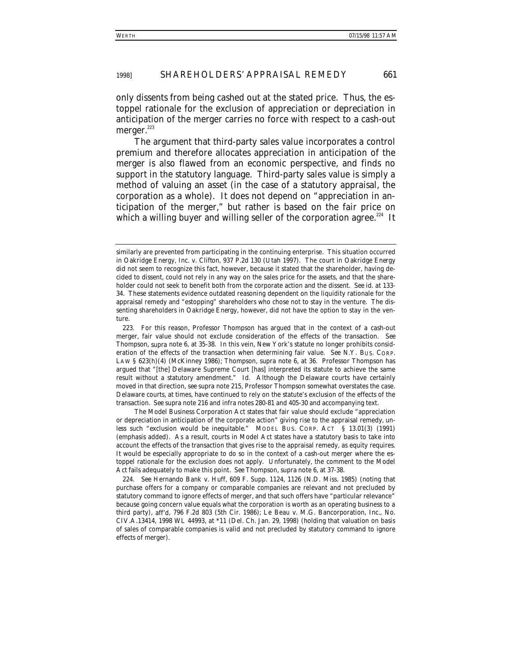only dissents from being cashed out at the stated price. Thus, the estoppel rationale for the exclusion of appreciation or depreciation in anticipation of the merger carries no force with respect to a cash-out merger. $223$ 

The argument that third-party sales value incorporates a control premium and therefore allocates appreciation in anticipation of the merger is also flawed from an economic perspective, and finds no support in the statutory language. Third-party sales value is simply a method of valuing an asset (in the case of a statutory appraisal, the corporation as a whole). It does not depend on "appreciation in anticipation of the merger," but rather is based on the fair price on which a willing buyer and willing seller of the corporation agree.<sup>224</sup> It

The Model Business Corporation Act states that fair value should exclude "appreciation or depreciation in anticipation of the corporate action" giving rise to the appraisal remedy, *unless such "exclusion would be inequitable*." MODEL BUS. CORP. ACT § 13.01(3) (1991) (emphasis added). As a result, courts in Model Act states have a statutory basis to take into account the effects of the transaction that gives rise to the appraisal remedy, as equity requires. It would be especially appropriate to do so in the context of a cash-out merger where the estoppel rationale for the exclusion does not apply. Unfortunately, the comment to the Model Act fails adequately to make this point. *See* Thompson, *supra* note 6, at 37-38.

similarly are prevented from participating in the continuing enterprise. This situation occurred in *Oakridge Energy, Inc. v. Clifton*, 937 P.2d 130 (Utah 1997). The court in *Oakridge Energy* did not seem to recognize this fact, however, because it stated that the shareholder, having decided to dissent, could not rely in any way on the sales price for the assets, and that the shareholder could not seek to benefit both from the corporate action and the dissent. *See id.* at 133- 34. These statements evidence outdated reasoning dependent on the liquidity rationale for the appraisal remedy and "estopping" shareholders who chose not to stay in the venture. The dissenting shareholders in *Oakridge Energy*, however, did not have the option to stay in the venture.

<sup>223.</sup> For this reason, Professor Thompson has argued that in the context of a cash-out merger, fair value should not exclude consideration of the effects of the transaction. *See* Thompson, *supra* note 6, at 35-38. In this vein, New York's statute no longer prohibits consideration of the effects of the transaction when determining fair value. *See* N.Y. BUS. CORP. LAW § 623(h)(4) (McKinney 1986); Thompson, *supra* note 6, at 36. Professor Thompson has argued that "[the] Delaware Supreme Court [has] interpreted its statute to achieve the same result without a statutory amendment." *Id.* Although the Delaware courts have certainly moved in that direction, *see supra* note 215, Professor Thompson somewhat overstates the case. Delaware courts, at times, have continued to rely on the statute's exclusion of the effects of the transaction. *See supra* note 216 and *infra* notes 280-81 and 405-30 and accompanying text.

<sup>224</sup>*. See* Hernando Bank v. Huff, 609 F. Supp. 1124, 1126 (N.D. Miss. 1985) (noting that purchase offers for a company or comparable companies are relevant and not precluded by statutory command to ignore effects of merger, and that such offers have "particular relevance" because going concern value equals what the corporation is worth as an operating business to a third party), *aff'd*, 796 F.2d 803 (5th Cir. 1986); Le Beau v. M.G. Bancorporation, Inc., No. CIV.A.13414, 1998 WL 44993, at \*11 (Del. Ch. Jan. 29, 1998) (holding that valuation on basis of sales of comparable companies is valid and not precluded by statutory command to ignore effects of merger).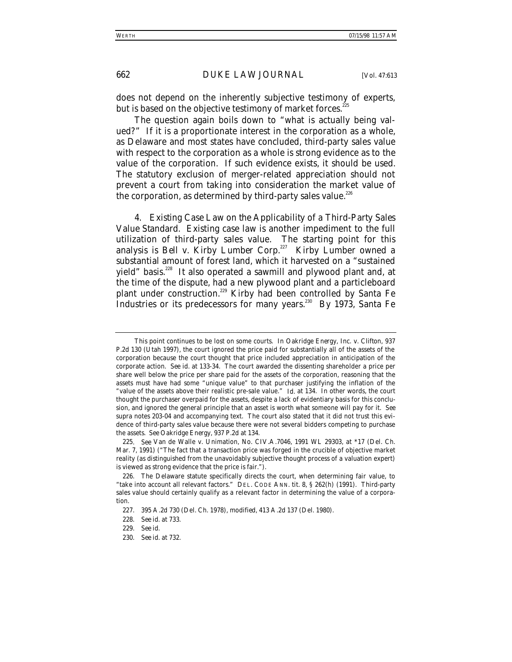does not depend on the inherently subjective testimony of experts, but is based on the objective testimony of market forces.<sup>225</sup>

The question again boils down to "what is actually being valued?" If it is a proportionate interest in the corporation as a whole, as Delaware and most states have concluded, third-party sales value with respect to the corporation as a whole is strong evidence as to the value of the corporation. If such evidence exists, it should be used. The statutory exclusion of merger-related appreciation should not prevent a court from taking into consideration the market value of the corporation, as determined by third-party sales value.<sup>226</sup>

4. *Existing Case Law on the Applicability of a Third-Party Sales Value Standard*. Existing case law is another impediment to the full utilization of third-party sales value. The starting point for this analysis is *Bell v. Kirby Lumber Corp.*<sup>227</sup> Kirby Lumber owned a substantial amount of forest land, which it harvested on a "sustained yield" basis.<sup>228</sup> It also operated a sawmill and plywood plant and, at the time of the dispute, had a new plywood plant and a particleboard plant under construction.<sup>229</sup> Kirby had been controlled by Santa Fe Industries or its predecessors for many years.<sup>230</sup> By 1973, Santa Fe

This point continues to be lost on some courts. In *Oakridge Energy, Inc. v. Clifton*, 937 P.2d 130 (Utah 1997), the court ignored the price paid for substantially all of the assets of the corporation because the court thought that price included appreciation in anticipation of the corporate action. *See id.* at 133-34. The court awarded the dissenting shareholder a price per share well below the price per share paid for the assets of the corporation, reasoning that the assets must have had some "unique value" to that purchaser justifying the inflation of the "value of the assets above their realistic pre-sale value." *Id.* at 134. In other words, the court thought the purchaser overpaid for the assets, despite a lack of evidentiary basis for this conclusion, and ignored the general principle that an asset is worth what someone will pay for it. *See supra* notes 203-04 and accompanying text. The court also stated that it did not trust this evidence of third-party sales value because there were not several bidders competing to purchase the assets. *See Oakridge Energy*, 937 P.2d at 134.

<sup>225</sup>*. See* Van de Walle v. Unimation, No. CIV.A.7046, 1991 WL 29303, at \*17 (Del. Ch. Mar. 7, 1991) ("The fact that a transaction price was forged in the crucible of objective market reality (as distinguished from the unavoidably subjective thought process of a valuation expert) is viewed as strong evidence that the price is fair.").

<sup>226.</sup> The Delaware statute specifically directs the court, when determining fair value, to "take into account all relevant factors." DEL. CODE ANN. tit. 8, § 262(h) (1991). Third-party sales value should certainly qualify as a relevant factor in determining the value of a corporation.

<sup>227. 395</sup> A.2d 730 (Del. Ch. 1978), *modified*, 413 A.2d 137 (Del. 1980).

<sup>228</sup>*. See id.* at 733.

<sup>229</sup>*. See id.*

<sup>230</sup>*. See id.* at 732.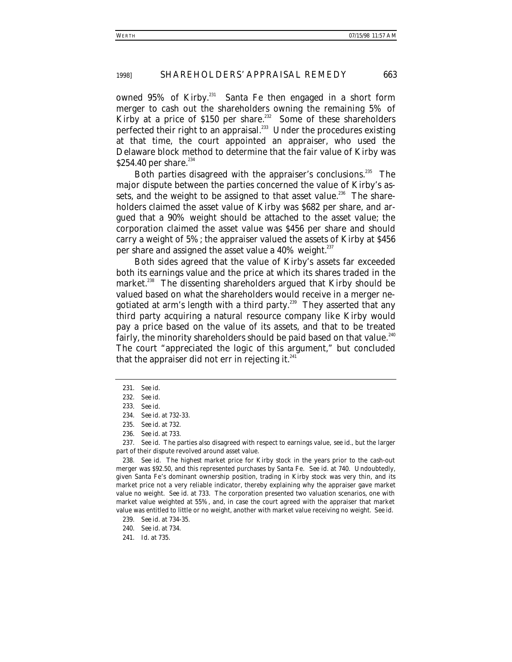owned 95% of Kirby.<sup>231</sup> Santa Fe then engaged in a short form merger to cash out the shareholders owning the remaining 5% of Kirby at a price of \$150 per share.<sup>232</sup> Some of these shareholders perfected their right to an appraisal.<sup>233</sup> Under the procedures existing at that time, the court appointed an appraiser, who used the Delaware block method to determine that the fair value of Kirby was \$254.40 per share.<sup>234</sup>

Both parties disagreed with the appraiser's conclusions.<sup>235</sup> The major dispute between the parties concerned the value of Kirby's assets, and the weight to be assigned to that asset value.<sup>236</sup> The shareholders claimed the asset value of Kirby was \$682 per share, and argued that a 90% weight should be attached to the asset value; the corporation claimed the asset value was \$456 per share and should carry a weight of 5%; the appraiser valued the assets of Kirby at \$456 per share and assigned the asset value a  $40\%$  weight.<sup>237</sup>

Both sides agreed that the value of Kirby's assets far exceeded both its earnings value and the price at which its shares traded in the market.<sup>238</sup> The dissenting shareholders argued that Kirby should be valued based on what the shareholders would receive in a merger negotiated at arm's length with a third party.<sup>239</sup> They asserted that any third party acquiring a natural resource company like Kirby would pay a price based on the value of its assets, and that to be treated fairly, the minority shareholders should be paid based on that value.<sup>240</sup> The court "appreciated the logic of this argument," but concluded that the appraiser did not err in rejecting it. $^{241}$ 

241*. Id.* at 735.

<sup>231</sup>*. See id.*

<sup>232</sup>*. See id.*

<sup>233</sup>*. See id.*

<sup>234</sup>*. See id.* at 732-33.

<sup>235</sup>*. See id.* at 732.

<sup>236</sup>*. See id.* at 733.

<sup>237</sup>*. See id.* The parties also disagreed with respect to earnings value, *see id.*, but the larger part of their dispute revolved around asset value.

<sup>238</sup>*. See id.* The highest market price for Kirby stock in the years prior to the cash-out merger was \$92.50, and this represented purchases by Santa Fe. *See id.* at 740. Undoubtedly, given Santa Fe's dominant ownership position, trading in Kirby stock was very thin, and its market price not a very reliable indicator, thereby explaining why the appraiser gave market value no weight. *See id.* at 733. The corporation presented two valuation scenarios, one with market value weighted at 55%, and, in case the court agreed with the appraiser that market value was entitled to little or no weight, another with market value receiving no weight. *See id.*

<sup>239</sup>*. See id.* at 734-35.

<sup>240</sup>*. See id.* at 734.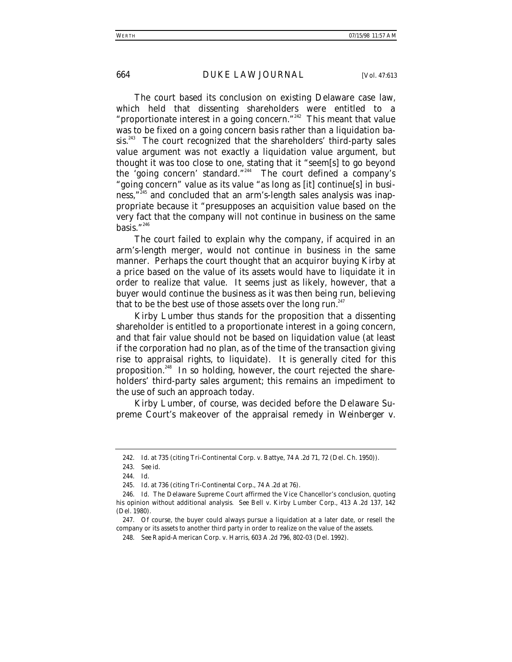The court based its conclusion on existing Delaware case law, which held that dissenting shareholders were entitled to a "proportionate interest in a going concern."<sup>242</sup> This meant that value was to be fixed on a going concern basis rather than a liquidation basis.<sup>243</sup> The court recognized that the shareholders' third-party sales value argument was not exactly a liquidation value argument, but thought it was too close to one, stating that it "seem[s] to go beyond the 'going concern' standard."244 The court defined a company's "going concern" value as its value "as long as [it] continue[s] in business,"245 and concluded that an arm's-length sales analysis was inappropriate because it "presupposes an acquisition value based on the very fact that the company will not continue in business on the same basis." $^{246}$ 

The court failed to explain why the company, if acquired in an arm's-length merger, would not continue in business in the same manner. Perhaps the court thought that an acquiror buying Kirby at a price based on the value of its assets would have to liquidate it in order to realize that value. It seems just as likely, however, that a buyer would continue the business as it was then being run, believing that to be the best use of those assets over the long run.<sup>247</sup>

*Kirby Lumber* thus stands for the proposition that a dissenting shareholder is entitled to a proportionate interest in a going concern, and that fair value should not be based on liquidation value (at least if the corporation had no plan, as of the time of the transaction giving rise to appraisal rights, to liquidate). It is generally cited for this proposition.248 In so holding, however, the court rejected the shareholders' third-party sales argument; this remains an impediment to the use of such an approach today.

*Kirby Lumber*, of course, was decided before the Delaware Supreme Court's makeover of the appraisal remedy in *Weinberger v.*

<sup>242</sup>*. Id.* at 735 (citing Tri-Continental Corp. v. Battye, 74 A.2d 71, 72 (Del. Ch. 1950)).

<sup>243</sup>*. See id.*

<sup>244</sup>*. Id.*

<sup>245</sup>*. Id.* at 736 (citing *Tri-Continental Corp.*, 74 A.2d at 76).

<sup>246</sup>*. Id.* The Delaware Supreme Court affirmed the Vice Chancellor's conclusion, quoting his opinion without additional analysis. *See* Bell v. Kirby Lumber Corp*.,* 413 A.2d 137, 142 (Del. 1980).

<sup>247.</sup> Of course, the buyer could always pursue a liquidation at a later date, or resell the company or its assets to another third party in order to realize on the value of the assets.

<sup>248</sup>*. See* Rapid-American Corp. v. Harris, 603 A.2d 796, 802-03 (Del. 1992).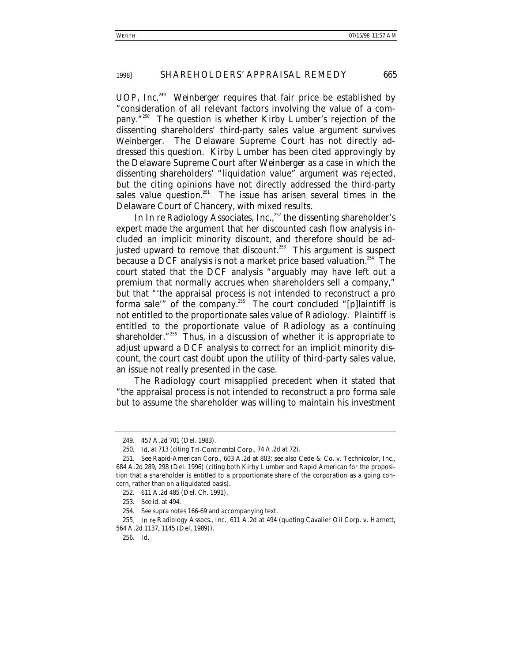*UOP, Inc.*249 *Weinberger* requires that fair price be established by "consideration of all relevant factors involving the value of a company."250 The question is whether *Kirby Lumber*'s rejection of the dissenting shareholders' third-party sales value argument survives *Weinberger*. The Delaware Supreme Court has not directly addressed this question. *Kirby Lumber* has been cited approvingly by the Delaware Supreme Court after *Weinberger* as a case in which the dissenting shareholders' "liquidation value" argument was rejected, but the citing opinions have not directly addressed the third-party sales value question.<sup>251</sup> The issue has arisen several times in the Delaware Court of Chancery, with mixed results.

In *In re Radiology Associates, Inc.,*<sup>352</sup> the dissenting shareholder's expert made the argument that her discounted cash flow analysis included an implicit minority discount, and therefore should be adjusted upward to remove that discount.<sup> $253$ </sup> This argument is suspect because a DCF analysis is not a market price based valuation.<sup>254</sup> The court stated that the DCF analysis "arguably may have left out a premium that normally accrues when shareholders sell a company," but that "'the appraisal process is not intended to reconstruct a pro forma sale" of the company.<sup>255</sup> The court concluded "[p]laintiff is not entitled to the proportionate sales value of Radiology. Plaintiff is entitled to the proportionate value of Radiology as a *continuing shareholder*."256 Thus, in a discussion of whether it is appropriate to adjust upward a DCF analysis to correct for an implicit minority discount, the court cast doubt upon the utility of third-party sales value, an issue not really presented in the case.

The *Radiology* court misapplied precedent when it stated that "the appraisal process is not intended to reconstruct a pro forma sale but to assume the shareholder was willing to maintain his investment

<sup>249. 457</sup> A.2d 701 (Del. 1983).

<sup>250</sup>*. Id.* at 713 (citing *Tri-Continental Corp.*, 74 A.2d at 72).

<sup>251</sup>*. See Rapid-American Corp.*, 603 A.2d at 803; *see also* Cede & Co. v. Technicolor, Inc., 684 A.2d 289, 298 (Del. 1996) (citing both *Kirby Lumber* and *Rapid American* for the proposition that a shareholder is entitled to a proportionate share of the corporation as a going concern, rather than on a liquidated basis).

<sup>252. 611</sup> A.2d 485 (Del. Ch. 1991).

<sup>253</sup>*. See id.* at 494.

<sup>254</sup>*. See supra* notes 166-69 and accompanying text.

<sup>255</sup>*. In re* Radiology Assocs., Inc.*,* 611 A.2d at 494 (quoting Cavalier Oil Corp. v. Harnett, 564 A.2d 1137, 1145 (Del. 1989)).

<sup>256</sup>*. Id.*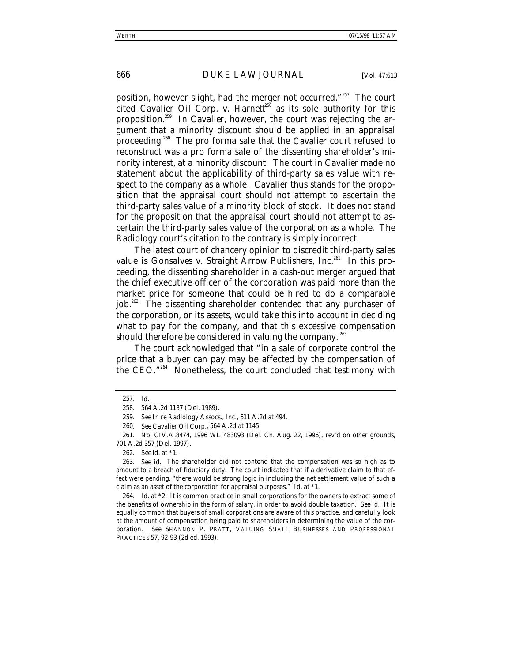position, however slight, had the merger not occurred."<sup>257</sup> The court cited *Cavalier Oil Corp. v. Harnett*<sup> $38$ </sup> as its sole authority for this proposition.<sup>259</sup> In *Cavalier*, however, the court was rejecting the argument that a minority discount should be applied in an appraisal proceeding.260 The pro forma sale that the *Cavalier* court refused to reconstruct was a pro forma sale of the dissenting shareholder's minority interest, at a minority discount. The court in *Cavalier* made no statement about the applicability of third-party sales value with respect to the company as a whole. *Cavalier* thus stands for the proposition that the appraisal court should not attempt to ascertain the third-party sales value *of a minority block of stock*. It does not stand for the proposition that the appraisal court should not attempt to ascertain the third-party sales value of the corporation *as a whole*. The *Radiology* court's citation to the contrary is simply incorrect.

The latest court of chancery opinion to discredit third-party sales value is *Gonsalves v. Straight Arrow Publishers, Inc.*<sup>261</sup> In this proceeding, the dissenting shareholder in a cash-out merger argued that the chief executive officer of the corporation was paid more than the market price for someone that could be hired to do a comparable job.<sup>262</sup> The dissenting shareholder contended that any purchaser of the corporation, or its assets, would take this into account in deciding what to pay for the company, and that this excessive compensation should therefore be considered in valuing the company.<sup>263</sup>

The court acknowledged that "in a sale of corporate control the price that a buyer can pay may be affected by the compensation of the CEO."264 Nonetheless, the court concluded that testimony with

<sup>257</sup>*. Id.*

<sup>258. 564</sup> A.2d 1137 (Del. 1989).

<sup>259</sup>*. See In re* Radiology Assocs., Inc., 611 A.2d at 494.

<sup>260</sup>*. See Cavalier Oil Corp.*, 564 A.2d at 1145.

<sup>261.</sup> No. CIV.A.8474, 1996 WL 483093 (Del. Ch. Aug. 22, 1996), *rev'd on other grounds*, 701 A.2d 357 (Del. 1997).

<sup>262</sup>*. See id.* at \*1.

<sup>263</sup>*. See id.* The shareholder did not contend that the compensation was so high as to amount to a breach of fiduciary duty. The court indicated that if a derivative claim to that effect were pending, "there would be strong logic in including the net settlement value of such a claim as an asset of the corporation for appraisal purposes." *Id.* at \*1.

<sup>264</sup>*. Id.* at \*2. It is common practice in small corporations for the owners to extract some of the benefits of ownership in the form of salary, in order to avoid double taxation. *See id.* It is equally common that buyers of small corporations are aware of this practice, and carefully look at the amount of compensation being paid to shareholders in determining the value of the corporation. *See* SHANNON P. PRATT, VALUING SMALL BUSINESSES AND PROFESSIONAL PRACTICES 57, 92-93 (2d ed. 1993).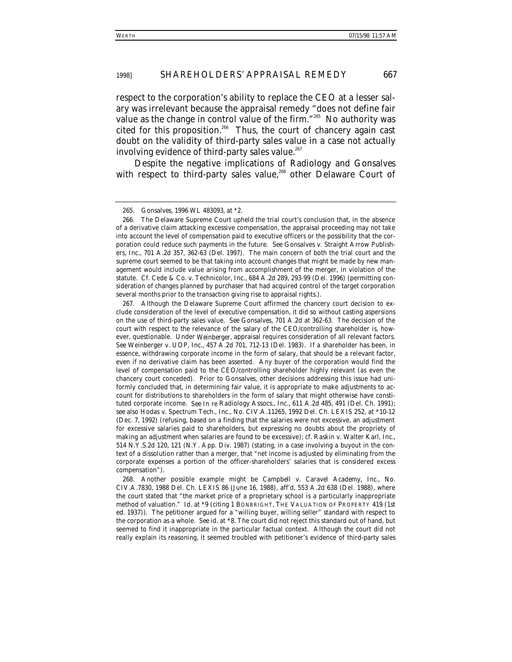respect to the corporation's ability to replace the CEO at a lesser salary was irrelevant because the appraisal remedy "does not define fair value as the change in control value of the firm."<sup>265</sup> No authority was cited for this proposition.<sup>266</sup> Thus, the court of chancery again cast doubt on the validity of third-party sales value in a case not actually involving evidence of third-party sales value.<sup>267</sup>

Despite the negative implications of *Radiology* and *Gonsalves* with respect to third-party sales value,<sup>268</sup> other Delaware Court of

268. Another possible example might be *Campbell v. Caravel Academy, Inc.*, No. CIV.A.7830, 1988 Del. Ch. LEXIS 86 (June 16, 1988), *aff'd*, 553 A.2d 638 (Del. 1988), where the court stated that "the market price of a proprietary school is a particularly inappropriate method of valuation." *Id.* at \*9 (citing 1 BONBRIGHT, THE VALUATION OF PROPERTY 419 (1st ed. 1937)). The petitioner argued for a "willing buyer, willing seller" standard with respect to the corporation as a whole. *See id.* at \*8. The court did not reject this standard out of hand, but seemed to find it inappropriate in the particular factual context. Although the court did not really explain its reasoning, it seemed troubled with petitioner's evidence of third-party sales

<sup>265</sup>*. Gonsalves*, 1996 WL 483093, at \*2.

<sup>266.</sup> The Delaware Supreme Court upheld the trial court's conclusion that, in the absence of a derivative claim attacking excessive compensation, the appraisal proceeding may not take into account the level of compensation paid to executive officers or the possibility that the corporation could reduce such payments in the future. *See* Gonsalves v. Straight Arrow Publishers, Inc., 701 A.2d 357, 362-63 (Del. 1997). The main concern of both the trial court and the supreme court seemed to be that taking into account changes that might be made by new management would include value arising from accomplishment of the merger, in violation of the statute. *Cf.* Cede & Co. v. Technicolor, Inc., 684 A.2d 289, 293-99 (Del. 1996) (permitting consideration of changes planned by purchaser that had acquired control of the target corporation several months prior to the transaction giving rise to appraisal rights.).

<sup>267.</sup> Although the Delaware Supreme Court affirmed the chancery court decision to exclude consideration of the level of executive compensation, it did so without casting aspersions on the use of third-party sales value. *See Gonsalves*, 701 A.2d at 362-63. The decision of the court with respect to the relevance of the salary of the CEO/controlling shareholder is, however, questionable. Under *Weinberger*, appraisal requires consideration of all relevant factors. *See* Weinberger v. UOP, Inc., 457 A.2d 701, 712-13 (Del. 1983). If a shareholder has been, in essence, withdrawing corporate income in the form of salary, that should be a relevant factor, even if no derivative claim has been asserted. Any buyer of the corporation would find the level of compensation paid to the CEO/controlling shareholder highly relevant (as even the chancery court conceded). Prior to *Gonsalves*, other decisions addressing this issue had uniformly concluded that, in determining fair value, it is appropriate to make adjustments to account for distributions to shareholders in the form of salary that might otherwise have constituted corporate income. *See In re* Radiology Assocs., Inc., 611 A.2d 485, 491 (Del. Ch. 1991); *see also* Hodas v. Spectrum Tech., Inc., No. CIV.A.11265, 1992 Del. Ch. LEXIS 252, at \*10-12 (Dec. 7, 1992) (refusing, based on a finding that the salaries were not excessive, an adjustment for excessive salaries paid to shareholders, but expressing no doubts about the propriety of making an adjustment when salaries are found to be excessive); *cf.* Raskin v. Walter Karl, Inc., 514 N.Y.S.2d 120, 121 (N.Y. App. Div. 1987) (stating, in a case involving a buyout in the context of a dissolution rather than a merger, that "net income is adjusted by eliminating from the corporate expenses a portion of the officer-shareholders' salaries that is considered excess compensation").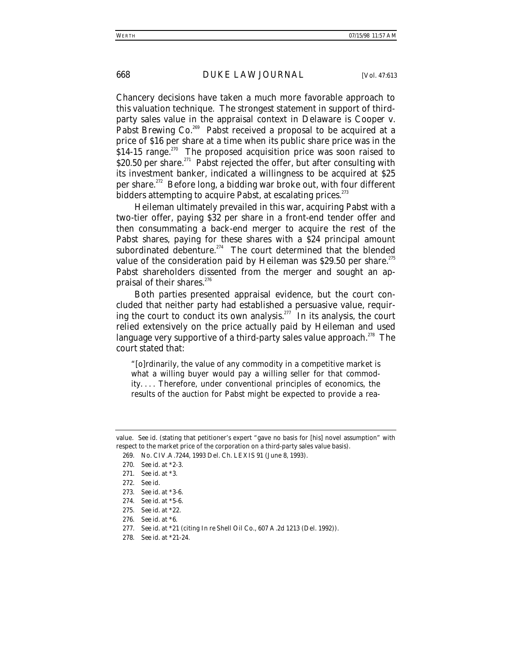Chancery decisions have taken a much more favorable approach to this valuation technique. The strongest statement in support of thirdparty sales value in the appraisal context in Delaware is *Cooper v. Pabst Brewing Co.*<sup>269</sup> Pabst received a proposal to be acquired at a price of \$16 per share at a time when its public share price was in the  $$14-15$  range.<sup>270</sup> The proposed acquisition price was soon raised to \$20.50 per share.<sup>271</sup> Pabst rejected the offer, but after consulting with its investment banker, indicated a willingness to be acquired at \$25 per share.272 Before long, a bidding war broke out, with four different bidders attempting to acquire Pabst, at escalating prices.<sup>273</sup>

Heileman ultimately prevailed in this war, acquiring Pabst with a two-tier offer, paying \$32 per share in a front-end tender offer and then consummating a back-end merger to acquire the rest of the Pabst shares, paying for these shares with a \$24 principal amount subordinated debenture.<sup>274</sup> The court determined that the blended value of the consideration paid by Heileman was  $$29.50$  per share.<sup>275</sup> Pabst shareholders dissented from the merger and sought an appraisal of their shares.<sup>276</sup>

Both parties presented appraisal evidence, but the court concluded that neither party had established a persuasive value, requiring the court to conduct its own analysis.<sup> $277$ </sup> In its analysis, the court relied extensively on the price actually paid by Heileman and used language very supportive of a third-party sales value approach.<sup>278</sup> The court stated that:

"[o]rdinarily, the value of any commodity in a competitive market is what a willing buyer would pay a willing seller for that commodity. . . . Therefore, under conventional principles of economics, the results of the auction for Pabst might be expected to provide a rea-

value. *See id.* (stating that petitioner's expert "gave no basis for [his] novel assumption" with respect to the market price of the corporation on a third-party sales value basis).

<sup>269.</sup> No. CIV.A.7244, 1993 Del. Ch. LEXIS 91 (June 8, 1993).

<sup>270</sup>*. See id.* at \*2-3.

<sup>271</sup>*. See id.* at \*3.

<sup>272</sup>*. See id.*

<sup>273</sup>*. See id.* at \*3-6.

<sup>274</sup>*. See id.* at \*5-6.

<sup>275</sup>*. See id.* at \*22.

<sup>276</sup>*. See id.* at \*6.

<sup>277</sup>*. See id.* at \*21 (citing *In re* Shell Oil Co., 607 A.2d 1213 (Del. 1992)).

<sup>278</sup>*. See id.* at \*21-24.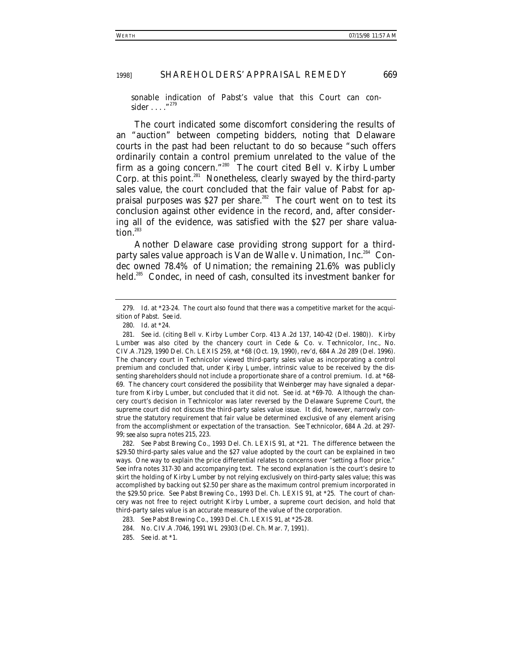sonable indication of Pabst's value that this Court can consider  $\dots$  ."<sup>275</sup>

The court indicated some discomfort considering the results of an "auction" between competing bidders, noting that Delaware courts in the past had been reluctant to do so because "such offers ordinarily contain a control premium unrelated to the value of the firm as a going concern."280 The court cited *Bell v. Kirby Lumber* Corp. at this point.<sup>281</sup> Nonetheless, clearly swayed by the third-party sales value, the court concluded that the fair value of Pabst for appraisal purposes was \$27 per share.<sup>282</sup> The court went on to test its conclusion against other evidence in the record, and, after considering all of the evidence, was satisfied with the \$27 per share valuation.<sup>283</sup>

Another Delaware case providing strong support for a thirdparty sales value approach is *Van de Walle v. Unimation, Inc.*<sup>284</sup> Condec owned 78.4% of Unimation; the remaining 21.6% was publicly held.<sup>285</sup> Condec, in need of cash, consulted its investment banker for

<sup>279</sup>*. Id.* at \*23-24. The court also found that there was a competitive market for the acquisition of Pabst. *See id.*

<sup>280</sup>*. Id.* at \*24.

<sup>281</sup>*. See id.* (citing Bell v. Kirby Lumber Corp. 413 A.2d 137, 140-42 (Del. 1980)). *Kirby Lumber* was also cited by the chancery court in *Cede & Co. v. Technicolor, Inc*., No. CIV.A.7129, 1990 Del. Ch. LEXIS 259, at \*68 (Oct. 19, 1990), *rev'd*, 684 A.2d 289 (Del. 1996). The chancery court in *Technicolor* viewed third-party sales value as incorporating a control premium and concluded that, under *Kirby Lumber*, intrinsic value to be received by the dissenting shareholders should not include a proportionate share of a control premium. *Id.* at \*68- 69. The chancery court considered the possibility that *Weinberger* may have signaled a departure from *Kirby Lumber*, but concluded that it did not. *See id.* at \*69-70. Although the chancery court's decision in *Technicolor* was later reversed by the Delaware Supreme Court, the supreme court did not discuss the third-party sales value issue. It did, however, narrowly construe the statutory requirement that fair value be determined exclusive of any element arising from the accomplishment or expectation of the transaction. *See Technicolor*, 684 A.2d. at 297- 99; *see also supra* notes 215, 223.

<sup>282</sup>*. See Pabst Brewing Co.*, 1993 Del. Ch. LEXIS 91, at \*21. The difference between the \$29.50 third-party sales value and the \$27 value adopted by the court can be explained in two ways. One way to explain the price differential relates to concerns over "setting a floor price." *See infra* notes 317-30 and accompanying text. The second explanation is the court's desire to skirt the holding of *Kirby Lumber* by not relying exclusively on third-party sales value; this was accomplished by backing out \$2.50 per share as the maximum control premium incorporated in the \$29.50 price. *See Pabst Brewing Co*., 1993 Del. Ch. LEXIS 91, at \*25. The court of chancery was not free to reject outright *Kirby Lumber*, a supreme court decision, and hold that third-party sales value is an accurate measure of the value of the corporation.

<sup>283</sup>*. See Pabst Brewing Co.*, 1993 Del. Ch. LEXIS 91, at \*25-28.

<sup>284.</sup> No. CIV.A.7046, 1991 WL 29303 (Del. Ch. Mar. 7, 1991).

<sup>285</sup>*. See id.* at \*1.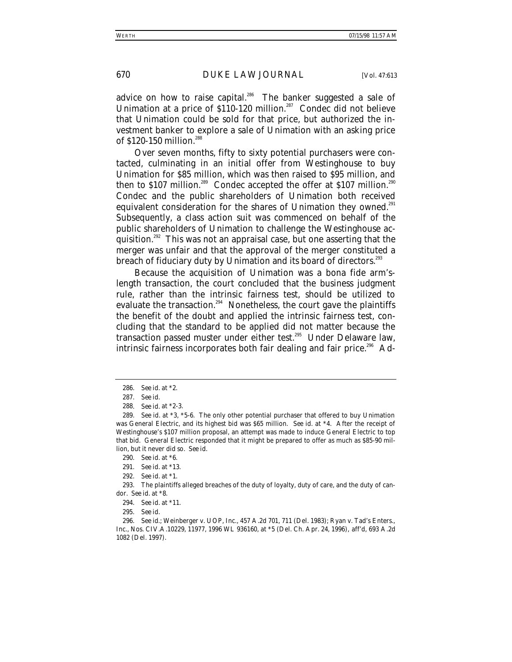advice on how to raise capital.<sup>286</sup> The banker suggested a sale of Unimation at a price of  $$110-120$  million.<sup>287</sup> Condec did not believe that Unimation could be sold for that price, but authorized the investment banker to explore a sale of Unimation with an asking price of \$120-150 million.<sup>288</sup>

Over seven months, fifty to sixty potential purchasers were contacted, culminating in an initial offer from Westinghouse to buy Unimation for \$85 million, which was then raised to \$95 million, and then to \$107 million.<sup>289</sup> Condec accepted the offer at \$107 million.<sup>290</sup> Condec and the public shareholders of Unimation both received equivalent consideration for the shares of Unimation they owned.<sup>291</sup> Subsequently, a class action suit was commenced on behalf of the public shareholders of Unimation to challenge the Westinghouse acquisition.<sup>292</sup> This was not an appraisal case, but one asserting that the merger was unfair and that the approval of the merger constituted a breach of fiduciary duty by Unimation and its board of directors.<sup>293</sup>

Because the acquisition of Unimation was a bona fide arm'slength transaction, the court concluded that the business judgment rule, rather than the intrinsic fairness test, should be utilized to evaluate the transaction.<sup>294</sup> Nonetheless, the court gave the plaintiffs the benefit of the doubt and applied the intrinsic fairness test, concluding that the standard to be applied did not matter because the transaction passed muster under either test.<sup>295</sup> Under Delaware law, intrinsic fairness incorporates both fair dealing and fair price.<sup>296</sup> Ad-

<sup>286</sup>*. See id.* at \*2.

<sup>287</sup>*. See id.*

<sup>288</sup>*. See id.* at \*2-3.

<sup>289</sup>*. See id.* at \*3, \*5-6. The only other potential purchaser that offered to buy Unimation was General Electric, and its highest bid was \$65 million. *See id.* at \*4. After the receipt of Westinghouse's \$107 million proposal, an attempt was made to induce General Electric to top that bid. General Electric responded that it might be prepared to offer as much as \$85-90 million, but it never did so. *See id.*

<sup>290</sup>*. See id.* at \*6.

<sup>291</sup>*. See id.* at \*13.

<sup>292</sup>*. See id.* at \*1.

<sup>293.</sup> The plaintiffs alleged breaches of the duty of loyalty, duty of care, and the duty of candor. *See id.* at \*8.

<sup>294</sup>*. See id.* at \*11.

<sup>295</sup>*. See id.*

<sup>296</sup>*. See id.*; Weinberger v. UOP, Inc., 457 A.2d 701, 711 (Del. 1983); Ryan v. Tad's Enters., Inc., Nos. CIV.A.10229, 11977, 1996 WL 936160, at \*5 (Del. Ch. Apr. 24, 1996), *aff'd*, 693 A.2d 1082 (Del. 1997).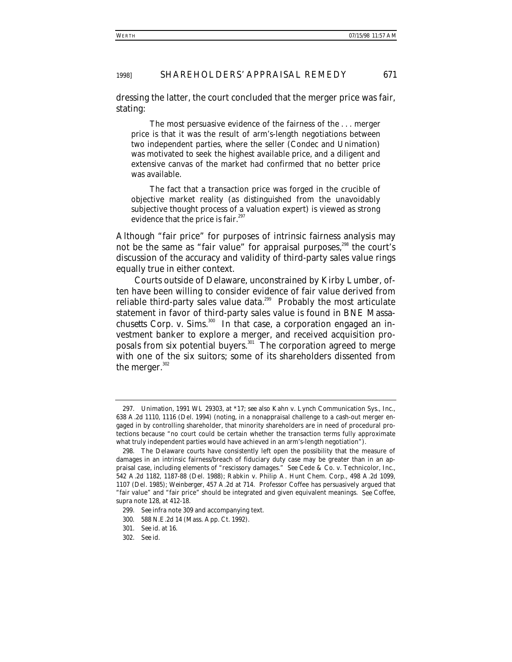dressing the latter, the court concluded that the merger price was fair, stating:

The most persuasive evidence of the fairness of the . . . merger price is that it was the result of arm's-length negotiations between two independent parties, where the seller (Condec and Unimation) was motivated to seek the highest available price, and a diligent and extensive canvas of the market had confirmed that no better price was available.

The fact that a transaction price was forged in the crucible of objective market reality (as distinguished from the unavoidably subjective thought process of a valuation expert) is viewed as strong evidence that the price is fair. $297$ 

Although "fair price" for purposes of intrinsic fairness analysis may not be the same as "fair value" for appraisal purposes,<sup>298</sup> the court's discussion of the accuracy and validity of third-party sales value rings equally true in either context.

Courts outside of Delaware, unconstrained by *Kirby Lumber*, often have been willing to consider evidence of fair value derived from reliable third-party sales value data.<sup>299</sup> Probably the most articulate statement in favor of third-party sales value is found in *BNE Massachusetts Corp. v. Sims*. 300 In that case, a corporation engaged an investment banker to explore a merger, and received acquisition proposals from six potential buyers.<sup>301</sup> The corporation agreed to merge with one of the six suitors; some of its shareholders dissented from the merger. $302$ 

<sup>297</sup>*. Unimation*, 1991 WL 29303, at \*17; *see also* Kahn v. Lynch Communication Sys., Inc., 638 A.2d 1110, 1116 (Del. 1994) (noting, in a nonappraisal challenge to a cash-out merger engaged in by controlling shareholder, that minority shareholders are in need of procedural protections because "no court could be certain whether the transaction terms fully approximate what truly independent parties would have achieved in an arm's-length negotiation").

<sup>298.</sup> The Delaware courts have consistently left open the possibility that the measure of damages in an intrinsic fairness/breach of fiduciary duty case may be greater than in an appraisal case, including elements of "rescissory damages." *See* Cede & Co. v. Technicolor, Inc., 542 A.2d 1182, 1187-88 (Del. 1988); Rabkin v. Philip A. Hunt Chem. Corp., 498 A.2d 1099, 1107 (Del. 1985); *Weinberger*, 457 A.2d at 714. Professor Coffee has persuasively argued that "fair value" and "fair price" should be integrated and given equivalent meanings. *See* Coffee, *supra* note 128, at 412-18.

<sup>299</sup>*. See infra* note 309 and accompanying text.

<sup>300. 588</sup> N.E.2d 14 (Mass. App. Ct. 1992).

<sup>301</sup>*. See id.* at 16.

<sup>302</sup>*. See id.*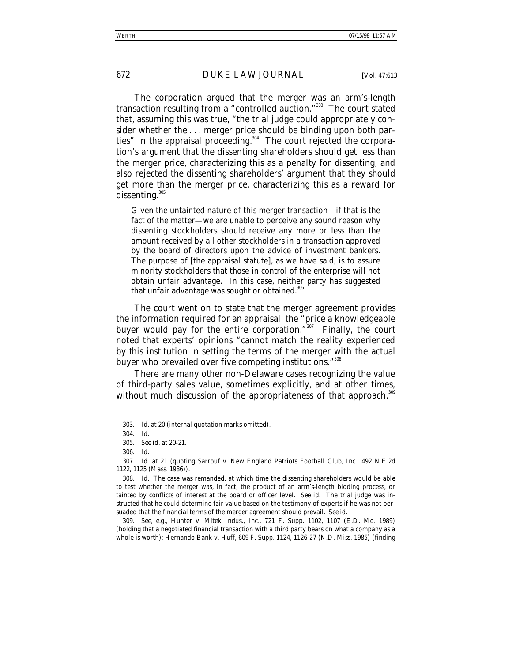The corporation argued that the merger was an arm's-length transaction resulting from a "controlled auction."303 The court stated that, assuming this was true, "the trial judge could appropriately consider whether the . . . merger price should be binding upon both parties" in the appraisal proceeding. $304$  The court rejected the corporation's argument that the dissenting shareholders should get less than the merger price, characterizing this as a penalty for dissenting, and also rejected the dissenting shareholders' argument that they should get more than the merger price, characterizing this as a reward for dissenting. $305$ 

Given the untainted nature of this merger transaction—if that is the fact of the matter—we are unable to perceive any sound reason why dissenting stockholders should receive any more or less than the amount received by all other stockholders in a transaction approved by the board of directors upon the advice of investment bankers. The purpose of [the appraisal statute], as we have said, is to assure minority stockholders that those in control of the enterprise will not obtain unfair advantage. In this case, neither party has suggested that unfair advantage was sought or obtained.<sup>31</sup>

The court went on to state that the merger agreement provides the information required for an appraisal: the "price a knowledgeable buyer would pay for the entire corporation." $307$  Finally, the court noted that experts' opinions "cannot match the reality experienced by *this* institution in setting the terms of the merger with the actual buyer who prevailed over five competing institutions."<sup>308</sup>

There are many other non-Delaware cases recognizing the value of third-party sales value, sometimes explicitly, and at other times, without much discussion of the appropriateness of that approach.<sup>309</sup>

309*. See, e.g.*, Hunter v. Mitek Indus., Inc., 721 F. Supp. 1102, 1107 (E.D. Mo. 1989) (holding that a negotiated financial transaction with a third party bears on what a company as a whole is worth); Hernando Bank v. Huff, 609 F. Supp. 1124, 1126-27 (N.D. Miss. 1985) (finding

<sup>303</sup>*. Id.* at 20 (internal quotation marks omitted).

<sup>304</sup>*. Id.*

<sup>305</sup>*. See id.* at 20-21.

<sup>306</sup>*. Id.*

<sup>307</sup>*. Id.* at 21 (quoting Sarrouf v. New England Patriots Football Club, Inc., 492 N.E.2d 1122, 1125 (Mass. 1986)).

<sup>308</sup>*. Id.* The case was remanded, at which time the dissenting shareholders would be able to test whether the merger was, in fact, the product of an arm's-length bidding process, or tainted by conflicts of interest at the board or officer level. *See id.* The trial judge was instructed that he could determine fair value based on the testimony of experts if he was not persuaded that the financial terms of the merger agreement should prevail. *See id.*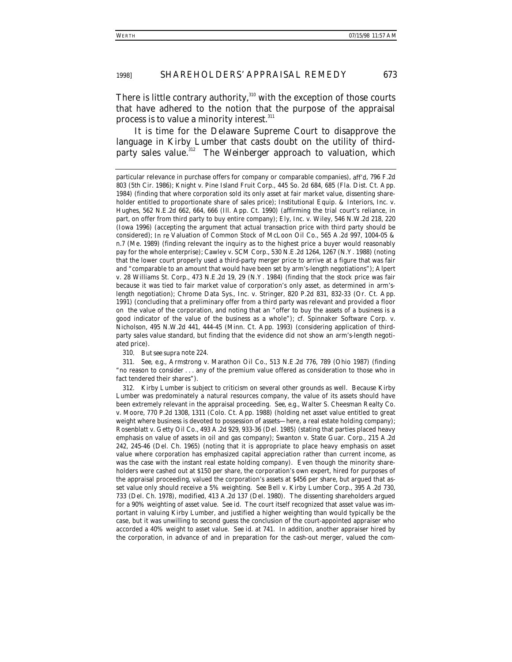There is little contrary authority, $310$  with the exception of those courts that have adhered to the notion that the purpose of the appraisal process is to value a minority interest.<sup>311</sup>

It is time for the Delaware Supreme Court to disapprove the language in *Kirby Lumber* that casts doubt on the utility of thirdparty sales value.<sup>312</sup> The *Weinberger* approach to valuation, which

310*. But see supra* note 224.

311*. See, e.g.*, Armstrong v. Marathon Oil Co., 513 N.E.2d 776, 789 (Ohio 1987) (finding "no reason to consider . . . any of the premium value offered as consideration to those who in fact tendered their shares").

312*. Kirby Lumber* is subject to criticism on several other grounds as well. Because Kirby Lumber was predominately a natural resources company, the value of its assets should have been extremely relevant in the appraisal proceeding. *See, e.g.*, Walter S. Cheesman Realty Co. v. Moore, 770 P.2d 1308, 1311 (Colo. Ct. App. 1988) (holding net asset value entitled to great weight where business is devoted to possession of assets—here, a real estate holding company); Rosenblatt v. Getty Oil Co., 493 A.2d 929, 933-36 (Del. 1985) (stating that parties placed heavy emphasis on value of assets in oil and gas company); Swanton v. State Guar. Corp., 215 A.2d 242, 245-46 (Del. Ch. 1965) (noting that it is appropriate to place heavy emphasis on asset value where corporation has emphasized capital appreciation rather than current income, as was the case with the instant real estate holding company). Even though the minority shareholders were cashed out at \$150 per share, the corporation's own expert, hired for purposes of the appraisal proceeding, valued the corporation's assets at \$456 per share, but argued that asset value only should receive a 5% weighting. *See* Bell v. Kirby Lumber Corp., 395 A.2d 730, 733 (Del. Ch. 1978), *modified*, 413 A.2d 137 (Del. 1980). The dissenting shareholders argued for a 90% weighting of asset value. *See id.* The court itself recognized that asset value was important in valuing Kirby Lumber, and justified a higher weighting than would typically be the case, but it was unwilling to second guess the conclusion of the court-appointed appraiser who accorded a 40% weight to asset value. *See id.* at 741. In addition, another appraiser hired by the corporation, in advance of and in preparation for the cash-out merger, valued the com-

particular relevance in purchase offers for company or comparable companies), *aff'd*, 796 F.2d 803 (5th Cir. 1986); Knight v. Pine Island Fruit Corp., 445 So. 2d 684, 685 (Fla. Dist. Ct. App. 1984) (finding that where corporation sold its only asset at fair market value, dissenting shareholder entitled to proportionate share of sales price); Institutional Equip. & Interiors, Inc. v. Hughes, 562 N.E.2d 662, 664, 666 (Ill. App. Ct. 1990) (affirming the trial court's reliance, in part, on offer from third party to buy entire company); Ely, Inc. v. Wiley, 546 N.W.2d 218, 220 (Iowa 1996) (accepting the argument that actual transaction price with third party should be considered); *In re* Valuation of Common Stock of McLoon Oil Co., 565 A.2d 997, 1004-05 & n.7 (Me. 1989) (finding relevant the inquiry as to the highest price a buyer would reasonably pay for the whole enterprise); Cawley v. SCM Corp., 530 N.E.2d 1264, 1267 (N.Y. 1988) (noting that the lower court properly used a third-party merger price to arrive at a figure that was fair and "comparable to an amount that would have been set by arm's-length negotiations"); Alpert v. 28 Williams St. Corp., 473 N.E.2d 19, 29 (N.Y. 1984) (finding that the stock price was fair because it was tied to fair market value of corporation's only asset, as determined in arm'slength negotiation); Chrome Data Sys., Inc. v. Stringer, 820 P.2d 831, 832-33 (Or. Ct. App. 1991) (concluding that a preliminary offer from a third party was relevant and provided a floor on the value of the corporation, and noting that an "offer to buy the assets of a business is a good indicator of the value of the business as a whole"); *cf.* Spinnaker Software Corp. v. Nicholson, 495 N.W.2d 441, 444-45 (Minn. Ct. App. 1993) (considering application of thirdparty sales value standard, but finding that the evidence did not show an arm's-length negotiated price).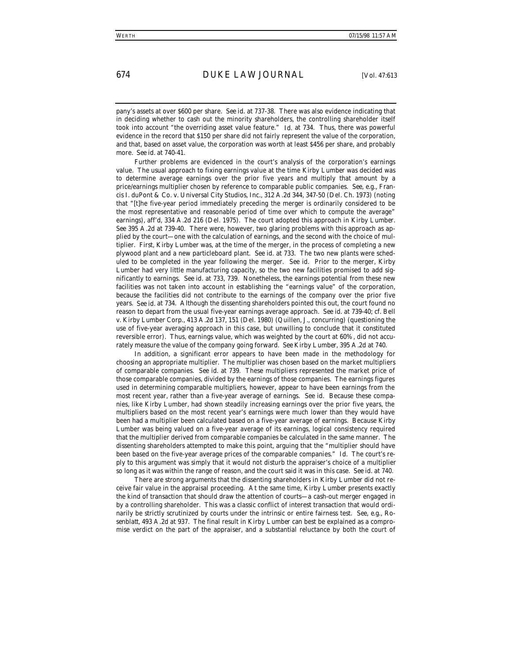pany's assets at over \$600 per share. *See id.* at 737-38. There was also evidence indicating that in deciding whether to cash out the minority shareholders, the controlling shareholder itself took into account "the overriding asset value feature." *Id.* at 734. Thus, there was powerful evidence in the record that \$150 per share did not fairly represent the value of the corporation, and that, based on asset value, the corporation was worth at least \$456 per share, and probably more. *See id.* at 740-41.

Further problems are evidenced in the court's analysis of the corporation's earnings value. The usual approach to fixing earnings value at the time *Kirby Lumber* was decided was to determine average earnings over the prior five years and multiply that amount by a price/earnings multiplier chosen by reference to comparable public companies. *See, e.g.*, Francis I. duPont & Co. v. Universal City Studios, Inc., 312 A.2d 344, 347-50 (Del. Ch. 1973) (noting that "[t]he five-year period immediately preceding the merger is ordinarily considered to be the most representative and reasonable period of time over which to compute the average" earnings), *aff'd*, 334 A.2d 216 (Del. 1975). The court adopted this approach in *Kirby Lumber*. *See* 395 A.2d at 739-40. There were, however, two glaring problems with this approach as applied by the court—one with the calculation of earnings, and the second with the choice of multiplier. First, Kirby Lumber was, at the time of the merger, in the process of completing a new plywood plant and a new particleboard plant. *See id.* at 733. The two new plants were scheduled to be completed in the year following the merger. *See id.* Prior to the merger, Kirby Lumber had very little manufacturing capacity, so the two new facilities promised to add significantly to earnings. *See id.* at 733, 739. Nonetheless, the earnings potential from these new facilities was not taken into account in establishing the "earnings value" of the corporation, because the facilities did not contribute to the earnings of the company over the prior five years. *See id.* at 734. Although the dissenting shareholders pointed this out, the court found no reason to depart from the usual five-year earnings average approach. *See id.* at 739-40; *cf.* Bell v. Kirby Lumber Corp., 413 A.2d 137, 151 (Del. 1980) (Quillen, J., concurring) (questioning the use of five-year averaging approach in this case, but unwilling to conclude that it constituted reversible error). Thus, earnings value, which was weighted by the court at 60%, did not accurately measure the value of the company going forward. *See Kirby Lumber*, 395 A.2d at 740.

In addition, a significant error appears to have been made in the methodology for choosing an appropriate multiplier. The multiplier was chosen based on the market multipliers of comparable companies. *See id.* at 739. These multipliers represented the market price of those comparable companies, divided by the earnings of those companies. The earnings figures used in determining comparable multipliers, however, appear to have been earnings from the most recent year, rather than a five-year average of earnings. *See id.* Because these companies, like Kirby Lumber, had shown steadily increasing earnings over the prior five years, the multipliers based on the most recent year's earnings were much lower than they would have been had a multiplier been calculated based on a five-year average of earnings. Because Kirby Lumber was being valued on a five-year average of its earnings, logical consistency required that the multiplier derived from comparable companies be calculated in the same manner. The dissenting shareholders attempted to make this point, arguing that the "multiplier should have been based on the five-year average prices of the comparable companies." *Id.* The court's reply to this argument was simply that it would not disturb the appraiser's choice of a multiplier so long as it was within the range of reason, and the court said it was in this case. *See id.* at 740.

There are strong arguments that the dissenting shareholders in *Kirby Lumber* did not receive fair value in the appraisal proceeding. At the same time, *Kirby Lumber* presents exactly the kind of transaction that should draw the attention of courts—a cash-out merger engaged in by a controlling shareholder. This was a classic conflict of interest transaction that would ordinarily be strictly scrutinized by courts under the intrinsic or entire fairness test. *See, e.g.*, *Rosenblatt*, 493 A.2d at 937. The final result in *Kirby Lumber* can best be explained as a compromise verdict on the part of the appraiser, and a substantial reluctance by both the court of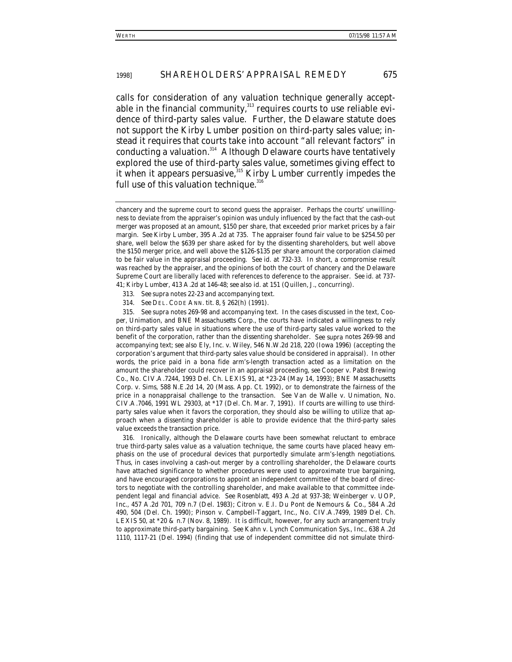calls for consideration of any valuation technique generally acceptable in the financial community, $313$  requires courts to use reliable evidence of third-party sales value. Further, the Delaware statute does not support the *Kirby Lumber* position on third-party sales value; instead it requires that courts take into account "all relevant factors" in conducting a valuation.<sup>314</sup> Although Delaware courts have tentatively explored the use of third-party sales value, sometimes giving effect to it when it appears persuasive,<sup>315</sup> *Kirby Lumber* currently impedes the full use of this valuation technique. $316$ 

316. Ironically, although the Delaware courts have been somewhat reluctant to embrace true third-party sales value as a valuation technique, the same courts have placed heavy emphasis on the use of procedural devices that purportedly simulate arm's-length negotiations. Thus, in cases involving a cash-out merger by a controlling shareholder, the Delaware courts have attached significance to whether procedures were used to approximate true bargaining, and have encouraged corporations to appoint an independent committee of the board of directors to negotiate with the controlling shareholder, and make available to that committee independent legal and financial advice. *See Rosenblatt*, 493 A.2d at 937-38; Weinberger v. UOP, Inc., 457 A.2d 701, 709 n.7 (Del. 1983); Citron v. E.I. Du Pont de Nemours & Co., 584 A.2d 490, 504 (Del. Ch. 1990); Pinson v. Campbell-Taggart, Inc., No. CIV.A.7499, 1989 Del. Ch. LEXIS 50, at  $*20 \& n.7$  (Nov. 8, 1989). It is difficult, however, for any such arrangement truly to approximate third-party bargaining. *See* Kahn v. Lynch Communication Sys., Inc., 638 A.2d 1110, 1117-21 (Del. 1994) (finding that use of independent committee did not simulate third-

chancery and the supreme court to second guess the appraiser. Perhaps the courts' unwillingness to deviate from the appraiser's opinion was unduly influenced by the fact that the cash-out merger was proposed at an amount, \$150 per share, that exceeded prior market prices by a fair margin. *See Kirby Lumber*, 395 A.2d at 735. The appraiser found fair value to be \$254.50 per share, well below the \$639 per share asked for by the dissenting shareholders, but well above the \$150 merger price, and well above the \$126-\$135 per share amount the corporation claimed to be fair value in the appraisal proceeding. *See id.* at 732-33. In short, a compromise result was reached by the appraiser, and the opinions of both the court of chancery and the Delaware Supreme Court are liberally laced with references to deference to the appraiser. *See id.* at 737- 41; *Kirby Lumber*, 413 A.2d at 146-48; *see also id.* at 151 (Quillen, J., concurring).

<sup>313</sup>*. See supra* notes 22-23 and accompanying text.

<sup>314</sup>*. See* DEL. CODE ANN. tit. 8, § 262(h) (1991).

<sup>315</sup>*. See supra* notes 269-98 and accompanying text. In the cases discussed in the text, *Cooper*, *Unimation*, and *BNE Massachusetts Corp.*, the courts have indicated a willingness to rely on third-party sales value in situations where the use of third-party sales value worked to the benefit of the corporation, rather than the dissenting shareholder. *See supra* notes 269-98 and accompanying text; *see also* Ely, Inc. v. Wiley, 546 N.W.2d 218, 220 (Iowa 1996) (accepting the corporation's argument that third-party sales value should be considered in appraisal). In other words, the price paid in a bona fide arm's-length transaction acted as a limitation on the amount the shareholder could recover in an appraisal proceeding, *see* Cooper v. Pabst Brewing Co., No. CIV.A.7244, 1993 Del. Ch. LEXIS 91, at \*23-24 (May 14, 1993); BNE Massachusetts Corp. v. Sims, 588 N.E.2d 14, 20 (Mass. App. Ct. 1992), or to demonstrate the fairness of the price in a nonappraisal challenge to the transaction. *See* Van de Walle v. Unimation, No. CIV.A.7046, 1991 WL 29303, at \*17 (Del. Ch. Mar. 7, 1991). If courts are willing to use thirdparty sales value when it favors the corporation, they should also be willing to utilize that approach when a dissenting shareholder is able to provide evidence that the third-party sales value exceeds the transaction price.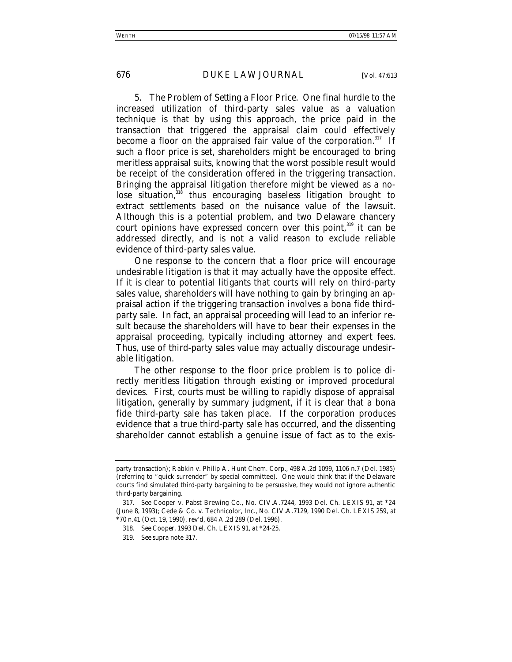5. *The Problem of Setting a Floor Price*. One final hurdle to the increased utilization of third-party sales value as a valuation technique is that by using this approach, the price paid in the transaction that triggered the appraisal claim could effectively become a floor on the appraised fair value of the corporation.<sup>317</sup> If such a floor price is set, shareholders might be encouraged to bring meritless appraisal suits, knowing that the worst possible result would be receipt of the consideration offered in the triggering transaction. Bringing the appraisal litigation therefore might be viewed as a nolose situation, $318$  thus encouraging baseless litigation brought to extract settlements based on the nuisance value of the lawsuit. Although this is a potential problem, and two Delaware chancery court opinions have expressed concern over this point,  $319$  it can be addressed directly, and is not a valid reason to exclude reliable evidence of third-party sales value.

One response to the concern that a floor price will encourage undesirable litigation is that it may actually have the opposite effect. If it is clear to potential litigants that courts will rely on third-party sales value, shareholders will have nothing to gain by bringing an appraisal action if the triggering transaction involves a bona fide thirdparty sale. In fact, an appraisal proceeding will lead to an inferior result because the shareholders will have to bear their expenses in the appraisal proceeding, typically including attorney and expert fees. Thus, use of third-party sales value may actually discourage undesirable litigation.

The other response to the floor price problem is to police directly meritless litigation through existing or improved procedural devices. First, courts must be willing to rapidly dispose of appraisal litigation, generally by summary judgment, if it is clear that a bona fide third-party sale has taken place. If the corporation produces evidence that a true third-party sale has occurred, and the dissenting shareholder cannot establish a genuine issue of fact as to the exis-

party transaction); Rabkin v. Philip A. Hunt Chem. Corp., 498 A.2d 1099, 1106 n.7 (Del. 1985) (referring to "quick surrender" by special committee). One would think that if the Delaware courts find simulated third-party bargaining to be persuasive, they would not ignore authentic third-party bargaining.

<sup>317</sup>*. See* Cooper v. Pabst Brewing Co., No. CIV.A.7244, 1993 Del. Ch. LEXIS 91, at \*24 (June 8, 1993); Cede & Co. v. Technicolor, Inc., No. CIV.A.7129, 1990 Del. Ch. LEXIS 259, at \*70 n.41 (Oct. 19, 1990), *rev'd*, 684 A.2d 289 (Del. 1996).

<sup>318</sup>*. See Cooper*, 1993 Del. Ch. LEXIS 91, at \*24-25.

<sup>319</sup>*. See supra* note 317.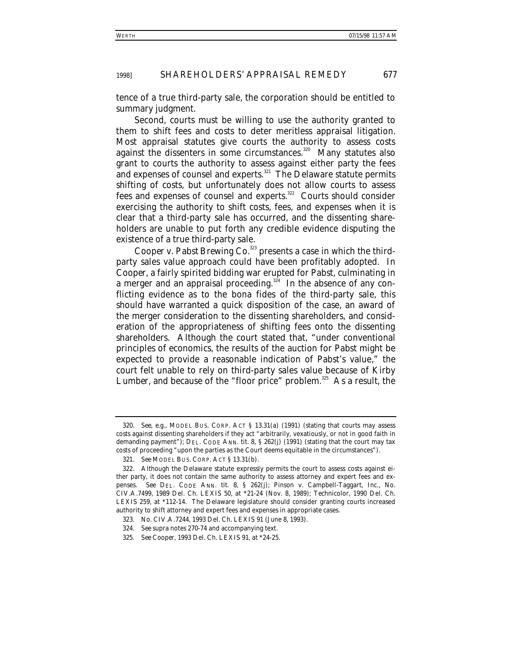tence of a true third-party sale, the corporation should be entitled to summary judgment.

Second, courts must be willing to use the authority granted to them to shift fees and costs to deter meritless appraisal litigation. Most appraisal statutes give courts the authority to assess costs against the dissenters in some circumstances.<sup>320</sup> Many statutes also grant to courts the authority to assess against either party the fees and expenses of counsel and experts.<sup>321</sup> The Delaware statute permits shifting of costs, but unfortunately does not allow courts to assess fees and expenses of counsel and experts.<sup>322</sup> Courts should consider exercising the authority to shift costs, fees, and expenses when it is clear that a third-party sale has occurred, and the dissenting shareholders are unable to put forth any credible evidence disputing the existence of a true third-party sale.

*Cooper v. Pabst Brewing Co.*<sup>323</sup> presents a case in which the thirdparty sales value approach could have been profitably adopted. In *Cooper*, a fairly spirited bidding war erupted for Pabst, culminating in a merger and an appraisal proceeding.<sup>324</sup> In the absence of any conflicting evidence as to the bona fides of the third-party sale, this should have warranted a quick disposition of the case, an award of the merger consideration to the dissenting shareholders, and consideration of the appropriateness of shifting fees onto the dissenting shareholders. Although the court stated that, "under conventional principles of economics, the results of the auction for Pabst might be expected to provide a reasonable indication of Pabst's value," the court felt unable to rely on third-party sales value because of *Kirby Lumber*, and because of the "floor price" problem.<sup>325</sup> As a result, the

<sup>320</sup>*. See, e.g.*, MODEL BUS. CORP. ACT § 13.31(a) (1991) (stating that courts may assess costs against dissenting shareholders if they act "arbitrarily, vexatiously, or not in good faith in demanding payment"); DEL. CODE ANN. tit. 8, § 262(j) (1991) (stating that the court may tax costs of proceeding "upon the parties as the Court deems equitable in the circumstances").

<sup>321</sup>*. See* MODEL BUS. CORP. ACT § 13.31(b).

<sup>322.</sup> Although the Delaware statute expressly permits the court to assess costs against either party, it does not contain the same authority to assess attorney and expert fees and expenses. *See* DEL. CODE ANN. tit. 8, § 262(j); Pinson v. Campbell-Taggart, Inc., No. CIV.A.7499, 1989 Del. Ch. LEXIS 50, at \*21-24 (Nov. 8, 1989); *Technicolor*, 1990 Del. Ch. LEXIS 259, at \*112-14. The Delaware legislature should consider granting courts increased authority to shift attorney and expert fees and expenses in appropriate cases.

<sup>323.</sup> No. CIV.A.7244, 1993 Del. Ch. LEXIS 91 (June 8, 1993).

<sup>324</sup>*. See supra* notes 270-74 and accompanying text.

<sup>325</sup>*. See Cooper*, 1993 Del. Ch. LEXIS 91, at \*24-25.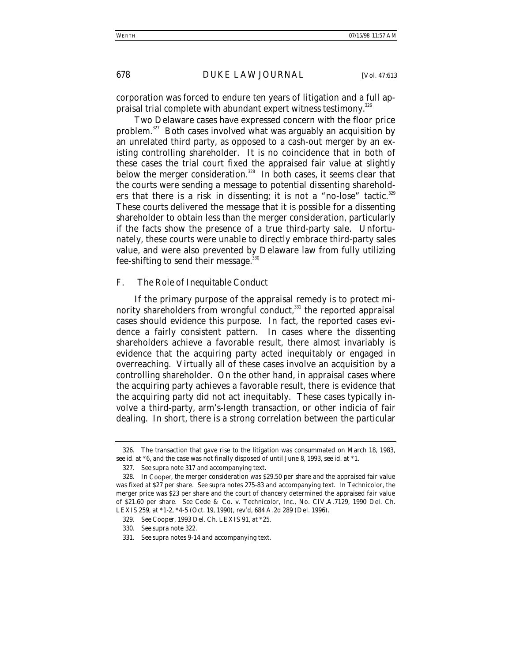corporation was forced to endure ten years of litigation and a full appraisal trial complete with abundant expert witness testimony.<sup>326</sup>

Two Delaware cases have expressed concern with the floor price problem.<sup>327</sup> Both cases involved what was arguably an acquisition by an unrelated third party, as opposed to a cash-out merger by an existing controlling shareholder. It is no coincidence that in both of these cases the trial court fixed the appraised fair value at slightly below the merger consideration.<sup>328</sup> In both cases, it seems clear that the courts were sending a message to potential dissenting shareholders that there is a risk in dissenting; it is not a "no-lose" tactic.<sup>329</sup> These courts delivered the message that it is possible for a dissenting shareholder to obtain less than the merger consideration, particularly if the facts show the presence of a true third-party sale. Unfortunately, these courts were unable to directly embrace third-party sales value, and were also prevented by Delaware law from fully utilizing fee-shifting to send their message.<sup>330</sup>

### *F. The Role of Inequitable Conduct*

If the primary purpose of the appraisal remedy is to protect minority shareholders from wrongful conduct, $331$  the reported appraisal cases should evidence this purpose. In fact, the reported cases evidence a fairly consistent pattern. In cases where the dissenting shareholders achieve a favorable result, there almost invariably is evidence that the acquiring party acted inequitably or engaged in overreaching. Virtually all of these cases involve an acquisition by a controlling shareholder. On the other hand, in appraisal cases where the acquiring party achieves a favorable result, there is evidence that the acquiring party did not act inequitably. These cases typically involve a third-party, arm's-length transaction, or other indicia of fair dealing. In short, there is a strong correlation between the particular

<sup>326.</sup> The transaction that gave rise to the litigation was consummated on March 18, 1983, *see id.* at \*6, and the case was not finally disposed of until June 8, 1993, *see id.* at \*1.

<sup>327</sup>*. See supra* note 317 and accompanying text.

<sup>328.</sup> In *Cooper*, the merger consideration was \$29.50 per share and the appraised fair value was fixed at \$27 per share. *See supra* notes 275-83 and accompanying text. In *Technicolor*, the merger price was \$23 per share and the court of chancery determined the appraised fair value of \$21.60 per share. *See* Cede & Co. v. Technicolor, Inc., No. CIV.A.7129, 1990 Del. Ch. LEXIS 259, at \*1-2, \*4-5 (Oct. 19, 1990), *rev'd*, 684 A.2d 289 (Del. 1996).

<sup>329</sup>*. See Cooper*, 1993 Del. Ch. LEXIS 91, at \*25.

<sup>330</sup>*. See supra* note 322.

<sup>331</sup>*. See supra* notes 9-14 and accompanying text.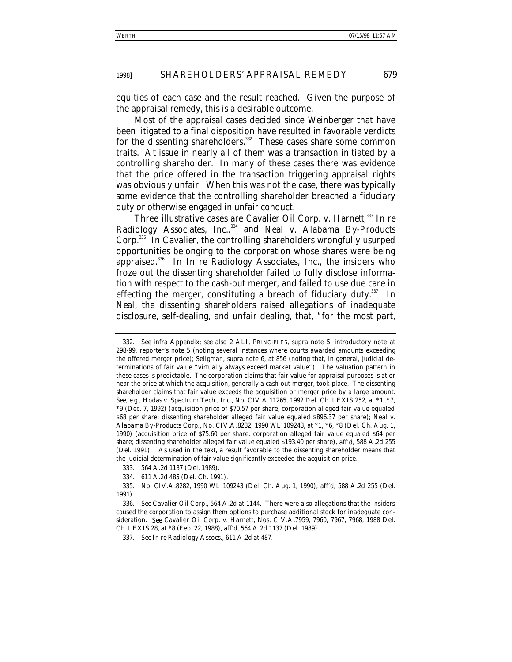equities of each case and the result reached. Given the purpose of the appraisal remedy, this is a desirable outcome.

Most of the appraisal cases decided since *Weinberger* that have been litigated to a final disposition have resulted in favorable verdicts for the dissenting shareholders.<sup>332</sup> These cases share some common traits. At issue in nearly all of them was a transaction initiated by a controlling shareholder. In many of these cases there was evidence that the price offered in the transaction triggering appraisal rights was obviously unfair. When this was not the case, there was typically some evidence that the controlling shareholder breached a fiduciary duty or otherwise engaged in unfair conduct.

Three illustrative cases are *Cavalier Oil Corp. v. Harnett,*<sup>333</sup> *In re Radiology Associates, Inc.*, 334 and *Neal v. Alabama By-Products Corp.*335 In *Cavalier*, the controlling shareholders wrongfully usurped opportunities belonging to the corporation whose shares were being appraised.336 In *In re Radiology Associates, Inc.*, the insiders who froze out the dissenting shareholder failed to fully disclose information with respect to the cash-out merger, and failed to use due care in effecting the merger, constituting a breach of fiduciary duty. $337$  In *Neal*, the dissenting shareholders raised allegations of inadequate disclosure, self-dealing, and unfair dealing, that, "for the most part,

<sup>332</sup>*. See infra* Appendix; *see also* 2 ALI, PRINCIPLES, *supra* note 5, introductory note at 298-99, reporter's note 5 (noting several instances where courts awarded amounts exceeding the offered merger price); Seligman, *supra* note 6, at 856 (noting that, in general, judicial determinations of fair value "virtually always exceed market value"). The valuation pattern in these cases is predictable. The corporation claims that fair value for appraisal purposes is at or near the price at which the acquisition, generally a cash-out merger, took place. The dissenting shareholder claims that fair value exceeds the acquisition or merger price by a large amount. *See, e.g.*, Hodas v. Spectrum Tech., Inc., No. CIV.A.11265, 1992 Del. Ch. LEXIS 252, at \*1, \*7, \*9 (Dec. 7, 1992) (acquisition price of \$70.57 per share; corporation alleged fair value equaled \$68 per share; dissenting shareholder alleged fair value equaled \$896.37 per share); Neal v. Alabama By-Products Corp., No. CIV.A.8282, 1990 WL 109243, at \*1, \*6, \*8 (Del. Ch. Aug. 1, 1990) (acquisition price of \$75.60 per share; corporation alleged fair value equaled \$64 per share; dissenting shareholder alleged fair value equaled \$193.40 per share), *aff'd*, 588 A.2d 255 (Del. 1991). As used in the text, a result favorable to the dissenting shareholder means that the judicial determination of fair value significantly exceeded the acquisition price.

<sup>333. 564</sup> A.2d 1137 (Del. 1989).

<sup>334. 611</sup> A.2d 485 (Del. Ch. 1991).

<sup>335.</sup> No. CIV.A.8282, 1990 WL 109243 (Del. Ch. Aug. 1, 1990), *aff'd*, 588 A.2d 255 (Del. 1991).

<sup>336</sup>*. See Cavalier Oil Corp.*, 564 A.2d at 1144. There were also allegations that the insiders caused the corporation to assign them options to purchase additional stock for inadequate consideration. *See* Cavalier Oil Corp. v. Harnett, Nos. CIV.A.7959, 7960, 7967, 7968, 1988 Del. Ch. LEXIS 28, at \*8 (Feb. 22, 1988), *aff'd*, 564 A.2d 1137 (Del. 1989).

<sup>337</sup>*. See In re* Radiology Assocs., 611 A.2d at 487.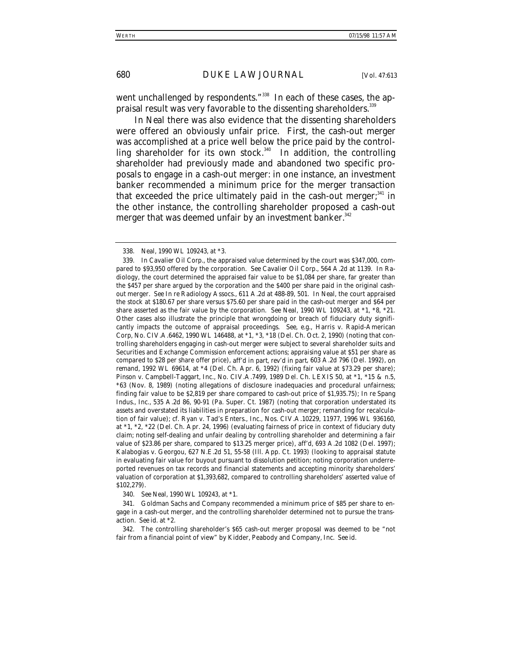went unchallenged by respondents."<sup>338</sup> In each of these cases, the appraisal result was very favorable to the dissenting shareholders.<sup>339</sup>

In *Neal* there was also evidence that the dissenting shareholders were offered an obviously unfair price. First, the cash-out merger was accomplished at a price well below the price paid by the controlling shareholder for its own stock. $340$  In addition, the controlling shareholder had previously made and abandoned two specific proposals to engage in a cash-out merger: in one instance, an investment banker recommended a minimum price for the merger transaction that exceeded the price ultimately paid in the cash-out merger; $341$  in the other instance, the controlling shareholder proposed a cash-out merger that was deemed unfair by an investment banker.<sup>342</sup>

340*. See Neal*, 1990 WL 109243, at \*1.

341. Goldman Sachs and Company recommended a minimum price of \$85 per share to engage in a cash-out merger, and the controlling shareholder determined not to pursue the transaction. *See id.* at \*2.

342. The controlling shareholder's \$65 cash-out merger proposal was deemed to be "not fair from a financial point of view" by Kidder, Peabody and Company, Inc. *See id.*

<sup>338</sup>*. Neal*, 1990 WL 109243, at \*3.

<sup>339.</sup> In *Cavalier Oil Corp.*, the appraised value determined by the court was \$347,000, compared to \$93,950 offered by the corporation. *See Cavalier Oil Corp.*, 564 A.2d at 1139. In *Radiology*, the court determined the appraised fair value to be \$1,084 per share, far greater than the \$457 per share argued by the corporation and the \$400 per share paid in the original cashout merger. *See In re* Radiology Assocs., 611 A.2d at 488-89, 501. In *Neal*, the court appraised the stock at \$180.67 per share versus \$75.60 per share paid in the cash-out merger and \$64 per share asserted as the fair value by the corporation. *See Neal*, 1990 WL 109243, at \*1, \*8, \*21. Other cases also illustrate the principle that wrongdoing or breach of fiduciary duty significantly impacts the outcome of appraisal proceedings. *See, e.g.*, Harris v. Rapid-American Corp, No. CIV.A.6462, 1990 WL 146488, at \*1, \*3, \*18 (Del. Ch. Oct. 2, 1990) (noting that controlling shareholders engaging in cash-out merger were subject to several shareholder suits and Securities and Exchange Commission enforcement actions; appraising value at \$51 per share as compared to \$28 per share offer price), *aff'd in part, rev'd in part*, 603 A.2d 796 (Del. 1992), *on remand*, 1992 WL 69614, at \*4 (Del. Ch. Apr. 6, 1992) (fixing fair value at \$73.29 per share); Pinson v. Campbell-Taggart, Inc., No. CIV.A.7499, 1989 Del. Ch. LEXIS 50, at \*1, \*15 & n.5, \*63 (Nov. 8, 1989) (noting allegations of disclosure inadequacies and procedural unfairness; finding fair value to be \$2,819 per share compared to cash-out price of \$1,935.75); *In re* Spang Indus., Inc., 535 A.2d 86, 90-91 (Pa. Super. Ct. 1987) (noting that corporation understated its assets and overstated its liabilities in preparation for cash-out merger; remanding for recalculation of fair value); *cf.* Ryan v. Tad's Enters., Inc., Nos. CIV.A.10229, 11977, 1996 WL 936160, at \*1, \*2, \*22 (Del. Ch. Apr. 24, 1996) (evaluating fairness of price in context of fiduciary duty claim; noting self-dealing and unfair dealing by controlling shareholder and determining a fair value of \$23.86 per share, compared to \$13.25 merger price), *aff'd*, 693 A.2d 1082 (Del. 1997); Kalabogias v. Georgou, 627 N.E.2d 51, 55-58 (Ill. App. Ct. 1993) (looking to appraisal statute in evaluating fair value for buyout pursuant to dissolution petition; noting corporation underreported revenues on tax records and financial statements and accepting minority shareholders' valuation of corporation at \$1,393,682, compared to controlling shareholders' asserted value of \$102,279).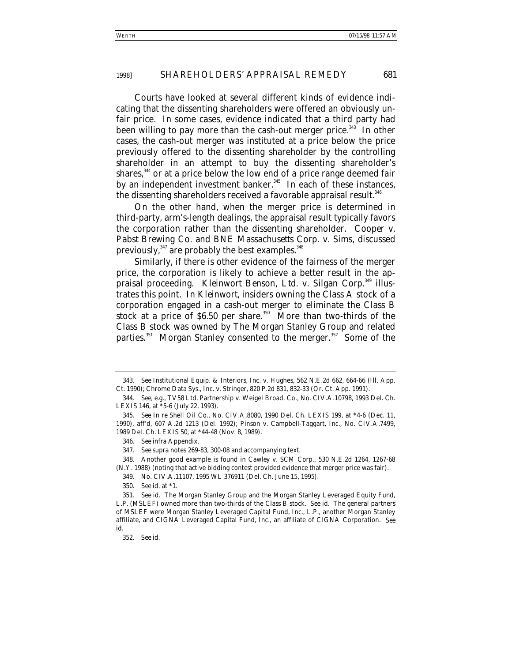Courts have looked at several different kinds of evidence indicating that the dissenting shareholders were offered an obviously unfair price. In some cases, evidence indicated that a third party had been willing to pay more than the cash-out merger price.<sup>343</sup> In other cases, the cash-out merger was instituted at a price below the price previously offered to the dissenting shareholder by the controlling shareholder in an attempt to buy the dissenting shareholder's shares,<sup>344</sup> or at a price below the low end of a price range deemed fair by an independent investment banker.<sup>345</sup> In each of these instances, the dissenting shareholders received a favorable appraisal result.<sup>346</sup>

On the other hand, when the merger price is determined in third-party, arm's-length dealings, the appraisal result typically favors the corporation rather than the dissenting shareholder. *Cooper v. Pabst Brewing Co.* and *BNE Massachusetts Corp. v. Sims*, discussed previously, $347$  are probably the best examples. $348$ 

Similarly, if there is other evidence of the fairness of the merger price, the corporation is likely to achieve a better result in the appraisal proceeding. *Kleinwort Benson, Ltd. v. Silgan Corp.*349 illustrates this point. In *Kleinwort*, insiders owning the Class A stock of a corporation engaged in a cash-out merger to eliminate the Class B stock at a price of  $$6.50$  per share.<sup>350</sup> More than two-thirds of the Class B stock was owned by The Morgan Stanley Group and related parties.<sup>351</sup> Morgan Stanley consented to the merger.<sup>352</sup> Some of the

<sup>343</sup>*. See* Institutional Equip. & Interiors, Inc. v. Hughes, 562 N.E.2d 662, 664-66 (Ill. App. Ct. 1990); Chrome Data Sys., Inc. v. Stringer, 820 P.2d 831, 832-33 (Or. Ct. App. 1991).

<sup>344</sup>*. See, e.g.*, TV58 Ltd. Partnership v. Weigel Broad. Co., No. CIV.A.10798, 1993 Del. Ch. LEXIS 146, at \*5-6 (July 22, 1993).

<sup>345</sup>*. See In re* Shell Oil Co., No. CIV.A.8080, 1990 Del. Ch. LEXIS 199, at \*4-6 (Dec. 11, 1990), *aff'd*, 607 A.2d 1213 (Del. 1992); Pinson v. Campbell-Taggart, Inc., No. CIV.A.7499, 1989 Del. Ch. LEXIS 50, at \*44-48 (Nov. 8, 1989).

<sup>346</sup>*. See infra* Appendix.

<sup>347</sup>*. See supra* notes 269-83, 300-08 and accompanying text.

<sup>348.</sup> Another good example is found in *Cawley v. SCM Corp.*, 530 N.E.2d 1264, 1267-68 (N.Y. 1988) (noting that active bidding contest provided evidence that merger price was fair).

<sup>349.</sup> No. CIV.A.11107, 1995 WL 376911 (Del. Ch. June 15, 1995).

<sup>350</sup>*. See id.* at \*1.

<sup>351</sup>*. See id.* The Morgan Stanley Group and the Morgan Stanley Leveraged Equity Fund, L.P. (MSLEF) owned more than two-thirds of the Class B stock. *See id.* The general partners of MSLEF were Morgan Stanley Leveraged Capital Fund, Inc., L.P., another Morgan Stanley affiliate, and CIGNA Leveraged Capital Fund, Inc., an affiliate of CIGNA Corporation. *See id.*

<sup>352</sup>*. See id.*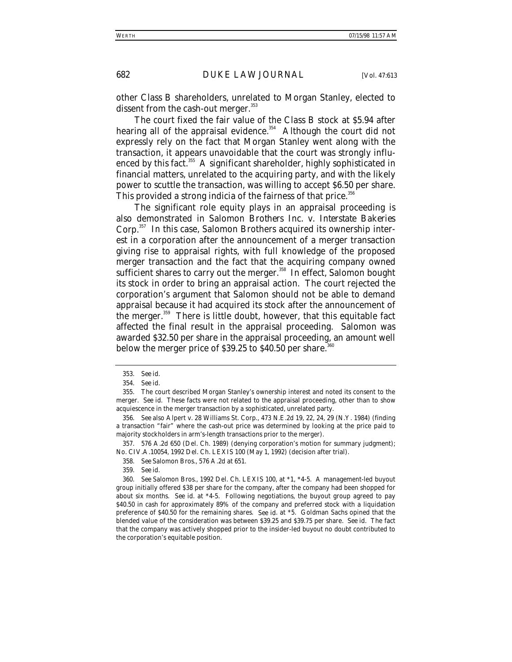other Class B shareholders, unrelated to Morgan Stanley, elected to dissent from the cash-out merger. $353$ 

The court fixed the fair value of the Class B stock at \$5.94 after hearing all of the appraisal evidence. $354$  Although the court did not expressly rely on the fact that Morgan Stanley went along with the transaction, it appears unavoidable that the court was strongly influenced by this fact.<sup>355</sup> A significant shareholder, highly sophisticated in financial matters, unrelated to the acquiring party, and with the likely power to scuttle the transaction, was willing to accept \$6.50 per share. This provided a strong indicia of the fairness of that price.<sup>356</sup>

The significant role equity plays in an appraisal proceeding is also demonstrated in *Salomon Brothers Inc. v. Interstate Bakeries Corp.*357 In this case, Salomon Brothers acquired its ownership interest in a corporation after the announcement of a merger transaction giving rise to appraisal rights, with full knowledge of the proposed merger transaction and the fact that the acquiring company owned sufficient shares to carry out the merger.<sup>358</sup> In effect, Salomon bought its stock in order to bring an appraisal action. The court rejected the corporation's argument that Salomon should not be able to demand appraisal because it had acquired its stock after the announcement of the merger.<sup>359</sup> There is little doubt, however, that this equitable fact affected the final result in the appraisal proceeding. Salomon was awarded \$32.50 per share in the appraisal proceeding, an amount well below the merger price of  $$39.25$  to  $$40.50$  per share.<sup>361</sup>

357. 576 A.2d 650 (Del. Ch. 1989) (denying corporation's motion for summary judgment); No. CIV.A.10054, 1992 Del. Ch. LEXIS 100 (May 1, 1992) (decision after trial).

<sup>353</sup>*. See id.*

<sup>354</sup>*. See id.*

<sup>355.</sup> The court described Morgan Stanley's ownership interest and noted its consent to the merger. *See id.* These facts were not related to the appraisal proceeding, other than to show acquiescence in the merger transaction by a sophisticated, unrelated party.

<sup>356</sup>*. See also* Alpert v. 28 Williams St. Corp., 473 N.E.2d 19, 22, 24, 29 (N.Y. 1984) (finding a transaction "fair" where the cash-out price was determined by looking at the price paid to majority stockholders in arm's-length transactions prior to the merger).

<sup>358</sup>*. See Salomon Bros.*, 576 A.2d at 651.

<sup>359</sup>*. See id.*

<sup>360</sup>*. See Salomon Bros.*, 1992 Del. Ch. LEXIS 100, at \*1, \*4-5. A management-led buyout group initially offered \$38 per share for the company, after the company had been shopped for about six months. *See id.* at \*4-5. Following negotiations, the buyout group agreed to pay \$40.50 in cash for approximately 89% of the company and preferred stock with a liquidation preference of \$40.50 for the remaining shares. *See id*. at \*5. Goldman Sachs opined that the blended value of the consideration was between \$39.25 and \$39.75 per share. *See id.* The fact that the company was actively shopped prior to the insider-led buyout no doubt contributed to the corporation's equitable position.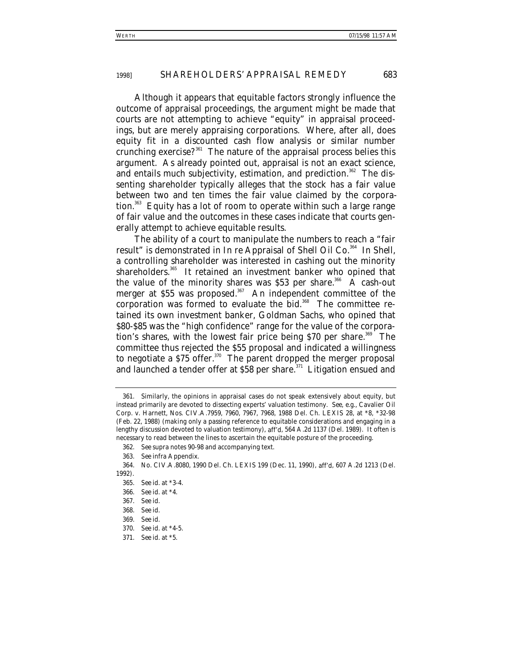Although it appears that equitable factors strongly influence the outcome of appraisal proceedings, the argument might be made that courts are not attempting to achieve "equity" in appraisal proceedings, but are merely appraising corporations. Where, after all, does equity fit in a discounted cash flow analysis or similar number crunching exercise? $361$  The nature of the appraisal process belies this argument. As already pointed out, appraisal is not an exact science, and entails much subjectivity, estimation, and prediction.<sup>362</sup> The dissenting shareholder typically alleges that the stock has a fair value between two and ten times the fair value claimed by the corporation.<sup>363</sup> Equity has a lot of room to operate within such a large range of fair value and the outcomes in these cases indicate that courts generally attempt to achieve equitable results.

The ability of a court to manipulate the numbers to reach a "fair result" is demonstrated in *In re Appraisal of Shell Oil Co.*364 In *Shell*, a controlling shareholder was interested in cashing out the minority shareholders.<sup>365</sup> It retained an investment banker who opined that the value of the minority shares was  $$53$  per share.<sup>366</sup> A cash-out merger at  $$55$  was proposed.<sup>367</sup> An independent committee of the corporation was formed to evaluate the bid.<sup>368</sup> The committee retained its own investment banker, Goldman Sachs, who opined that \$80-\$85 was the "high confidence" range for the value of the corporation's shares, with the lowest fair price being  $$70$  per share.<sup>369</sup> The committee thus rejected the \$55 proposal and indicated a willingness to negotiate a  $$75$  offer.<sup>370</sup> The parent dropped the merger proposal and launched a tender offer at  $$58$  per share.<sup>371</sup> Litigation ensued and

<sup>361.</sup> Similarly, the opinions in appraisal cases do not speak extensively about equity, but instead primarily are devoted to dissecting experts' valuation testimony. *See, e.g.*, Cavalier Oil Corp. v. Harnett, Nos. CIV.A.7959, 7960, 7967, 7968, 1988 Del. Ch. LEXIS 28, at \*8, \*32-98 (Feb. 22, 1988) (making only a passing reference to equitable considerations and engaging in a lengthy discussion devoted to valuation testimony), *aff'd*, 564 A.2d 1137 (Del. 1989). It often is necessary to read between the lines to ascertain the equitable posture of the proceeding.

<sup>362</sup>*. See supra* notes 90-98 and accompanying text.

<sup>363</sup>*. See infra* Appendix.

<sup>364.</sup> No. CIV.A.8080, 1990 Del. Ch. LEXIS 199 (Dec. 11, 1990), *aff'd*, 607 A.2d 1213 (Del. 1992).

<sup>365</sup>*. See id.* at \*3-4.

<sup>366</sup>*. See id.* at \*4.

<sup>367</sup>*. See id.*

<sup>368</sup>*. See id.*

<sup>369</sup>*. See id.*

<sup>370</sup>*. See id.* at \*4-5.

<sup>371</sup>*. See id.* at \*5.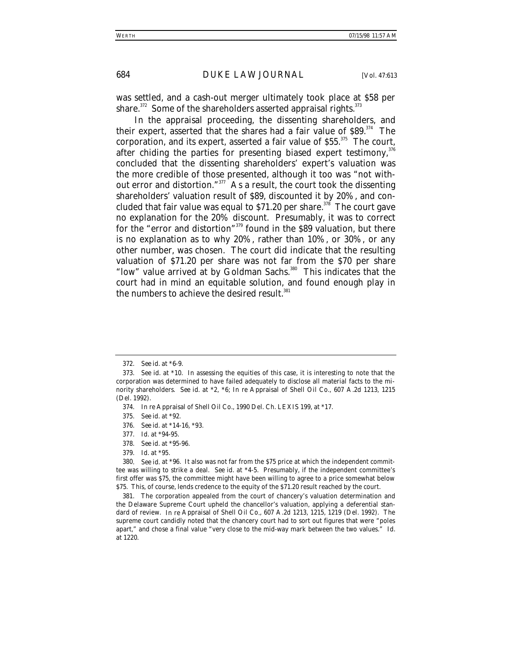was settled, and a cash-out merger ultimately took place at \$58 per share.<sup>372</sup> Some of the shareholders asserted appraisal rights.<sup>373</sup>

In the appraisal proceeding, the dissenting shareholders, and their expert, asserted that the shares had a fair value of  $$89$ <sup>374</sup> The corporation, and its expert, asserted a fair value of \$55.<sup>375</sup> The court, after chiding the parties for presenting biased expert testimony,  $376$ concluded that the dissenting shareholders' expert's valuation was the more credible of those presented, although it too was "not without error and distortion."377 As a result, the court took the dissenting shareholders' valuation result of \$89, discounted it by 20%, and concluded that fair value was equal to \$71.20 per share.<sup>378</sup> The court gave no explanation for the 20% discount. Presumably, it was to correct for the "error and distortion"379 found in the \$89 valuation, but there is no explanation as to why 20%, rather than 10%, or 30%, or any other number, was chosen. The court did indicate that the resulting valuation of \$71.20 per share was not far from the \$70 per share "low" value arrived at by Goldman Sachs.<sup>380</sup> This indicates that the court had in mind an equitable solution, and found enough play in the numbers to achieve the desired result.<sup>381</sup>

381. The corporation appealed from the court of chancery's valuation determination and the Delaware Supreme Court upheld the chancellor's valuation, applying a deferential standard of review. *In re* Appraisal of Shell Oil Co*.*, 607 A.2d 1213, 1215, 1219 (Del. 1992). The supreme court candidly noted that the chancery court had to sort out figures that were "poles apart," and chose a final value "very close to the mid-way mark between the two values." *Id.* at 1220.

<sup>372</sup>*. See id.* at \*6-9.

<sup>373</sup>*. See id.* at \*10. In assessing the equities of this case, it is interesting to note that the corporation was determined to have failed adequately to disclose all material facts to the minority shareholders. *See id.* at \*2, \*6; *In re* Appraisal of Shell Oil Co., 607 A.2d 1213, 1215 (Del. 1992).

<sup>374</sup>*. In re* Appraisal of Shell Oil Co., 1990 Del. Ch. LEXIS 199, at \*17.

<sup>375</sup>*. See id.* at \*92.

<sup>376</sup>*. See id.* at \*14-16, \*93.

<sup>377</sup>*. Id.* at \*94-95.

<sup>378</sup>*. See id.* at \*95-96.

<sup>379</sup>*. Id.* at \*95.

<sup>380</sup>*. See id.* at \*96. It also was not far from the \$75 price at which the independent committee was willing to strike a deal. *See id.* at \*4-5. Presumably, if the independent committee's first offer was \$75, the committee might have been willing to agree to a price somewhat below \$75. This, of course, lends credence to the equity of the \$71.20 result reached by the court.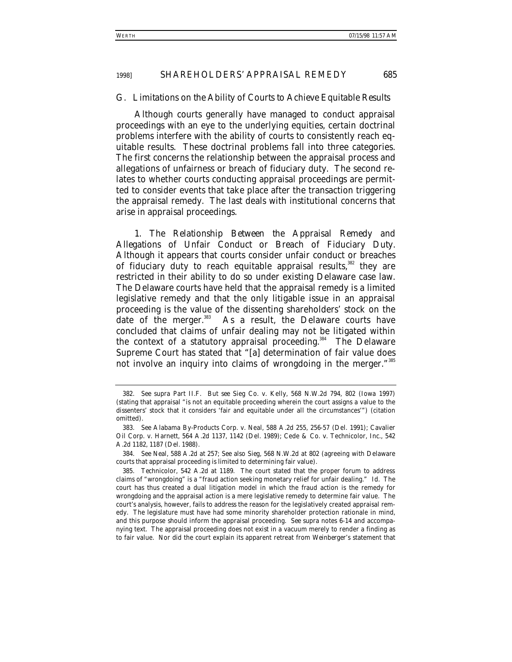# *G. Limitations on the Ability of Courts to Achieve Equitable Results*

Although courts generally have managed to conduct appraisal proceedings with an eye to the underlying equities, certain doctrinal problems interfere with the ability of courts to consistently reach equitable results. These doctrinal problems fall into three categories. The first concerns the relationship between the appraisal process and allegations of unfairness or breach of fiduciary duty. The second relates to whether courts conducting appraisal proceedings are permitted to consider events that take place after the transaction triggering the appraisal remedy. The last deals with institutional concerns that arise in appraisal proceedings.

1. *The Relationship Between the Appraisal Remedy and Allegations of Unfair Conduct or Breach of Fiduciary Duty*. Although it appears that courts consider unfair conduct or breaches of fiduciary duty to reach equitable appraisal results,<sup>382</sup> they are restricted in their ability to do so under existing Delaware case law. The Delaware courts have held that the appraisal remedy is a limited legislative remedy and that the only litigable issue in an appraisal proceeding is the value of the dissenting shareholders' stock on the date of the merger.<sup>383</sup> As a result, the Delaware courts have concluded that claims of unfair dealing may not be litigated within the context of a statutory appraisal proceeding.<sup>384</sup> The Delaware Supreme Court has stated that "[a] determination of fair value does not involve an inquiry into claims of wrongdoing in the merger."<sup>385</sup>

<sup>382</sup>*. See supra* Part II.F. *But see* Sieg Co. v. Kelly, 568 N.W.2d 794, 802 (Iowa 1997) (stating that appraisal "is not an equitable proceeding wherein the court assigns a value to the dissenters' stock that it considers 'fair and equitable under all the circumstances'") (citation omitted).

<sup>383</sup>*. See* Alabama By-Products Corp. v. Neal, 588 A.2d 255, 256-57 (Del. 1991); Cavalier Oil Corp. v. Harnett, 564 A.2d 1137, 1142 (Del. 1989); Cede & Co. v. Technicolor, Inc., 542 A.2d 1182, 1187 (Del. 1988).

<sup>384</sup>*. See Neal*, 588 A.2d at 257; *See also Sieg*, 568 N.W.2d at 802 (agreeing with Delaware courts that appraisal proceeding is limited to determining fair value).

<sup>385</sup>*. Technicolor*, 542 A.2d at 1189. The court stated that the proper forum to address claims of "wrongdoing" is a "fraud action seeking monetary relief for unfair dealing." *Id.* The court has thus created a dual litigation model in which the fraud action is the remedy for wrongdoing and the appraisal action is a mere legislative remedy to determine fair value. The court's analysis, however, fails to address the reason for the legislatively created appraisal remedy. The legislature must have had some minority shareholder protection rationale in mind, and this purpose should inform the appraisal proceeding. *See supra* notes 6-14 and accompanying text. The appraisal proceeding does not exist in a vacuum merely to render a finding as to fair value. Nor did the court explain its apparent retreat from *Weinberger*'s statement that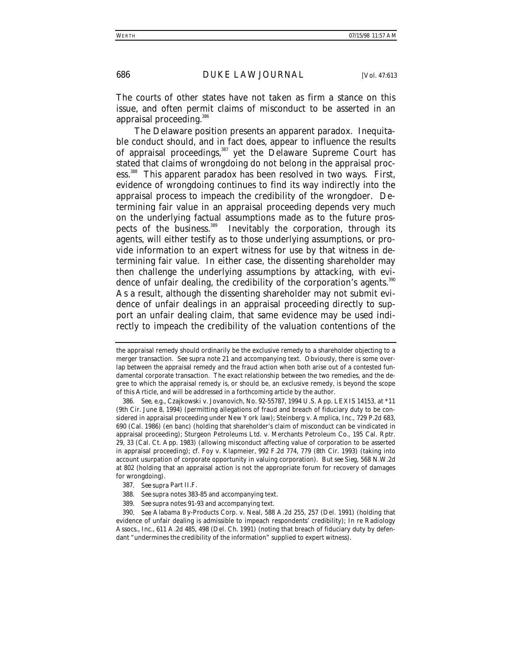The courts of other states have not taken as firm a stance on this issue, and often permit claims of misconduct to be asserted in an appraisal proceeding.386

The Delaware position presents an apparent paradox. Inequitable conduct should, and in fact does, appear to influence the results of appraisal proceedings,<sup>387</sup> yet the Delaware Supreme Court has stated that claims of wrongdoing do not belong in the appraisal process.<sup>388</sup> This apparent paradox has been resolved in two ways. First, evidence of wrongdoing continues to find its way indirectly into the appraisal process to impeach the credibility of the wrongdoer. Determining fair value in an appraisal proceeding depends very much on the underlying factual assumptions made as to the future prospects of the business.<sup>389</sup> Inevitably the corporation, through its agents, will either testify as to those underlying assumptions, or provide information to an expert witness for use by that witness in determining fair value. In either case, the dissenting shareholder may then challenge the underlying assumptions by attacking, with evidence of unfair dealing, the credibility of the corporation's agents.<sup>390</sup> As a result, although the dissenting shareholder may not submit evidence of unfair dealings in an appraisal proceeding directly to support an unfair dealing claim, that same evidence may be used indirectly to impeach the credibility of the valuation contentions of the

the appraisal remedy should ordinarily be the exclusive remedy to a shareholder objecting to a merger transaction. *See supra* note 21 and accompanying text. Obviously, there is some overlap between the appraisal remedy and the fraud action when both arise out of a contested fundamental corporate transaction. The exact relationship between the two remedies, and the degree to which the appraisal remedy is, or should be, an exclusive remedy, is beyond the scope of this Article, and will be addressed in a forthcoming article by the author.

<sup>386</sup>*. See, e.g.*, Czajkowski v. Jovanovich, No. 92-55787, 1994 U.S. App. LEXIS 14153, at \*11 (9th Cir. June 8, 1994) (permitting allegations of fraud and breach of fiduciary duty to be considered in appraisal proceeding under New York law); Steinberg v. Amplica, Inc., 729 P.2d 683, 690 (Cal. 1986) (en banc) (holding that shareholder's claim of misconduct can be vindicated in appraisal proceeding); Sturgeon Petroleums Ltd. v. Merchants Petroleum Co., 195 Cal. Rptr. 29, 33 (Cal. Ct. App. 1983) (allowing misconduct affecting value of corporation to be asserted in appraisal proceeding); *cf.* Foy v. Klapmeier, 992 F.2d 774, 779 (8th Cir. 1993) (taking into account usurpation of corporate opportunity in valuing corporation). *But see Sieg*, 568 N.W.2d at 802 (holding that an appraisal action is not the appropriate forum for recovery of damages for wrongdoing).

<sup>387</sup>*. See supra* Part II.F.

<sup>388</sup>*. See supra* notes 383-85 and accompanying text.

<sup>389</sup>*. See supra* notes 91-93 and accompanying text.

<sup>390</sup>*. See* Alabama By-Products Corp. v. Neal, 588 A.2d 255, 257 (Del. 1991) (holding that evidence of unfair dealing is admissible to impeach respondents' credibility); *In re* Radiology Assocs., Inc., 611 A.2d 485, 498 (Del. Ch. 1991) (noting that breach of fiduciary duty by defendant "undermines the credibility of the information" supplied to expert witness).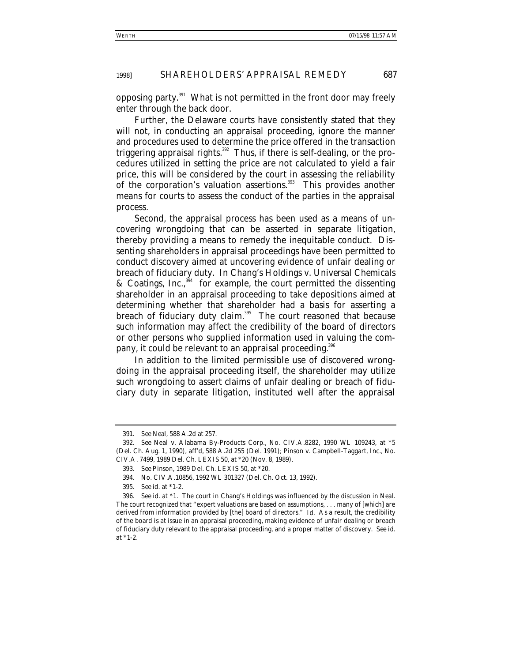opposing party. $391$  What is not permitted in the front door may freely enter through the back door.

Further, the Delaware courts have consistently stated that they will not, in conducting an appraisal proceeding, ignore the manner and procedures used to determine the price offered in the transaction triggering appraisal rights.<sup>392</sup> Thus, if there is self-dealing, or the procedures utilized in setting the price are not calculated to yield a fair price, this will be considered by the court in assessing the reliability of the corporation's valuation assertions.<sup>393</sup> This provides another means for courts to assess the conduct of the parties in the appraisal process.

Second, the appraisal process has been used as a means of uncovering wrongdoing that can be asserted in separate litigation, thereby providing a means to remedy the inequitable conduct. Dissenting shareholders in appraisal proceedings have been permitted to conduct discovery aimed at uncovering evidence of unfair dealing or breach of fiduciary duty. In *Chang's Holdings v. Universal Chemicals & Coatings, Inc.*, 394 for example, the court permitted the dissenting shareholder in an appraisal proceeding to take depositions aimed at determining whether that shareholder had a basis for asserting a breach of fiduciary duty claim.<sup>395</sup> The court reasoned that because such information may affect the credibility of the board of directors or other persons who supplied information used in valuing the company, it could be relevant to an appraisal proceeding.<sup>396</sup>

In addition to the limited permissible use of discovered wrongdoing in the appraisal proceeding itself, the shareholder may utilize such wrongdoing to assert claims of unfair dealing or breach of fiduciary duty in separate litigation, instituted well after the appraisal

<sup>391</sup>*. See Neal*, 588 A.2d at 257.

<sup>392</sup>*. See* Neal v. Alabama By-Products Corp., No. CIV.A.8282, 1990 WL 109243, at \*5 (Del. Ch. Aug. 1, 1990), *aff'd*, 588 A.2d 255 (Del. 1991); Pinson v. Campbell-Taggart, Inc., No. CIV.A. 7499, 1989 Del. Ch. LEXIS 50, at \*20 (Nov. 8, 1989).

<sup>393</sup>*. See Pinson*, 1989 Del. Ch. LEXIS 50, at \*20.

<sup>394.</sup> No. CIV.A.10856, 1992 WL 301327 (Del. Ch. Oct. 13, 1992).

<sup>395</sup>*. See id.* at \*1-2.

<sup>396</sup>*. See id.* at \*1. The court in *Chang's Holdings* was influenced by the discussion in *Neal*. The court recognized that "expert valuations are based on assumptions, . . . many of [which] are derived from information provided by [the] board of directors." *Id.* As a result, the credibility of the board is at issue in an appraisal proceeding, making evidence of unfair dealing or breach of fiduciary duty relevant to the appraisal proceeding, and a proper matter of discovery. *See id.* at \*1-2.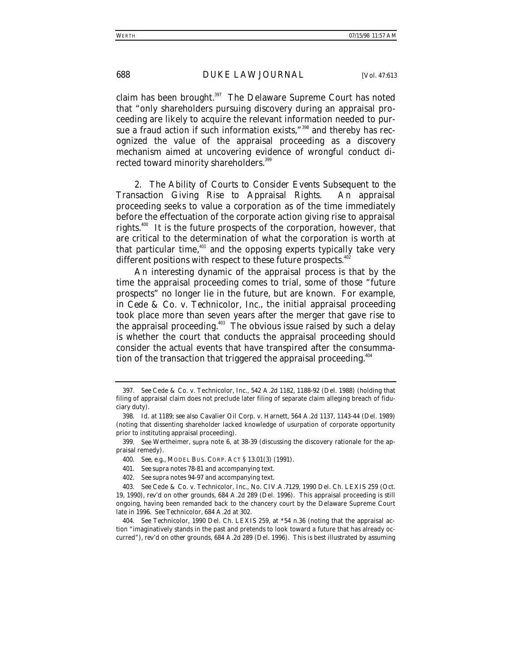claim has been brought.<sup>397</sup> The Delaware Supreme Court has noted that "only shareholders pursuing discovery during an appraisal proceeding are likely to acquire the relevant information needed to pursue a fraud action if such information exists,"<sup>398</sup> and thereby has recognized the value of the appraisal proceeding as a discovery mechanism aimed at uncovering evidence of wrongful conduct directed toward minority shareholders.<sup>399</sup>

2. *The Ability of Courts to Consider Events Subsequent to the Transaction Giving Rise to Appraisal Rights*. An appraisal proceeding seeks to value a corporation as of the time immediately before the effectuation of the corporate action giving rise to appraisal rights.<sup>400</sup> It is the future prospects of the corporation, however, that are critical to the determination of what the corporation is worth at that particular time, $401$  and the opposing experts typically take very different positions with respect to these future prospects.<sup>402</sup>

An interesting dynamic of the appraisal process is that by the time the appraisal proceeding comes to trial, some of those "future prospects" no longer lie in the future, but are known. For example, in *Cede & Co. v. Technicolor, Inc.*, the initial appraisal proceeding took place more than seven years after the merger that gave rise to the appraisal proceeding.<sup>403</sup> The obvious issue raised by such a delay is whether the court that conducts the appraisal proceeding should consider the actual events that have transpired after the consummation of the transaction that triggered the appraisal proceeding.<sup>404</sup>

<sup>397</sup>*. See* Cede & Co. v. Technicolor, Inc., 542 A.2d 1182, 1188-92 (Del. 1988) (holding that filing of appraisal claim does not preclude later filing of separate claim alleging breach of fiduciary duty).

<sup>398</sup>*. Id.* at 1189; *see also* Cavalier Oil Corp. v. Harnett, 564 A.2d 1137, 1143-44 (Del. 1989) (noting that dissenting shareholder lacked knowledge of usurpation of corporate opportunity prior to instituting appraisal proceeding).

<sup>399</sup>*. See* Wertheimer, *supra* note 6, at 38-39 (discussing the discovery rationale for the appraisal remedy).

<sup>400</sup>*. See, e.g.*, MODEL BUS. CORP. ACT § 13.01(3) (1991).

<sup>401</sup>*. See supra* notes 78-81 and accompanying text.

<sup>402</sup>*. See supra* notes 94-97 and accompanying text.

<sup>403</sup>*. See* Cede & Co. v. Technicolor, Inc., No. CIV.A.7129, 1990 Del. Ch. LEXIS 259 (Oct. 19, 1990), *rev'd on other grounds*, 684 A.2d 289 (Del. 1996). This appraisal proceeding is still ongoing, having been remanded back to the chancery court by the Delaware Supreme Court late in 1996. *See Technicolor*, 684 A.2d at 302.

<sup>404</sup>*. See Technicolor*, 1990 Del. Ch. LEXIS 259, at \*54 n.36 (noting that the appraisal action "imaginatively stands in the past and pretends to look toward a future that has already occurred"), *rev'd on other grounds*, 684 A.2d 289 (Del. 1996). This is best illustrated by assuming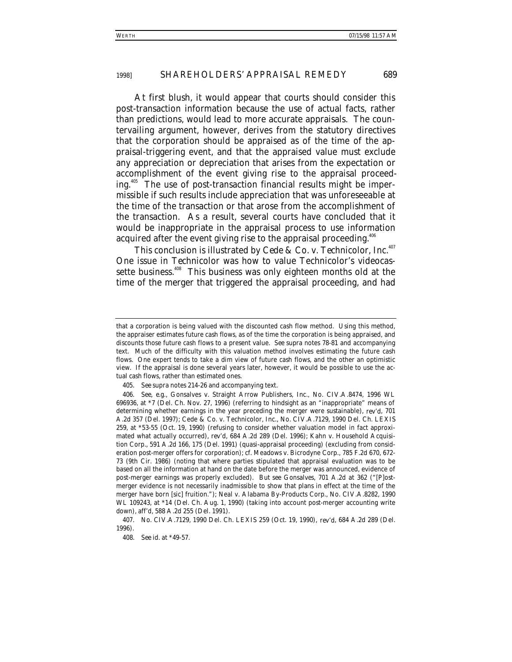At first blush, it would appear that courts should consider this post-transaction information because the use of actual facts, rather than predictions, would lead to more accurate appraisals. The countervailing argument, however, derives from the statutory directives that the corporation should be appraised as of the time of the appraisal-triggering event, and that the appraised value must exclude any appreciation or depreciation that arises from the expectation or accomplishment of the event giving rise to the appraisal proceeding.405 The use of post-transaction financial results might be impermissible if such results include appreciation that was unforeseeable at the time of the transaction or that arose from the accomplishment of the transaction. As a result, several courts have concluded that it would be inappropriate in the appraisal process to use information acquired after the event giving rise to the appraisal proceeding.<sup>406</sup>

This conclusion is illustrated by *Cede & Co. v. Technicolor, Inc.*<sup>407</sup> One issue in *Technicolor* was how to value Technicolor's videocassette business.<sup>408</sup> This business was only eighteen months old at the time of the merger that triggered the appraisal proceeding, and had

that a corporation is being valued with the discounted cash flow method. Using this method, the appraiser estimates future cash flows, as of the time the corporation is being appraised, and discounts those future cash flows to a present value. *See supra* notes 78-81 and accompanying text. Much of the difficulty with this valuation method involves estimating the future cash flows. One expert tends to take a dim view of future cash flows, and the other an optimistic view. If the appraisal is done several years later, however, it would be possible to use the actual cash flows, rather than estimated ones.

<sup>405</sup>*. See supra* notes 214-26 and accompanying text.

<sup>406</sup>*. See, e.g.*, Gonsalves v. Straight Arrow Publishers, Inc., No. CIV.A.8474, 1996 WL 696936, at \*7 (Del. Ch. Nov. 27, 1996) (referring to hindsight as an "inappropriate" means of determining whether earnings in the year preceding the merger were sustainable), *rev'd*, 701 A.2d 357 (Del. 1997); Cede & Co. v. Technicolor, Inc., No. CIV.A.7129, 1990 Del. Ch. LEXIS 259, at \*53-55 (Oct. 19, 1990) (refusing to consider whether valuation model in fact approximated what actually occurred), *rev'd*, 684 A.2d 289 (Del. 1996); Kahn v. Household Acquisition Corp., 591 A.2d 166, 175 (Del. 1991) (quasi-appraisal proceeding) (excluding from consideration post-merger offers for corporation); *cf.* Meadows v. Bicrodyne Corp., 785 F.2d 670, 672- 73 (9th Cir. 1986) (noting that where parties stipulated that appraisal evaluation was to be based on all the information at hand on the date before the merger was announced, evidence of post-merger earnings was properly excluded). *But see Gonsalves*, 701 A.2d at 362 ("[P]ostmerger evidence is not necessarily inadmissible to show that plans in effect at the time of the merger have born [sic] fruition."); Neal v. Alabama By-Products Corp., No. CIV.A.8282, 1990 WL 109243, at \*14 (Del. Ch. Aug. 1, 1990) (taking into account post-merger accounting write down), *aff'd*, 588 A.2d 255 (Del. 1991).

<sup>407.</sup> No. CIV.A.7129, 1990 Del. Ch. LEXIS 259 (Oct. 19, 1990), *rev'd*, 684 A.2d 289 (Del. 1996).

<sup>408</sup>*. See id.* at \*49-57.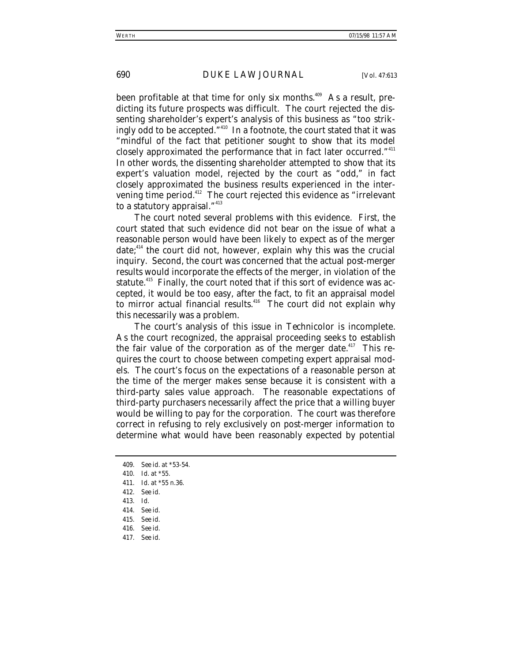been profitable at that time for only six months.<sup>409</sup> As a result, predicting its future prospects was difficult. The court rejected the dissenting shareholder's expert's analysis of this business as "too strikingly odd to be accepted."<sup>410</sup> In a footnote, the court stated that it was "mindful of the fact that petitioner sought to show that its model closely approximated the performance that in fact later occurred."<sup>411</sup> In other words, the dissenting shareholder attempted to show that its expert's valuation model, rejected by the court as "odd," in fact closely approximated the business results experienced in the intervening time period.<sup>412</sup> The court rejected this evidence as "irrelevant to a statutory appraisal."<sup>413</sup>

The court noted several problems with this evidence. First, the court stated that such evidence did not bear on the issue of what a reasonable person would have been likely to expect as of the merger date; $414$  the court did not, however, explain why this was the crucial inquiry. Second, the court was concerned that the actual post-merger results would incorporate the effects of the merger, in violation of the statute.<sup>415</sup> Finally, the court noted that if this sort of evidence was accepted, it would be too easy, after the fact, to fit an appraisal model to mirror actual financial results.<sup>416</sup> The court did not explain why this necessarily was a problem.

The court's analysis of this issue in *Technicolor* is incomplete. As the court recognized, the appraisal proceeding seeks to establish the fair value of the corporation as of the merger date.<sup>417</sup> This requires the court to choose between competing expert appraisal models. The court's focus on the expectations of a reasonable person at the time of the merger makes sense because it is consistent with a third-party sales value approach. The reasonable expectations of third-party purchasers necessarily affect the price that a willing buyer would be willing to pay for the corporation. The court was therefore correct in refusing to rely exclusively on post-merger information to determine what would have been reasonably expected by potential

- 410*. Id.* at \*55.
- 411*. Id.* at \*55 n.36.
- 412*. See id.*
- 413*. Id.*
- 414*. See id.*

- 416*. See id.*
- 417*. See id.*

<sup>409</sup>*. See id.* at \*53-54.

<sup>415</sup>*. See id.*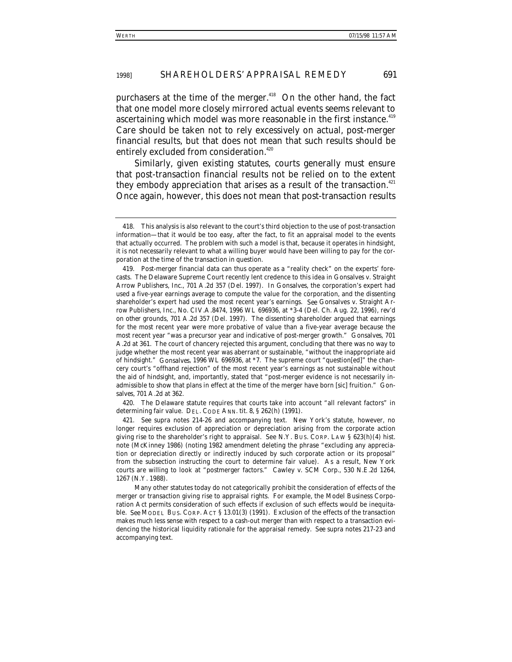purchasers at the time of the merger. $418$  On the other hand, the fact that one model more closely mirrored actual events seems relevant to ascertaining which model was more reasonable in the first instance.<sup>419</sup> Care should be taken not to rely excessively on actual, post-merger financial results, but that does not mean that such results should be entirely excluded from consideration.<sup>420</sup>

Similarly, given existing statutes, courts generally must ensure that post-transaction financial results not be relied on to the extent they embody appreciation that arises as a result of the transaction.<sup>421</sup> Once again, however, this does not mean that post-transaction results

420. The Delaware statute requires that courts take into account "all relevant factors" in determining fair value. DEL. CODE ANN. tit. 8, § 262(h) (1991).

421*. See supra* notes 214-26 and accompanying text. New York's statute, however, no longer requires exclusion of appreciation or depreciation arising from the corporate action giving rise to the shareholder's right to appraisal. See N.Y. BUS. CORP. LAW § 623(h)(4) hist. note (McKinney 1986) (noting 1982 amendment deleting the phrase "excluding any appreciation or depreciation directly or indirectly induced by such corporate action or its proposal" from the subsection instructing the court to determine fair value). As a result, New York courts are willing to look at "postmerger factors." Cawley v. SCM Corp., 530 N.E.2d 1264, 1267 (N.Y. 1988).

Many other statutes today do not categorically prohibit the consideration of effects of the merger or transaction giving rise to appraisal rights. For example, the Model Business Corporation Act permits consideration of such effects if exclusion of such effects would be inequitable. *See* MODEL BUS. CORP. ACT § 13.01(3) (1991). Exclusion of the effects of the transaction makes much less sense with respect to a cash-out merger than with respect to a transaction evidencing the historical liquidity rationale for the appraisal remedy. *See supra* notes 217-23 and accompanying text.

<sup>418.</sup> This analysis is also relevant to the court's third objection to the use of post-transaction information—that it would be too easy, after the fact, to fit an appraisal model to the events that actually occurred. The problem with such a model is that, because it operates in hindsight, it is not necessarily relevant to what a willing buyer would have been willing to pay for the corporation at the time of the transaction in question.

<sup>419.</sup> Post-merger financial data can thus operate as a "reality check" on the experts' forecasts. The Delaware Supreme Court recently lent credence to this idea in *Gonsalves v. Straight Arrow Publishers, Inc.*, 701 A.2d 357 (Del. 1997). In *Gonsalves*, the corporation's expert had used a five-year earnings average to compute the value for the corporation, and the dissenting shareholder's expert had used the most recent year's earnings. *See* Gonsalves v. Straight Arrow Publishers, Inc., No. CIV.A.8474, 1996 WL 696936, at \*3-4 (Del. Ch. Aug. 22, 1996), *rev'd on other grounds*, 701 A.2d 357 (Del. 1997). The dissenting shareholder argued that earnings for the most recent year were more probative of value than a five-year average because the most recent year "was a precursor year and indicative of post-merger growth." *Gonsalves*, 701 A.2d at 361. The court of chancery rejected this argument, concluding that there was no way to judge whether the most recent year was aberrant or sustainable, "without the inappropriate aid of hindsight." *Gonsalves*, 1996 WL 696936, at \*7. The supreme court "question[ed]" the chancery court's "offhand rejection" of the most recent year's earnings as not sustainable without the aid of hindsight, and, importantly, stated that "post-merger evidence is not necessarily inadmissible to show that plans in effect at the time of the merger have born [sic] fruition." *Gonsalves*, 701 A.2d at 362.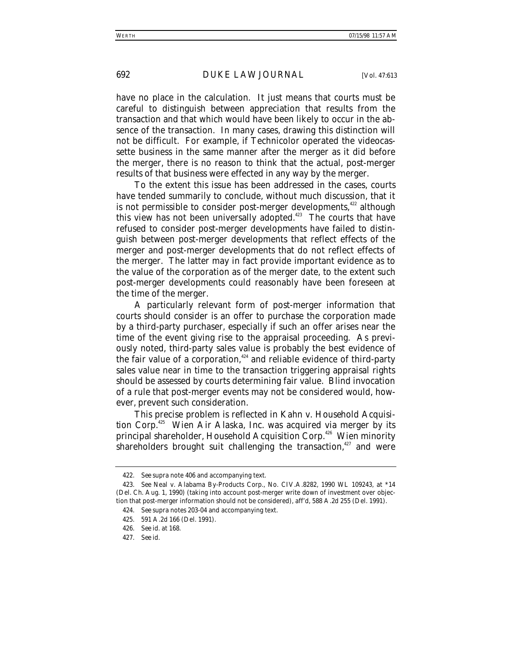have no place in the calculation. It just means that courts must be careful to distinguish between appreciation that results from the transaction and that which would have been likely to occur in the absence of the transaction. In many cases, drawing this distinction will not be difficult. For example, if Technicolor operated the videocassette business in the same manner after the merger as it did before the merger, there is no reason to think that the actual, post-merger results of that business were effected in any way by the merger.

To the extent this issue has been addressed in the cases, courts have tended summarily to conclude, without much discussion, that it is not permissible to consider post-merger developments, $422$  although this view has not been universally adopted. $423$  The courts that have refused to consider post-merger developments have failed to distinguish between post-merger developments that reflect effects of the merger and post-merger developments that do not reflect effects of the merger. The latter may in fact provide important evidence as to the value of the corporation as of the merger date, to the extent such post-merger developments could reasonably have been foreseen at the time of the merger.

A particularly relevant form of post-merger information that courts should consider is an offer to purchase the corporation made by a third-party purchaser, especially if such an offer arises near the time of the event giving rise to the appraisal proceeding. As previously noted, third-party sales value is probably the best evidence of the fair value of a corporation, $424$  and reliable evidence of third-party sales value near in time to the transaction triggering appraisal rights should be assessed by courts determining fair value. Blind invocation of a rule that post-merger events may not be considered would, however, prevent such consideration.

This precise problem is reflected in *Kahn v. Household Acquisition Corp.*425 Wien Air Alaska, Inc. was acquired via merger by its principal shareholder, Household Acquisition Corp.<sup>426</sup> Wien minority shareholders brought suit challenging the transaction,<sup>427</sup> and were

<sup>422</sup>*. See supra* note 406 and accompanying text.

<sup>423</sup>*. See* Neal v. Alabama By-Products Corp., No. CIV.A.8282, 1990 WL 109243, at \*14 (Del. Ch. Aug. 1, 1990) (taking into account post-merger write down of investment over objection that post-merger information should not be considered), *aff'd*, 588 A.2d 255 (Del. 1991).

<sup>424</sup>*. See supra* notes 203-04 and accompanying text.

<sup>425. 591</sup> A.2d 166 (Del. 1991).

<sup>426</sup>*. See id.* at 168.

<sup>427</sup>*. See id.*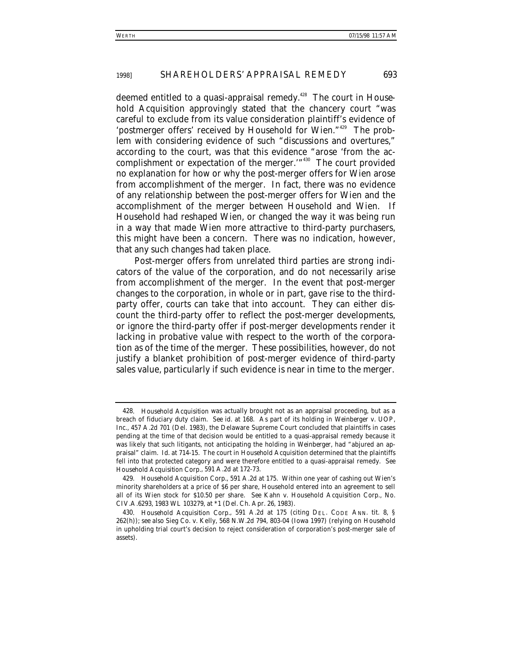deemed entitled to a quasi-appraisal remedy.428 The court in *Household Acquisition* approvingly stated that the chancery court "was careful to exclude from its value consideration plaintiff's evidence of 'postmerger offers' received by Household for Wien."429 The problem with considering evidence of such "discussions and overtures," according to the court, was that this evidence "arose 'from the accomplishment or expectation of the merger.'"430 The court provided no explanation for how or why the post-merger offers for Wien arose from accomplishment of the merger. In fact, there was no evidence of any relationship between the post-merger offers for Wien and the accomplishment of the merger between Household and Wien. If Household had reshaped Wien, or changed the way it was being run in a way that made Wien more attractive to third-party purchasers, this might have been a concern. There was no indication, however, that any such changes had taken place.

Post-merger offers from unrelated third parties are strong indicators of the value of the corporation, and do not necessarily arise from accomplishment of the merger. In the event that post-merger changes to the corporation, in whole or in part, gave rise to the thirdparty offer, courts can take that into account. They can either discount the third-party offer to reflect the post-merger developments, or ignore the third-party offer if post-merger developments render it lacking in probative value with respect to the worth of the corporation as of the time of the merger. These possibilities, however, do not justify a blanket prohibition of post-merger evidence of third-party sales value, particularly if such evidence is near in time to the merger.

<sup>428</sup>*. Household Acquisition* was actually brought not as an appraisal proceeding, but as a breach of fiduciary duty claim. *See id.* at 168. As part of its holding in *Weinberger v. UOP, Inc.*, 457 A.2d 701 (Del. 1983), the Delaware Supreme Court concluded that plaintiffs in cases pending at the time of that decision would be entitled to a quasi-appraisal remedy because it was likely that such litigants, not anticipating the holding in *Weinberger*, had "abjured an appraisal" claim. *Id.* at 714-15. The court in *Household Acquisition* determined that the plaintiffs fell into that protected category and were therefore entitled to a quasi-appraisal remedy. *See Household Acquisition Corp.*, 591 A.2d at 172-73.

<sup>429</sup>*. Household Acquisition Corp.*, 591 A.2d at 175. Within one year of cashing out Wien's minority shareholders at a price of \$6 per share, Household entered into an agreement to sell all of its Wien stock for \$10.50 per share. *See* Kahn v. Household Acquisition Corp., No. CIV.A.6293, 1983 WL 103279, at \*1 (Del. Ch. Apr. 26, 1983).

<sup>430</sup>*. Household Acquisition Corp.*, 591 A.2d at 175 (citing DEL. CODE ANN. tit. 8, § 262(h)); *see also* Sieg Co. v. Kelly, 568 N.W.2d 794, 803-04 (Iowa 1997) (relying on *Household* in upholding trial court's decision to reject consideration of corporation's post-merger sale of assets).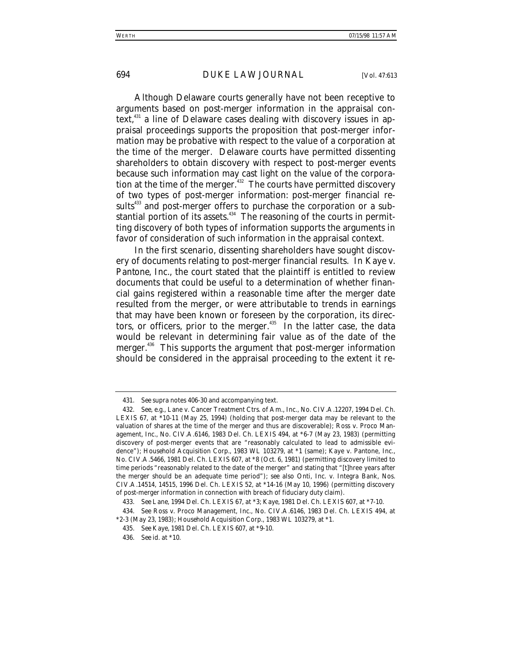Although Delaware courts generally have not been receptive to arguments based on post-merger information in the appraisal context, $431$  a line of Delaware cases dealing with discovery issues in appraisal proceedings supports the proposition that post-merger information may be probative with respect to the value of a corporation at the time of the merger. Delaware courts have permitted dissenting shareholders to obtain discovery with respect to post-merger events because such information may cast light on the value of the corporation at the time of the merger.<sup>432</sup> The courts have permitted discovery of two types of post-merger information: post-merger financial results<sup>433</sup> and post-merger offers to purchase the corporation or a substantial portion of its assets. $434$  The reasoning of the courts in permitting discovery of both types of information supports the arguments in favor of consideration of such information in the appraisal context.

In the first scenario, dissenting shareholders have sought discovery of documents relating to post-merger financial results. In *Kaye v. Pantone, Inc.*, the court stated that the plaintiff is entitled to review documents that could be useful to a determination of whether financial gains registered within a reasonable time after the merger date resulted from the merger, or were attributable to trends in earnings that may have been known or foreseen by the corporation, its directors, or officers, prior to the merger.<sup>435</sup> In the latter case, the data would be relevant in determining fair value as of the date of the merger.<sup>436</sup> This supports the argument that post-merger information should be considered in the appraisal proceeding to the extent it re-

<sup>431</sup>*. See supra* notes 406-30 and accompanying text.

<sup>432</sup>*. See*, *e.g.*, Lane v. Cancer Treatment Ctrs. of Am., Inc., No. CIV.A.12207, 1994 Del. Ch. LEXIS 67, at \*10-11 (May 25, 1994) (holding that post-merger data may be relevant to the valuation of shares at the time of the merger and thus are discoverable); Ross v. Proco Management, Inc., No. CIV.A.6146, 1983 Del. Ch. LEXIS 494, at \*6-7 (May 23, 1983) (permitting discovery of post-merger events that are "reasonably calculated to lead to admissible evidence"); *Household Acquisition Corp.*, 1983 WL 103279, at \*1 (same); Kaye v. Pantone, Inc., No. CIV.A.5466, 1981 Del. Ch. LEXIS 607, at \*8 (Oct. 6, 1981) (permitting discovery limited to time periods "reasonably related to the date of the merger" and stating that "[t]hree years after the merger should be an adequate time period"); *see also* Onti, Inc. v. Integra Bank, Nos. CIV.A.14514, 14515, 1996 Del. Ch. LEXIS 52, at \*14-16 (May 10, 1996) (permitting discovery of post-merger information in connection with breach of fiduciary duty claim).

<sup>433</sup>*. See Lane*, 1994 Del. Ch. LEXIS 67, at \*3; *Kaye*, 1981 Del. Ch. LEXIS 607, at \*7-10.

<sup>434</sup>*. See* Ross v. Proco Management, Inc., No. CIV.A.6146, 1983 Del. Ch. LEXIS 494, at \*2-3 (May 23, 1983); *Household Acquisition Corp.*, 1983 WL 103279, at \*1.

<sup>435</sup>*. See Kaye*, 1981 Del. Ch. LEXIS 607, at \*9-10.

<sup>436</sup>*. See id.* at \*10.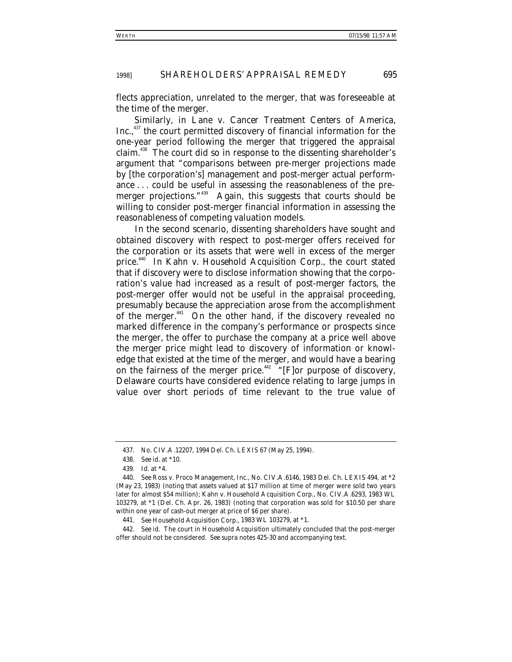flects appreciation, unrelated to the merger, that was foreseeable at the time of the merger.

Similarly, in *Lane v. Cancer Treatment Centers of America,* Inc.,<sup>437</sup> the court permitted discovery of financial information for the one-year period following the merger that triggered the appraisal claim.438 The court did so in response to the dissenting shareholder's argument that "comparisons between pre-merger projections made by [the corporation's] management and post-merger actual performance . . . could be useful in assessing the reasonableness of the premerger projections."<sup>439</sup> Again, this suggests that courts should be willing to consider post-merger financial information in assessing the reasonableness of competing valuation models.

In the second scenario, dissenting shareholders have sought and obtained discovery with respect to post-merger offers received for the corporation or its assets that were well in excess of the merger price.440 In *Kahn v. Household Acquisition Corp.*, the court stated that if discovery were to disclose information showing that the corporation's value had increased as a result of post-merger factors, the post-merger offer would not be useful in the appraisal proceeding, presumably because the appreciation arose from the accomplishment of the merger.<sup>441</sup> On the other hand, if the discovery revealed no marked difference in the company's performance or prospects since the merger, the offer to purchase the company at a price well above the merger price might lead to discovery of information or knowledge that existed at the time of the merger, and would have a bearing on the fairness of the merger price.<sup>442</sup> "[F]or purpose of discovery, Delaware courts have considered evidence relating to large jumps in value over short periods of time relevant to the true value of

<sup>437.</sup> No. CIV.A.12207, 1994 Del. Ch. LEXIS 67 (May 25, 1994).

<sup>438</sup>*. See id.* at \*10.

<sup>439</sup>*. Id.* at \*4.

<sup>440</sup>*. See* Ross v. Proco Management, Inc., No. CIV.A.6146, 1983 Del. Ch. LEXIS 494, at \*2 (May 23, 1983) (noting that assets valued at \$17 million at time of merger were sold two years later for almost \$54 million); Kahn v. Household Acquisition Corp., No. CIV.A.6293, 1983 WL 103279, at \*1 (Del. Ch. Apr. 26, 1983) (noting that corporation was sold for \$10.50 per share within one year of cash-out merger at price of \$6 per share).

<sup>441</sup>*. See Household Acquisition Corp.,* 1983 WL 103279, at \*1.

<sup>442</sup>*. See id.* The court in *Household Acquisition* ultimately concluded that the post-merger offer should not be considered. *See supra* notes 425-30 and accompanying text.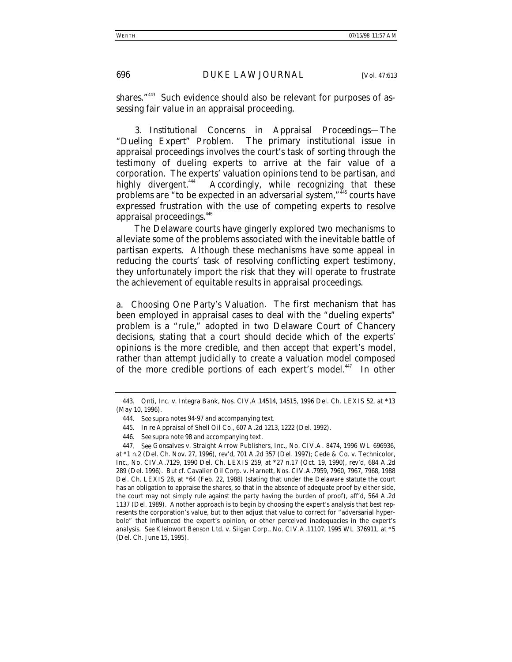shares."<sup>443</sup> Such evidence should also be relevant for purposes of assessing fair value in an appraisal proceeding.

3. *Institutional Concerns in Appraisal Proceedings—The "Dueling Expert" Problem*. The primary institutional issue in appraisal proceedings involves the court's task of sorting through the testimony of dueling experts to arrive at the fair value of a corporation. The experts' valuation opinions tend to be partisan, and<br>highly divergent.<sup>444</sup> Accordingly, while recognizing that these Accordingly, while recognizing that these problems are "to be expected in an adversarial system,"445 courts have expressed frustration with the use of competing experts to resolve appraisal proceedings.<sup>446</sup>

The Delaware courts have gingerly explored two mechanisms to alleviate some of the problems associated with the inevitable battle of partisan experts. Although these mechanisms have some appeal in reducing the courts' task of resolving conflicting expert testimony, they unfortunately import the risk that they will operate to frustrate the achievement of equitable results in appraisal proceedings.

*a. Choosing One Party's Valuation*. The first mechanism that has been employed in appraisal cases to deal with the "dueling experts" problem is a "rule," adopted in two Delaware Court of Chancery decisions, stating that a court should decide which of the experts' opinions is the more credible, and then accept that expert's model, rather than attempt judicially to create a valuation model composed of the more credible portions of each expert's model.<sup>447</sup> In other

<sup>443.</sup> Onti, Inc. v. Integra Bank, Nos. CIV.A.14514, 14515, 1996 Del. Ch. LEXIS 52, at \*13 (May 10, 1996).

<sup>444</sup>*. See supra* notes 94-97 and accompanying text.

<sup>445</sup>*. In re* Appraisal of Shell Oil Co., 607 A.2d 1213, 1222 (Del. 1992).

<sup>446</sup>*. See supra* note 98 and accompanying text.

<sup>447</sup>*. See* Gonsalves v. Straight Arrow Publishers, Inc., No. CIV.A. 8474, 1996 WL 696936, at \*1 n.2 (Del. Ch. Nov. 27, 1996), *rev'd*, 701 A.2d 357 (Del. 1997); Cede & Co. v. Technicolor, Inc., No. CIV.A.7129, 1990 Del. Ch. LEXIS 259, at \*27 n.17 (Oct. 19, 1990), *rev'd*, 684 A.2d 289 (Del. 1996). *But cf.* Cavalier Oil Corp. v. Harnett, Nos. CIV.A.7959, 7960, 7967, 7968, 1988 Del. Ch. LEXIS 28, at \*64 (Feb. 22, 1988) (stating that under the Delaware statute the court has an obligation to appraise the shares, so that in the absence of adequate proof by either side, the court may not simply rule against the party having the burden of proof), *aff'd*, 564 A.2d 1137 (Del. 1989). Another approach is to begin by choosing the expert's analysis that best represents the corporation's value, but to then adjust that value to correct for "adversarial hyperbole" that influenced the expert's opinion, or other perceived inadequacies in the expert's analysis. *See* Kleinwort Benson Ltd. v. Silgan Corp., No. CIV.A.11107, 1995 WL 376911, at \*5 (Del. Ch. June 15, 1995).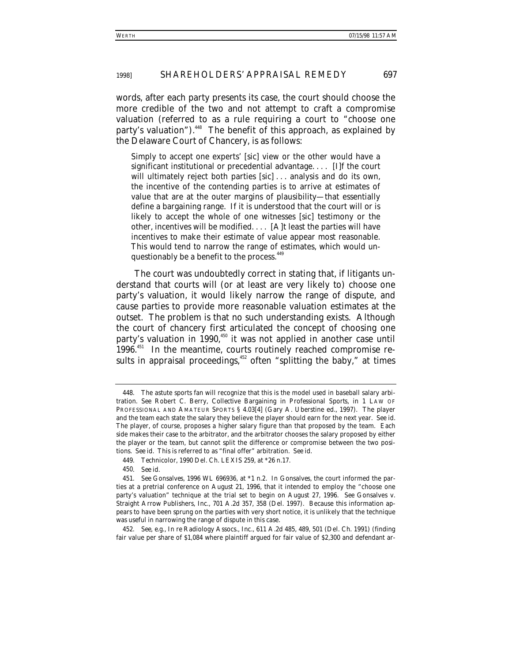words, after each party presents its case, the court should choose the more credible of the two and not attempt to craft a compromise valuation (referred to as a rule requiring a court to "choose one party's valuation").<sup>448</sup> The benefit of this approach, as explained by the Delaware Court of Chancery, is as follows:

Simply to accept one experts' [sic] view or the other would have a significant institutional or precedential advantage. . . . [I]f the court will ultimately reject both parties [sic] ... analysis and do its own, the incentive of the contending parties is to arrive at estimates of value that are at the outer margins of plausibility—that essentially define a bargaining range. If it is understood that the court will or is likely to accept the whole of one witnesses [sic] testimony or the other, incentives will be modified. . . . [A]t least the parties will have incentives to make their estimate of value appear most reasonable. This would tend to narrow the range of estimates, which would unquestionably be a benefit to the process.<sup>449</sup>

The court was undoubtedly correct in stating that, *if* litigants understand that courts will (or at least are very likely to) choose one party's valuation, it would likely narrow the range of dispute, and cause parties to provide more reasonable valuation estimates at the outset. The problem is that no such understanding exists. Although the court of chancery first articulated the concept of choosing one party's valuation in 1990,<sup>450</sup> it was not applied in another case until 1996.<sup>451</sup> In the meantime, courts routinely reached compromise results in appraisal proceedings,  $452$  often "splitting the baby," at times

452*. See, e.g.*, *In re* Radiology Assocs., Inc., 611 A.2d 485, 489, 501 (Del. Ch. 1991) (finding fair value per share of \$1,084 where plaintiff argued for fair value of \$2,300 and defendant ar-

<sup>448.</sup> The astute sports fan will recognize that this is the model used in baseball salary arbitration. *See* Robert C. Berry, *Collective Bargaining in Professional Sports*, *in* 1 LAW OF PROFESSIONAL AND AMATEUR SPORTS § 4.03[4] (Gary A. Uberstine ed., 1997). The player and the team each state the salary they believe the player should earn for the next year. *See id.* The player, of course, proposes a higher salary figure than that proposed by the team. Each side makes their case to the arbitrator, and the arbitrator chooses the salary proposed by either the player or the team, but cannot split the difference or compromise between the two positions. *See id.* This is referred to as "final offer" arbitration. *See id.*

<sup>449</sup>*. Technicolor*, 1990 Del. Ch. LEXIS 259, at \*26 n.17.

<sup>450</sup>*. See id.*

<sup>451</sup>*. See Gonsalves*, 1996 WL 696936, at \*1 n.2. In *Gonsalves*, the court informed the parties at a pretrial conference on August 21, 1996, that it intended to employ the "choose one party's valuation" technique at the trial set to begin on August 27, 1996. *See* Gonsalves v. Straight Arrow Publishers, Inc., 701 A.2d 357, 358 (Del. 1997). Because this information appears to have been sprung on the parties with very short notice, it is unlikely that the technique was useful in narrowing the range of dispute in this case.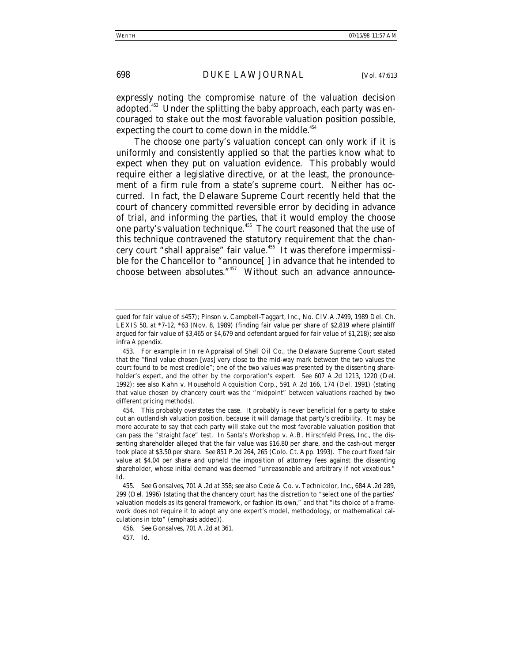expressly noting the compromise nature of the valuation decision adopted.<sup>453</sup> Under the splitting the baby approach, each party was encouraged to stake out the most favorable valuation position possible, expecting the court to come down in the middle. $454$ 

The choose one party's valuation concept can only work if it is uniformly and consistently applied so that the parties know what to expect when they put on valuation evidence. This probably would require either a legislative directive, or at the least, the pronouncement of a firm rule from a state's supreme court. Neither has occurred. In fact, the Delaware Supreme Court recently held that the court of chancery committed reversible error by deciding in advance of trial, and informing the parties, that it would employ the choose one party's valuation technique.<sup>455</sup> The court reasoned that the use of this technique contravened the statutory requirement that the chancery court "shall appraise" fair value.<sup>456</sup> It was therefore impermissible for the Chancellor to "announce[ ] in advance that he intended to choose between absolutes."457 Without such an advance announce-

457*. Id.*

gued for fair value of \$457); Pinson v. Campbell-Taggart, Inc., No. CIV.A.7499, 1989 Del. Ch. LEXIS 50, at \*7-12, \*63 (Nov. 8, 1989) (finding fair value per share of \$2,819 where plaintiff argued for fair value of \$3,465 or \$4,679 and defendant argued for fair value of \$1,218); *see also infra* Appendix.

<sup>453.</sup> For example in *In re Appraisal of Shell Oil Co.*, the Delaware Supreme Court stated that the "final value chosen [was] very close to the mid-way mark between the two values the court found to be most credible"; one of the two values was presented by the dissenting shareholder's expert, and the other by the corporation's expert. *See* 607 A.2d 1213, 1220 (Del. 1992); *see also* Kahn v. Household Acquisition Corp., 591 A.2d 166, 174 (Del. 1991) (stating that value chosen by chancery court was the "midpoint" between valuations reached by two different pricing methods).

<sup>454.</sup> This probably overstates the case. It probably is never beneficial for a party to stake out an outlandish valuation position, because it will damage that party's credibility. It may be more accurate to say that each party will stake out the most favorable valuation position that can pass the "straight face" test. In *Santa's Workshop v. A.B. Hirschfeld Press, Inc*., the dissenting shareholder alleged that the fair value was \$16.80 per share, and the cash-out merger took place at \$3.50 per share. *See* 851 P.2d 264, 265 (Colo. Ct. App. 1993). The court fixed fair value at \$4.04 per share and upheld the imposition of attorney fees against the dissenting shareholder, whose initial demand was deemed "unreasonable and arbitrary if not vexatious." *Id.*

<sup>455</sup>*. See Gonsalves*, 701 A.2d at 358; *see also* Cede & Co. v. Technicolor, Inc., 684 A.2d 289, 299 (Del. 1996) (stating that the chancery court has the discretion to "select one of the parties' valuation models as its general framework, *or fashion its own,*" and that "its choice of a framework does not require it to adopt any one expert's model, methodology, or mathematical calculations *in toto*" (emphasis added)).

<sup>456</sup>*. See Gonsalves*, 701 A.2d at 361.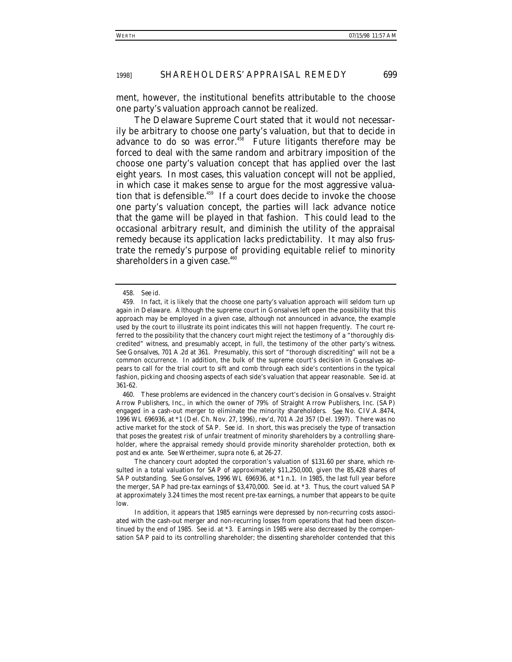ment, however, the institutional benefits attributable to the choose one party's valuation approach cannot be realized.

The Delaware Supreme Court stated that it would not necessarily be arbitrary to choose one party's valuation, but that to decide in advance to do so was error. $458$  Future litigants therefore may be forced to deal with the same random and arbitrary imposition of the choose one party's valuation concept that has applied over the last eight years. In most cases, this valuation concept will not be applied, in which case it makes sense to argue for the most aggressive valuation that is defensible.<sup>459</sup> If a court does decide to invoke the choose one party's valuation concept, the parties will lack advance notice that the game will be played in that fashion. This could lead to the occasional arbitrary result, and diminish the utility of the appraisal remedy because its application lacks predictability. It may also frustrate the remedy's purpose of providing equitable relief to minority shareholders in a given case.<sup>460</sup>

460. These problems are evidenced in the chancery court's decision in *Gonsalves v. Straight Arrow Publishers, Inc.*, in which the owner of 79% of Straight Arrow Publishers, Inc. (SAP) engaged in a cash-out merger to eliminate the minority shareholders. *See* No. CIV.A.8474, 1996 WL 696936, at \*1 (Del. Ch. Nov. 27, 1996), *rev'd*, 701 A.2d 357 (Del. 1997). There was no active market for the stock of SAP. *See id.* In short, this was precisely the type of transaction that poses the greatest risk of unfair treatment of minority shareholders by a controlling shareholder, where the appraisal remedy should provide minority shareholder protection, both *ex post* and *ex ante*. *See* Wertheimer, *supra* note 6, at 26-27.

The chancery court adopted the corporation's valuation of \$131.60 per share, which resulted in a total valuation for SAP of approximately \$11,250,000, given the 85,428 shares of SAP outstanding. *See Gonsalves*, 1996 WL 696936, at \*1 n.1. In 1985, the last full year before the merger, SAP had pre-tax earnings of \$3,470,000. *See id.* at \*3. Thus, the court valued SAP at approximately 3.24 times the most recent pre-tax earnings, a number that appears to be quite low.

In addition, it appears that 1985 earnings were depressed by non-recurring costs associated with the cash-out merger and non-recurring losses from operations that had been discontinued by the end of 1985. *See id.* at \*3. Earnings in 1985 were also decreased by the compensation SAP paid to its controlling shareholder; the dissenting shareholder contended that this

<sup>458</sup>*. See id.*

<sup>459.</sup> In fact, it is likely that the choose one party's valuation approach will seldom turn up again in Delaware. Although the supreme court in *Gonsalves* left open the possibility that this approach may be employed in a given case, although not announced in advance, the example used by the court to illustrate its point indicates this will not happen frequently. The court referred to the possibility that the chancery court might reject the testimony of a "thoroughly discredited" witness, and presumably accept, in full, the testimony of the other party's witness. *See Gonsalves*, 701 A.2d at 361. Presumably, this sort of "thorough discrediting" will not be a common occurrence. In addition, the bulk of the supreme court's decision in *Gonsalves* appears to call for the trial court to sift and comb through each side's contentions in the typical fashion, picking and choosing aspects of each side's valuation that appear reasonable. *See id.* at 361-62.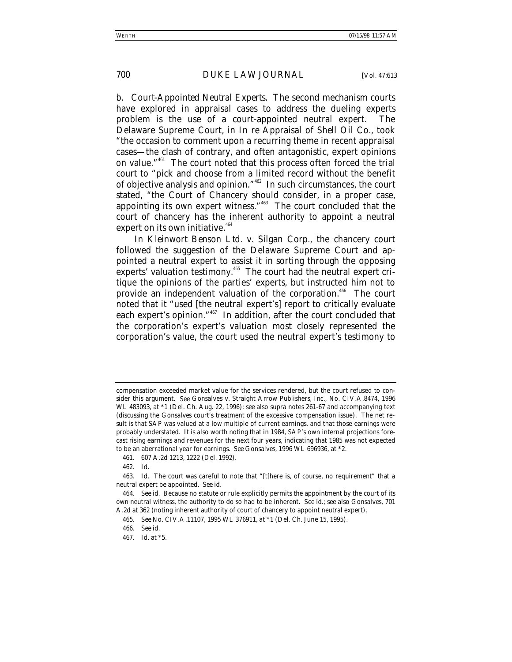*b. Court-Appointed Neutral Experts*. The second mechanism courts have explored in appraisal cases to address the dueling experts problem is the use of a court-appointed neutral expert. The Delaware Supreme Court, in *In re Appraisal of Shell Oil Co.*, took "the occasion to comment upon a recurring theme in recent appraisal cases—the clash of contrary, and often antagonistic, expert opinions on value."461 The court noted that this process often forced the trial court to "pick and choose from a limited record without the benefit of objective analysis and opinion."462 In such circumstances, the court stated, "the Court of Chancery should consider, in a proper case, appointing its own expert witness."463 The court concluded that the court of chancery has the inherent authority to appoint a neutral expert on its own initiative. $464$ 

In *Kleinwort Benson Ltd. v. Silgan Corp.*, the chancery court followed the suggestion of the Delaware Supreme Court and appointed a neutral expert to assist it in sorting through the opposing experts' valuation testimony.<sup>465</sup> The court had the neutral expert critique the opinions of the parties' experts, but instructed him not to provide an independent valuation of the corporation.<sup>466</sup> The court noted that it "used [the neutral expert's] report to critically evaluate each expert's opinion."<sup>467</sup> In addition, after the court concluded that the corporation's expert's valuation most closely represented the corporation's value, the court used the neutral expert's testimony to

compensation exceeded market value for the services rendered, but the court refused to consider this argument. *See* Gonsalves v. Straight Arrow Publishers, Inc., No. CIV.A.8474, 1996 WL 483093, at \*1 (Del. Ch. Aug. 22, 1996); *see also supra* notes 261-67 and accompanying text (discussing the *Gonsalves* court's treatment of the excessive compensation issue). The net result is that SAP was valued at a low multiple of current earnings, and that those earnings were probably understated. It is also worth noting that in 1984, SAP's own internal projections forecast rising earnings and revenues for the next four years, indicating that 1985 was not expected to be an aberrational year for earnings. *See Gonsalves*, 1996 WL 696936, at \*2.

<sup>461. 607</sup> A.2d 1213, 1222 (Del. 1992).

<sup>462</sup>*. Id.*

<sup>463</sup>*. Id.* The court was careful to note that "[t]here is, of course, no requirement" that a neutral expert be appointed. *See id.*

<sup>464</sup>*. See id.* Because no statute or rule explicitly permits the appointment by the court of its own neutral witness, the authority to do so had to be inherent. *See id.*; *see also Gonsalves*, 701 A.2d at 362 (noting inherent authority of court of chancery to appoint neutral expert).

<sup>465</sup>*. See* No. CIV.A.11107, 1995 WL 376911, at \*1 (Del. Ch. June 15, 1995).

<sup>466</sup>*. See id.*

<sup>467</sup>*. Id.* at \*5.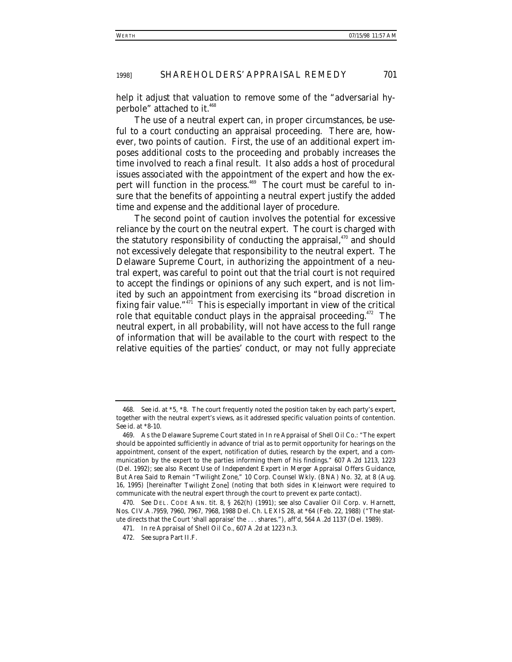help it adjust that valuation to remove some of the "adversarial hyperbole" attached to it.<sup>468</sup>

The use of a neutral expert can, in proper circumstances, be useful to a court conducting an appraisal proceeding. There are, however, two points of caution. First, the use of an additional expert imposes additional costs to the proceeding and probably increases the time involved to reach a final result. It also adds a host of procedural issues associated with the appointment of the expert and how the expert will function in the process.<sup>469</sup> The court must be careful to insure that the benefits of appointing a neutral expert justify the added time and expense and the additional layer of procedure.

The second point of caution involves the potential for excessive reliance by the court on the neutral expert. The court is charged with the statutory responsibility of conducting the appraisal, $470$  and should not excessively delegate that responsibility to the neutral expert. The Delaware Supreme Court, in authorizing the appointment of a neutral expert, was careful to point out that the trial court is not required to accept the findings or opinions of any such expert, and is not limited by such an appointment from exercising its "broad discretion in fixing fair value." $\frac{1}{4}$  This is especially important in view of the critical role that equitable conduct plays in the appraisal proceeding.<sup>472</sup> The neutral expert, in all probability, will not have access to the full range of information that will be available to the court with respect to the relative equities of the parties' conduct, or may not fully appreciate

<sup>468</sup>*. See id.* at \*5, \*8. The court frequently noted the position taken by each party's expert, together with the neutral expert's views, as it addressed specific valuation points of contention. *See id.* at \*8-10.

<sup>469.</sup> As the Delaware Supreme Court stated in *In re Appraisal of Shell Oil Co.*: "The expert should be appointed sufficiently in advance of trial as to permit opportunity for hearings on the appointment, consent of the expert, notification of duties, research by the expert, and a communication by the expert to the parties informing them of his findings." 607 A.2d 1213, 1223 (Del. 1992); *see also Recent Use of Independent Expert in Merger Appraisal Offers Guidance, But Area Said to Remain "Twilight Zone*,*"* 10 Corp. Counsel Wkly. (BNA) No. 32, at 8 (Aug. 16, 1995) [hereinafter *Twilight Zone*] (noting that both sides in *Kleinwort* were required to communicate with the neutral expert through the court to prevent ex parte contact).

<sup>470</sup>*. See* DEL. CODE ANN. tit. 8, § 262(h) (1991); *see also* Cavalier Oil Corp. v. Harnett, Nos. CIV.A.7959, 7960, 7967, 7968, 1988 Del. Ch. LEXIS 28, at \*64 (Feb. 22, 1988) ("The statute directs that the Court 'shall appraise' the . . . shares."), *aff'd*, 564 A.2d 1137 (Del. 1989).

<sup>471</sup>*. In re* Appraisal of Shell Oil Co., 607 A.2d at 1223 n.3.

<sup>472</sup>*. See supra* Part II.F.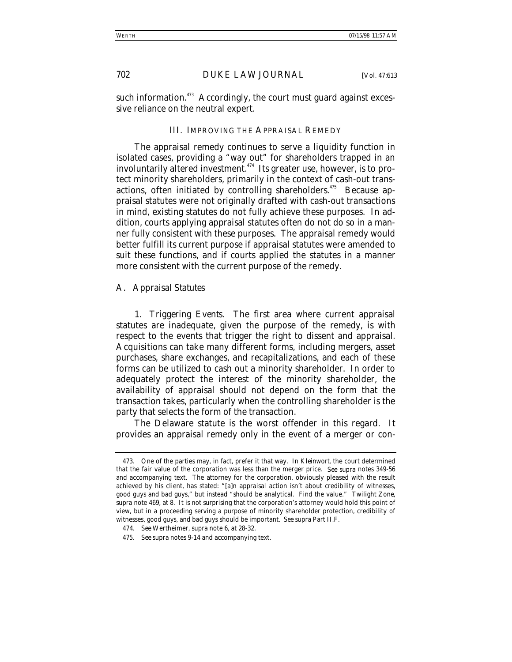such information. $473$  Accordingly, the court must guard against excessive reliance on the neutral expert.

# III. IMPROVING THE APPRAISAL REMEDY

The appraisal remedy continues to serve a liquidity function in isolated cases, providing a "way out" for shareholders trapped in an involuntarily altered investment.<sup>474</sup> Its greater use, however, is to protect minority shareholders, primarily in the context of cash-out transactions, often initiated by controlling shareholders.<sup>475</sup> Because appraisal statutes were not originally drafted with cash-out transactions in mind, existing statutes do not fully achieve these purposes. In addition, courts applying appraisal statutes often do not do so in a manner fully consistent with these purposes. The appraisal remedy would better fulfill its current purpose if appraisal statutes were amended to suit these functions, and if courts applied the statutes in a manner more consistent with the current purpose of the remedy.

#### *A. Appraisal Statutes*

1. *Triggering Events*. The first area where current appraisal statutes are inadequate, given the purpose of the remedy, is with respect to the events that trigger the right to dissent and appraisal. Acquisitions can take many different forms, including mergers, asset purchases, share exchanges, and recapitalizations, and each of these forms can be utilized to cash out a minority shareholder. In order to adequately protect the interest of the minority shareholder, the availability of appraisal should not depend on the form that the transaction takes, particularly when the controlling shareholder is the party that selects the form of the transaction.

The Delaware statute is the worst offender in this regard. It provides an appraisal remedy only in the event of a merger or con-

<sup>473.</sup> One of the parties may, in fact, prefer it that way. In *Kleinwort*, the court determined that the fair value of the corporation was less than the merger price. *See supra* notes 349-56 and accompanying text. The attorney for the corporation, obviously pleased with the result achieved by his client, has stated: "[a]n appraisal action isn't about credibility of witnesses, good guys and bad guys," but instead "should be analytical. Find the value." *Twilight Zone*, *supra* note 469, at 8. It is not surprising that the corporation's attorney would hold this point of view, but in a proceeding serving a purpose of minority shareholder protection, credibility of witnesses, good guys, and bad guys should be important. *See supra* Part II.F.

<sup>474</sup>*. See* Wertheimer, *supra* note 6, at 28-32.

<sup>475</sup>*. See supra* notes 9-14 and accompanying text.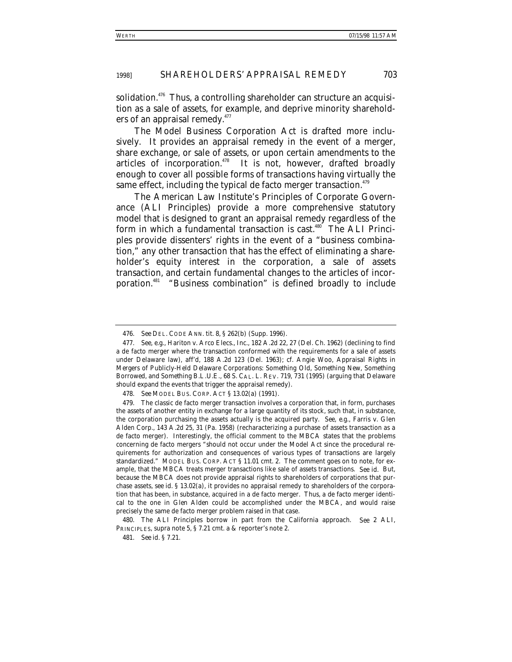solidation.<sup> $476$ </sup> Thus, a controlling shareholder can structure an acquisition as a sale of assets, for example, and deprive minority shareholders of an appraisal remedy.<sup>477</sup>

The Model Business Corporation Act is drafted more inclusively. It provides an appraisal remedy in the event of a merger, share exchange, or sale of assets, or upon certain amendments to the articles of incorporation.<sup>478</sup> It is not, however, drafted broadly enough to cover all possible forms of transactions having virtually the same effect, including the typical de facto merger transaction.<sup>479</sup>

The American Law Institute's Principles of Corporate Governance (ALI Principles) provide a more comprehensive statutory model that is designed to grant an appraisal remedy regardless of the form in which a fundamental transaction is cast.<sup>480</sup> The ALI Principles provide dissenters' rights in the event of a "business combination," any other transaction that has the effect of eliminating a shareholder's equity interest in the corporation, a sale of assets transaction, and certain fundamental changes to the articles of incorporation.<sup>481</sup> "Business combination" is defined broadly to include

480. The ALI Principles borrow in part from the California approach. *See* 2 ALI, PRINCIPLES, *supra* note 5, § 7.21 cmt. a & reporter's note 2.

481*. See id.* § 7.21.

<sup>476</sup>*. See* DEL. CODE ANN. tit. 8, § 262(b) (Supp. 1996).

<sup>477</sup>*. See, e.g.*, Hariton v. Arco Elecs., Inc., 182 A.2d 22, 27 (Del. Ch. 1962) (declining to find a de facto merger where the transaction conformed with the requirements for a sale of assets under Delaware law), *aff'd*, 188 A.2d 123 (Del. 1963); *cf.* Angie Woo, *Appraisal Rights in Mergers of Publicly-Held Delaware Corporations: Something Old, Something New, Something Borrowed, and Something B.L.U.E.*, 68 S. CAL. L. REV. 719, 731 (1995) (arguing that Delaware should expand the events that trigger the appraisal remedy).

<sup>478</sup>*. See* MODEL BUS. CORP. ACT § 13.02(a) (1991).

<sup>479.</sup> The classic de facto merger transaction involves a corporation that, in form, purchases the assets of another entity in exchange for a large quantity of its stock, such that, in substance, the corporation purchasing the assets actually is the acquired party. *See, e.g.*, Farris v. Glen Alden Corp., 143 A.2d 25, 31 (Pa. 1958) (recharacterizing a purchase of assets transaction as a de facto merger). Interestingly, the official comment to the MBCA states that the problems concerning de facto mergers "should not occur under the Model Act since the procedural requirements for authorization and consequences of various types of transactions are largely standardized." MODEL BUS. CORP. ACT § 11.01 cmt. 2. The comment goes on to note, for example, that the MBCA treats merger transactions like sale of assets transactions. *See id.* But, because the MBCA does not provide appraisal rights to shareholders of corporations that purchase assets, *see id.* § 13.02(a), it provides no appraisal remedy to shareholders of the corporation that has been, in substance, acquired in a de facto merger. Thus, a de facto merger identical to the one in *Glen Alden* could be accomplished under the MBCA, and would raise precisely the same de facto merger problem raised in that case.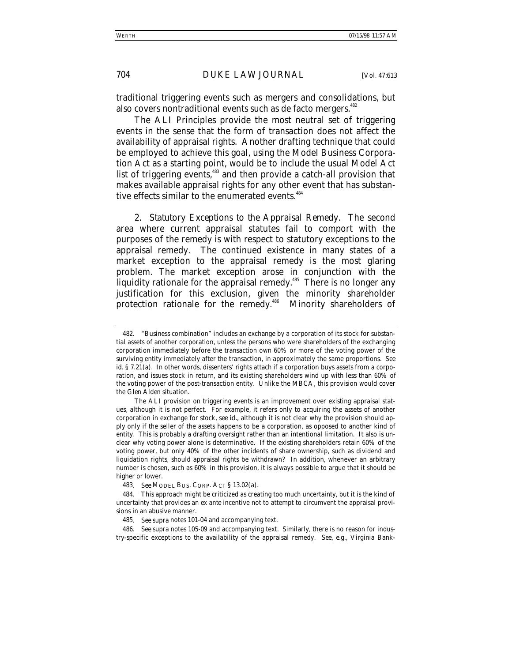traditional triggering events such as mergers and consolidations, but also covers nontraditional events such as de facto mergers.<sup>482</sup>

The ALI Principles provide the most neutral set of triggering events in the sense that the form of transaction does not affect the availability of appraisal rights. Another drafting technique that could be employed to achieve this goal, using the Model Business Corporation Act as a starting point, would be to include the usual Model Act list of triggering events,<sup>483</sup> and then provide a catch-all provision that makes available appraisal rights for any other event that has substantive effects similar to the enumerated events.<sup>484</sup>

2. *Statutory Exceptions to the Appraisal Remedy*. The second area where current appraisal statutes fail to comport with the purposes of the remedy is with respect to statutory exceptions to the appraisal remedy. The continued existence in many states of a market exception to the appraisal remedy is the most glaring problem. The market exception arose in conjunction with the liquidity rationale for the appraisal remedy.<sup>485</sup> There is no longer any justification for this exclusion, given the minority shareholder protection rationale for the remedy.<sup>486</sup> Minority shareholders of

483*. See* MODEL BUS. CORP. ACT § 13.02(a).

486*. See supra* notes 105-09 and accompanying text. Similarly, there is no reason for industry-specific exceptions to the availability of the appraisal remedy. *See, e.g.*, Virginia Bank-

<sup>482. &</sup>quot;Business combination" includes an exchange by a corporation of its stock for substantial assets of another corporation, unless the persons who were shareholders of the exchanging corporation immediately before the transaction own 60% or more of the voting power of the surviving entity immediately after the transaction, in approximately the same proportions. *See id.* § 7.21(a). In other words, dissenters' rights attach if a corporation buys assets from a corporation, and issues stock in return, and its existing shareholders wind up with less than 60% of the voting power of the post-transaction entity. Unlike the MBCA, this provision would cover the *Glen Alden* situation.

The ALI provision on triggering events is an improvement over existing appraisal statues, although it is not perfect. For example, it refers only to acquiring the assets of another corporation in exchange for stock, *see id.*, although it is not clear why the provision should apply only if the seller of the assets happens to be a corporation, as opposed to another kind of entity. This is probably a drafting oversight rather than an intentional limitation. It also is unclear why voting power alone is determinative. If the existing shareholders retain 60% of the voting power, but only 40% of the other incidents of share ownership, such as dividend and liquidation rights, should appraisal rights be withdrawn? In addition, whenever an arbitrary number is chosen, such as 60% in this provision, it is always possible to argue that it should be higher or lower.

<sup>484.</sup> This approach might be criticized as creating too much uncertainty, but it is the kind of uncertainty that provides an *ex ante* incentive not to attempt to circumvent the appraisal provisions in an abusive manner.

<sup>485</sup>*. See supra* notes 101-04 and accompanying text.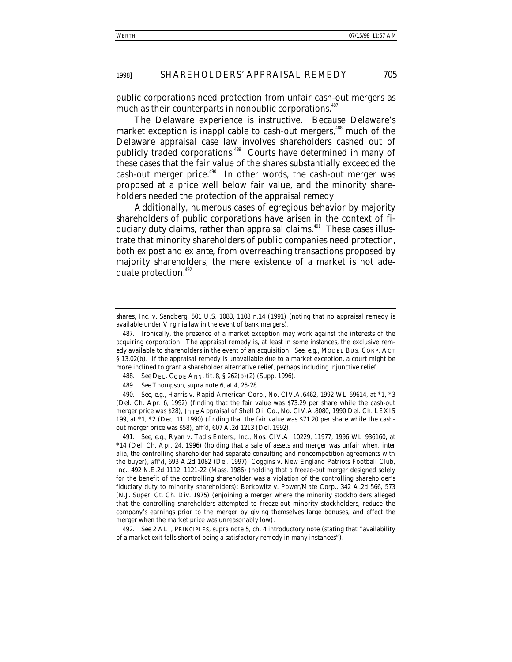public corporations need protection from unfair cash-out mergers as much as their counterparts in nonpublic corporations.<sup>487</sup>

The Delaware experience is instructive. Because Delaware's market exception is inapplicable to cash-out mergers,<sup>488</sup> much of the Delaware appraisal case law involves shareholders cashed out of publicly traded corporations.<sup>489</sup> Courts have determined in many of these cases that the fair value of the shares substantially exceeded the cash-out merger price. $490$  In other words, the cash-out merger was proposed at a price well below fair value, and the minority shareholders needed the protection of the appraisal remedy.

Additionally, numerous cases of egregious behavior by majority shareholders of public corporations have arisen in the context of fiduciary duty claims, rather than appraisal claims.<sup>491</sup> These cases illustrate that minority shareholders of public companies need protection, both *ex post* and *ex ante*, from overreaching transactions proposed by majority shareholders; the mere existence of a market is not adequate protection.<sup>492</sup>

488*. See* DEL. CODE ANN. tit. 8, § 262(b)(2) (Supp. 1996).

shares, Inc. v. Sandberg, 501 U.S. 1083, 1108 n.14 (1991) (noting that no appraisal remedy is available under Virginia law in the event of bank mergers).

<sup>487.</sup> Ironically, the presence of a market exception may work against the interests of the acquiring corporation. The appraisal remedy is, at least in some instances, the exclusive remedy available to shareholders in the event of an acquisition. *See, e.g.*, MODEL BUS. CORP. ACT § 13.02(b). If the appraisal remedy is unavailable due to a market exception, a court might be more inclined to grant a shareholder alternative relief, perhaps including injunctive relief.

<sup>489</sup>*. See* Thompson, *supra* note 6, at 4, 25-28.

<sup>490</sup>*. See, e.g.*, Harris v. Rapid-American Corp., No. CIV.A.6462, 1992 WL 69614, at \*1, \*3 (Del. Ch. Apr. 6, 1992) (finding that the fair value was \$73.29 per share while the cash-out merger price was \$28); *In re* Appraisal of Shell Oil Co., No. CIV.A.8080, 1990 Del. Ch. LEXIS 199, at \*1, \*2 (Dec. 11, 1990) (finding that the fair value was \$71.20 per share while the cashout merger price was \$58), *aff'd*, 607 A.2d 1213 (Del. 1992).

<sup>491</sup>*. See, e.g.*, Ryan v. Tad's Enters., Inc., Nos. CIV.A. 10229, 11977, 1996 WL 936160, at \*14 (Del. Ch. Apr. 24, 1996) (holding that a sale of assets and merger was unfair when, *inter alia*, the controlling shareholder had separate consulting and noncompetition agreements with the buyer), *aff'd*, 693 A.2d 1082 (Del. 1997); Coggins v. New England Patriots Football Club, Inc., 492 N.E.2d 1112, 1121-22 (Mass. 1986) (holding that a freeze-out merger designed solely for the benefit of the controlling shareholder was a violation of the controlling shareholder's fiduciary duty to minority shareholders); Berkowitz v. Power/Mate Corp., 342 A.2d 566, 573 (N.J. Super. Ct. Ch. Div. 1975) (enjoining a merger where the minority stockholders alleged that the controlling shareholders attempted to freeze-out minority stockholders, reduce the company's earnings prior to the merger by giving themselves large bonuses, and effect the merger when the market price was unreasonably low).

<sup>492</sup>*. See* 2 ALI, PRINCIPLES, *supra* note 5, ch. 4 introductory note (stating that "availability of a market exit falls short of being a satisfactory remedy in many instances").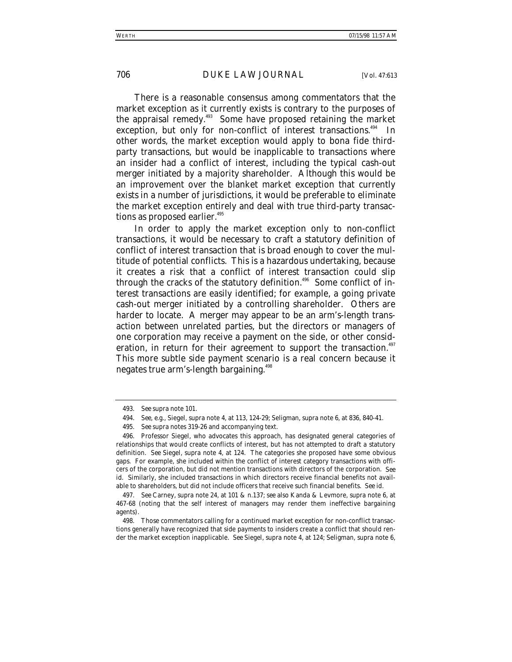There is a reasonable consensus among commentators that the market exception as it currently exists is contrary to the purposes of the appraisal remedy.493 Some have proposed retaining the market exception, but only for non-conflict of interest transactions.<sup>494</sup> In other words, the market exception would apply to bona fide thirdparty transactions, but would be inapplicable to transactions where an insider had a conflict of interest, including the typical cash-out merger initiated by a majority shareholder. Although this would be an improvement over the blanket market exception that currently exists in a number of jurisdictions, it would be preferable to eliminate the market exception entirely and deal with true third-party transactions as proposed earlier.<sup>495</sup>

In order to apply the market exception only to non-conflict transactions, it would be necessary to craft a statutory definition of conflict of interest transaction that is broad enough to cover the multitude of potential conflicts. This is a hazardous undertaking, because it creates a risk that a conflict of interest transaction could slip through the cracks of the statutory definition.<sup>496</sup> Some conflict of interest transactions are easily identified; for example, a going private cash-out merger initiated by a controlling shareholder. Others are harder to locate. A merger may appear to be an arm's-length transaction between unrelated parties, but the directors or managers of one corporation may receive a payment on the side, or other consideration, in return for their agreement to support the transaction.<sup>497</sup> This more subtle side payment scenario is a real concern because it negates true arm's-length bargaining.<sup>498</sup>

<sup>493</sup>*. See supra* note 101.

<sup>494</sup>*. See, e.g.*, Siegel, *supra* note 4, at 113, 124-29; Seligman, *supra* note 6, at 836, 840-41.

<sup>495</sup>*. See supra* notes 319-26 and accompanying text.

<sup>496.</sup> Professor Siegel, who advocates this approach, has designated general categories of relationships that would create conflicts of interest, but has not attempted to draft a statutory definition. *See* Siegel, *supra* note 4, at 124. The categories she proposed have some obvious gaps. For example, she included within the conflict of interest category transactions with officers of the corporation, but did not mention transactions with directors of the corporation. *See id.* Similarly, she included transactions in which directors receive financial benefits not available to shareholders, but did not include officers that receive such financial benefits. *See id.*

<sup>497</sup>*. See* Carney, *supra* note 24, at 101 & n.137; *see also* Kanda & Levmore, *supra* note 6, at 467-68 (noting that the self interest of managers may render them ineffective bargaining agents).

<sup>498.</sup> Those commentators calling for a continued market exception for non-conflict transactions generally have recognized that side payments to insiders create a conflict that should render the market exception inapplicable. *See* Siegel, *supra* note 4, at 124; Seligman, *supra* note 6,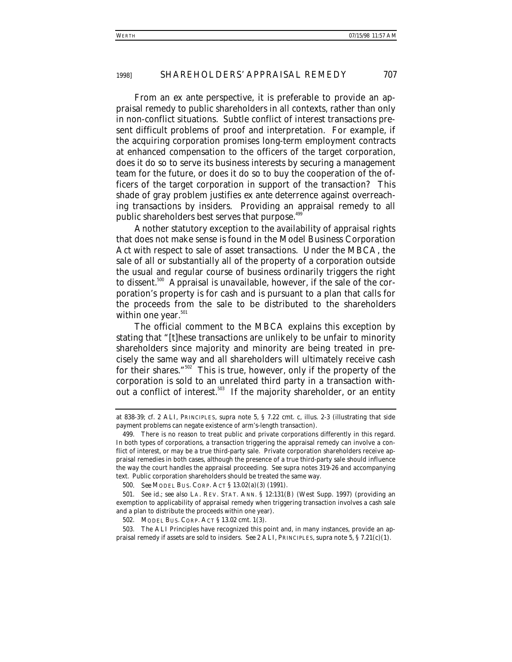From an *ex ante* perspective, it is preferable to provide an appraisal remedy to public shareholders in all contexts, rather than only in non-conflict situations. Subtle conflict of interest transactions present difficult problems of proof and interpretation. For example, if the acquiring corporation promises long-term employment contracts at enhanced compensation to the officers of the target corporation, does it do so to serve its business interests by securing a management team for the future, or does it do so to buy the cooperation of the officers of the target corporation in support of the transaction? This shade of gray problem justifies *ex ante* deterrence against overreaching transactions by insiders. Providing an appraisal remedy to all public shareholders best serves that purpose.<sup>499</sup>

Another statutory exception to the availability of appraisal rights that does not make sense is found in the Model Business Corporation Act with respect to sale of asset transactions. Under the MBCA, the sale of all or substantially all of the property of a corporation outside the usual and regular course of business ordinarily triggers the right to dissent.500 Appraisal is unavailable, however, if the sale of the corporation's property is for cash and is pursuant to a plan that calls for the proceeds from the sale to be distributed to the shareholders within one year. $501$ 

The official comment to the MBCA explains this exception by stating that "[t]hese transactions are unlikely to be unfair to minority shareholders since majority and minority are being treated in precisely the same way and all shareholders will ultimately receive cash for their shares."502 This is true, however, only if the property of the corporation is sold to an unrelated third party in a transaction without a conflict of interest.<sup>503</sup> If the majority shareholder, or an entity

500*. See* MODEL BUS. CORP. ACT § 13.02(a)(3) (1991).

503. The ALI Principles have recognized this point and, in many instances, provide an appraisal remedy if assets are sold to insiders. *See* 2 ALI, PRINCIPLES, *supra* note 5, § 7.21(c)(1).

at 838-39; *cf.* 2 ALI, PRINCIPLES, *supra* note 5, § 7.22 cmt. c, illus. 2-3 (illustrating that side payment problems can negate existence of arm's-length transaction).

<sup>499.</sup> There is no reason to treat public and private corporations differently in this regard. In both types of corporations, a transaction triggering the appraisal remedy can involve a conflict of interest, or may be a true third-party sale. Private corporation shareholders receive appraisal remedies in both cases, although the presence of a true third-party sale should influence the way the court handles the appraisal proceeding. *See supra* notes 319-26 and accompanying text. Public corporation shareholders should be treated the same way.

<sup>501</sup>*. See id.*; *see also* LA. REV. STAT. ANN. § 12:131(B) (West Supp. 1997) (providing an exemption to applicability of appraisal remedy when triggering transaction involves a cash sale and a plan to distribute the proceeds within one year).

<sup>502.</sup> MODEL BUS. CORP. ACT § 13.02 cmt. 1(3).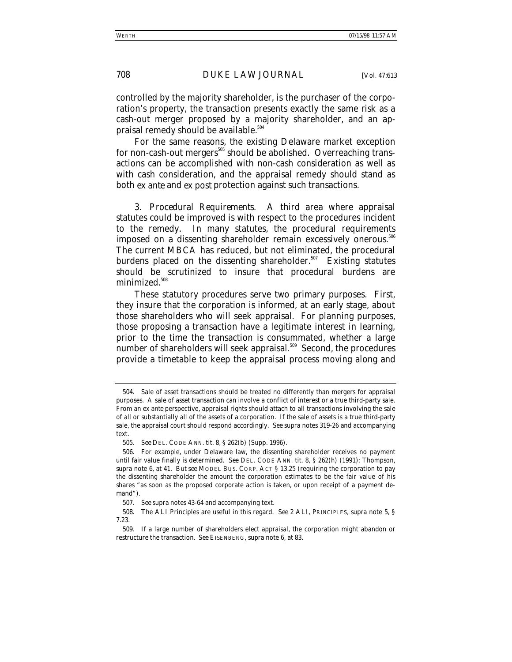controlled by the majority shareholder, is the purchaser of the corporation's property, the transaction presents exactly the same risk as a cash-out merger proposed by a majority shareholder, and an appraisal remedy should be available. $504$ 

For the same reasons, the existing Delaware market exception for non-cash-out mergers<sup>505</sup> should be abolished. Overreaching transactions can be accomplished with non-cash consideration as well as with cash consideration, and the appraisal remedy should stand as both *ex ante* and *ex post* protection against such transactions.

3. *Procedural Requirements*. A third area where appraisal statutes could be improved is with respect to the procedures incident to the remedy. In many statutes, the procedural requirements imposed on a dissenting shareholder remain excessively onerous.<sup>506</sup> The current MBCA has reduced, but not eliminated, the procedural burdens placed on the dissenting shareholder.<sup>507</sup> Existing statutes should be scrutinized to insure that procedural burdens are minimized.<sup>508</sup>

These statutory procedures serve two primary purposes. First, they insure that the corporation is informed, at an early stage, about those shareholders who will seek appraisal. For planning purposes, those proposing a transaction have a legitimate interest in learning, prior to the time the transaction is consummated, whether a large number of shareholders will seek appraisal.<sup>509</sup> Second, the procedures provide a timetable to keep the appraisal process moving along and

<sup>504.</sup> Sale of asset transactions should be treated no differently than mergers for appraisal purposes. A sale of asset transaction can involve a conflict of interest or a true third-party sale. From an *ex ante* perspective, appraisal rights should attach to all transactions involving the sale of all or substantially all of the assets of a corporation. If the sale of assets is a true third-party sale, the appraisal court should respond accordingly. *See supra* notes 319-26 and accompanying text.

<sup>505</sup>*. See* DEL. CODE ANN. tit. 8, § 262(b) (Supp. 1996).

<sup>506.</sup> For example, under Delaware law, the dissenting shareholder receives no payment until fair value finally is determined. *See* DEL. CODE ANN. tit. 8, § 262(h) (1991); Thompson, *supra* note 6, at 41. *But see* MODEL BUS. CORP. ACT § 13.25 (requiring the corporation to pay the dissenting shareholder the amount the corporation estimates to be the fair value of his shares "as soon as the proposed corporate action is taken, or upon receipt of a payment demand").

<sup>507</sup>*. See supra* notes 43-64 and accompanying text.

<sup>508.</sup> The ALI Principles are useful in this regard. *See* 2 ALI, PRINCIPLES, *supra* note 5, § 7.23.

<sup>509.</sup> If a large number of shareholders elect appraisal, the corporation might abandon or restructure the transaction. *See* EISENBERG, *supra* note 6, at 83.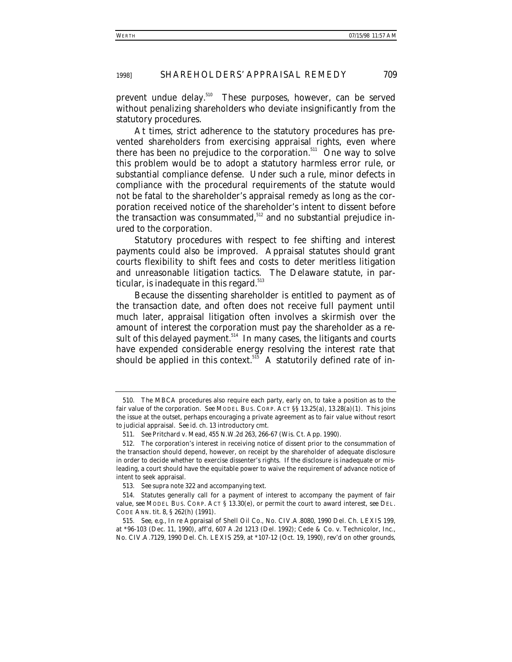prevent undue delay.<sup>510</sup> These purposes, however, can be served without penalizing shareholders who deviate insignificantly from the statutory procedures.

At times, strict adherence to the statutory procedures has prevented shareholders from exercising appraisal rights, even where there has been no prejudice to the corporation.<sup>511</sup> One way to solve this problem would be to adopt a statutory harmless error rule, or substantial compliance defense. Under such a rule, minor defects in compliance with the procedural requirements of the statute would not be fatal to the shareholder's appraisal remedy as long as the corporation received notice of the shareholder's intent to dissent before the transaction was consummated, $512$  and no substantial prejudice inured to the corporation.

Statutory procedures with respect to fee shifting and interest payments could also be improved. Appraisal statutes should grant courts flexibility to shift fees and costs to deter meritless litigation and unreasonable litigation tactics. The Delaware statute, in particular, is inadequate in this regard. $513$ 

Because the dissenting shareholder is entitled to payment as of the transaction date, and often does not receive full payment until much later, appraisal litigation often involves a skirmish over the amount of interest the corporation must pay the shareholder as a result of this delayed payment.<sup>514</sup> In many cases, the litigants and courts have expended considerable energy resolving the interest rate that should be applied in this context.<sup>515</sup> A statutorily defined rate of in-

<sup>510.</sup> The MBCA procedures also require each party, early on, to take a position as to the fair value of the corporation. *See* MODEL BUS. CORP. ACT §§ 13.25(a), 13.28(a)(1). This joins the issue at the outset, perhaps encouraging a private agreement as to fair value without resort to judicial appraisal. *See id.* ch. 13 introductory cmt.

<sup>511</sup>*. See* Pritchard v. Mead, 455 N.W.2d 263, 266-67 (Wis. Ct. App. 1990).

<sup>512.</sup> The corporation's interest in receiving notice of dissent prior to the consummation of the transaction should depend, however, on receipt by the shareholder of adequate disclosure in order to decide whether to exercise dissenter's rights. If the disclosure is inadequate or misleading, a court should have the equitable power to waive the requirement of advance notice of intent to seek appraisal.

<sup>513</sup>*. See supra* note 322 and accompanying text.

<sup>514.</sup> Statutes generally call for a payment of interest to accompany the payment of fair value, *see* MODEL BUS. CORP. ACT § 13.30(e), or permit the court to award interest, *see* DEL. CODE ANN. tit. 8, § 262(h) (1991).

<sup>515</sup>*. See, e.g.*, *In re* Appraisal of Shell Oil Co., No. CIV.A.8080, 1990 Del. Ch. LEXIS 199, at \*96-103 (Dec. 11, 1990), *aff'd*, 607 A.2d 1213 (Del. 1992); Cede & Co. v. Technicolor, Inc., No. CIV.A.7129, 1990 Del. Ch. LEXIS 259, at \*107-12 (Oct. 19, 1990), *rev'd on other grounds*,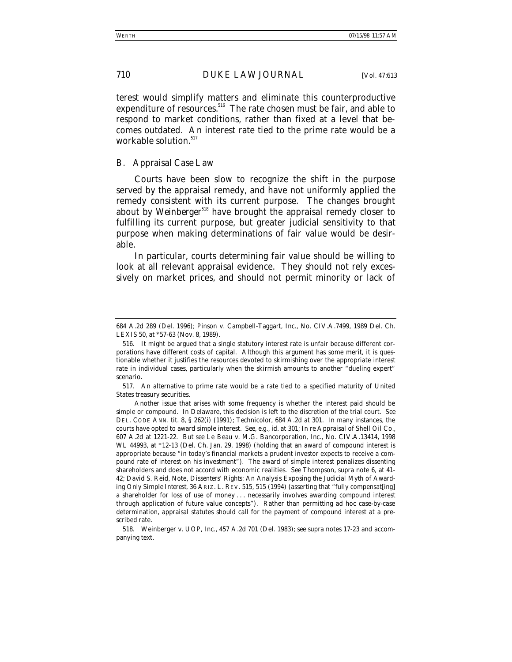terest would simplify matters and eliminate this counterproductive expenditure of resources.<sup>516</sup> The rate chosen must be fair, and able to respond to market conditions, rather than fixed at a level that becomes outdated. An interest rate tied to the prime rate would be a workable solution.<sup>517</sup>

#### *B. Appraisal Case Law*

Courts have been slow to recognize the shift in the purpose served by the appraisal remedy, and have not uniformly applied the remedy consistent with its current purpose. The changes brought about by *Weinberger*<sup>518</sup> have brought the appraisal remedy closer to fulfilling its current purpose, but greater judicial sensitivity to that purpose when making determinations of fair value would be desirable.

In particular, courts determining fair value should be willing to look at all relevant appraisal evidence. They should not rely excessively on market prices, and should not permit minority or lack of

<sup>684</sup> A.2d 289 (Del. 1996); Pinson v. Campbell-Taggart, Inc., No. CIV.A.7499, 1989 Del. Ch. LEXIS 50, at \*57-63 (Nov. 8, 1989).

<sup>516.</sup> It might be argued that a single statutory interest rate is unfair because different corporations have different costs of capital. Although this argument has some merit, it is questionable whether it justifies the resources devoted to skirmishing over the appropriate interest rate in individual cases, particularly when the skirmish amounts to another "dueling expert" scenario.

<sup>517.</sup> An alternative to prime rate would be a rate tied to a specified maturity of United States treasury securities.

Another issue that arises with some frequency is whether the interest paid should be simple or compound. In Delaware, this decision is left to the discretion of the trial court. *See* DEL. CODE ANN. tit. 8, § 262(i) (1991); *Technicolor*, 684 A.2d at 301. In many instances, the courts have opted to award simple interest. *See, e.g.*, *id.* at 301; *In re* Appraisal of Shell Oil Co., 607 A.2d at 1221-22. *But see* Le Beau v. M.G. Bancorporation, Inc., No. CIV.A.13414, 1998 WL 44993, at \*12-13 (Del. Ch. Jan. 29, 1998) (holding that an award of compound interest is appropriate because "in today's financial markets a prudent investor expects to receive a compound rate of interest on his investment"). The award of simple interest penalizes dissenting shareholders and does not accord with economic realities. *See* Thompson, *supra* note 6, at 41- 42; David S. Reid, Note, *Dissenters' Rights: An Analysis Exposing the Judicial Myth of Awarding Only Simple Interest*, 36 ARIZ. L. REV. 515, 515 (1994) (asserting that "fully compensat[ing] a shareholder for loss of use of money . . . necessarily involves awarding compound interest through application of future value concepts"). Rather than permitting ad hoc case-by-case determination, appraisal statutes should call for the payment of compound interest at a prescribed rate.

<sup>518.</sup> Weinberger v. UOP, Inc., 457 A.2d 701 (Del. 1983); *see supra* notes 17-23 and accompanying text.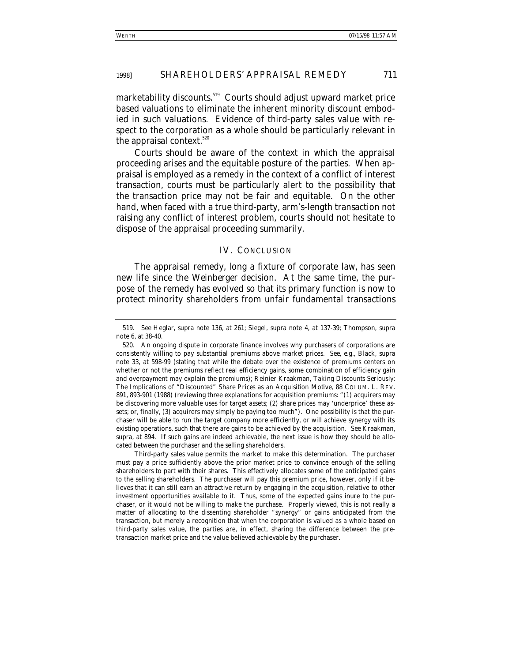marketability discounts.<sup>519</sup> Courts should adjust upward market price based valuations to eliminate the inherent minority discount embodied in such valuations. Evidence of third-party sales value with respect to the corporation as a whole should be particularly relevant in the appraisal context.<sup>520</sup>

Courts should be aware of the context in which the appraisal proceeding arises and the equitable posture of the parties. When appraisal is employed as a remedy in the context of a conflict of interest transaction, courts must be particularly alert to the possibility that the transaction price may not be fair and equitable. On the other hand, when faced with a true third-party, arm's-length transaction not raising any conflict of interest problem, courts should not hesitate to dispose of the appraisal proceeding summarily.

# IV. CONCLUSION

The appraisal remedy, long a fixture of corporate law, has seen new life since the *Weinberger* decision. At the same time, the purpose of the remedy has evolved so that its primary function is now to protect minority shareholders from unfair fundamental transactions

<sup>519</sup>*. See* Heglar, *supra* note 136, at 261; Siegel, *supra* note 4, at 137-39; Thompson, *supra* note 6, at 38-40.

<sup>520.</sup> An ongoing dispute in corporate finance involves why purchasers of corporations are consistently willing to pay substantial premiums above market prices. *See, e.g.*, Black, *supra* note 33, at 598-99 (stating that while the debate over the existence of premiums centers on whether or not the premiums reflect real efficiency gains, some combination of efficiency gain and overpayment may explain the premiums); Reinier Kraakman, *Taking Discounts Seriously: The Implications of "Discounted" Share Prices as an Acquisition Motive*, 88 COLUM. L. REV. 891, 893-901 (1988) (reviewing three explanations for acquisition premiums: "(1) acquirers may be discovering more valuable uses for target assets; (2) share prices may 'underprice' these assets; or, finally, (3) acquirers may simply be paying too much"). One possibility is that the purchaser will be able to run the target company more efficiently, or will achieve synergy with its existing operations, such that there are gains to be achieved by the acquisition. *See* Kraakman, *supra*, at 894. If such gains are indeed achievable, the next issue is how they should be allocated between the purchaser and the selling shareholders.

Third-party sales value permits the market to make this determination. The purchaser must pay a price sufficiently above the prior market price to convince enough of the selling shareholders to part with their shares. This effectively allocates some of the anticipated gains to the selling shareholders. The purchaser will pay this premium price, however, only if it believes that it can still earn an attractive return by engaging in the acquisition, relative to other investment opportunities available to it. Thus, some of the expected gains inure to the purchaser, or it would not be willing to make the purchase. Properly viewed, this is not really a matter of allocating to the dissenting shareholder "synergy" or gains anticipated from the transaction, but merely a recognition that when the corporation is valued as a whole based on third-party sales value, the parties are, in effect, sharing the difference between the pretransaction market price and the value believed achievable by the purchaser.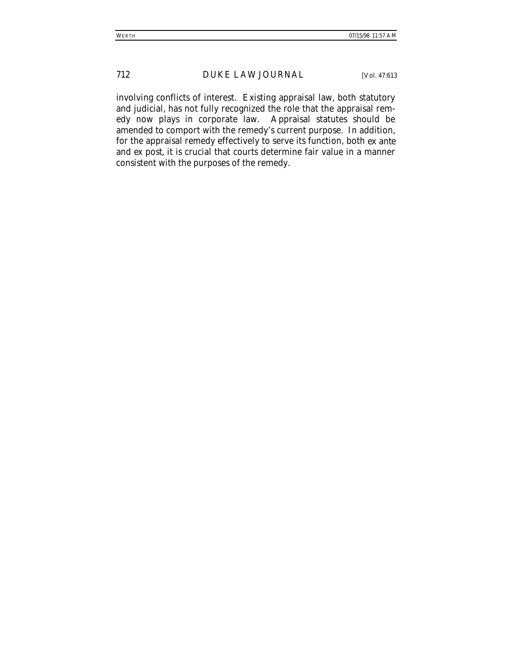involving conflicts of interest. Existing appraisal law, both statutory and judicial, has not fully recognized the role that the appraisal remedy now plays in corporate law. Appraisal statutes should be amended to comport with the remedy's current purpose. In addition, for the appraisal remedy effectively to serve its function, both *ex ante* and *ex post*, it is crucial that courts determine fair value in a manner consistent with the purposes of the remedy.